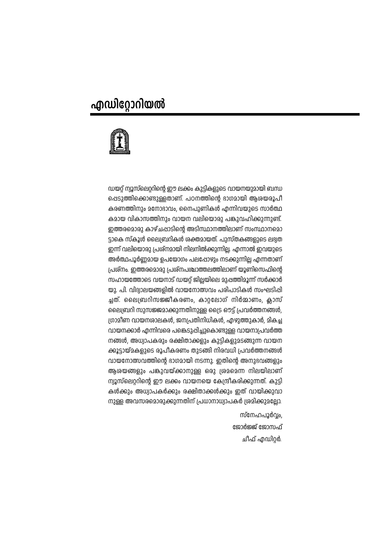# എഡിറ്റോറിയൽ



ഡയറ്റ് ന്വൂസ്ലെറ്ററിന്റെ ഈ ലക്കം കുട്ടികളുടെ വായനയുമായി ബന്ധ പ്പെടുത്തിക്കൊണ്ടുള്ളതാണ്. പഠനത്തിന്റെ ഭാഗമായി ആശയരൂപീ കരണത്തിനും മനോഭാവം, നൈപുണികൾ എന്നിവയുടെ സാർത്ഥ കമായ വികാസത്തിനും വായന വലിയൊരു പങ്കുവഹിക്കുന്നുണ്ട്. ഇത്തരമൊരു കാഴ്ചപ്പാടിന്റെ അടിസ്ഥാനത്തിലാണ് സംസ്ഥാനമൊ ട്ടാകെ സ്കൂൾ ലൈബ്രറികൾ ശക്തമായത്. പുസ്തകങ്ങളുടെ ലഭ്വത ഇന്ന് വലിയൊരു പ്രശ്നമായി നിലനിൽക്കുന്നില്ല. എന്നാൽ ഇവയുടെ അർത്ഥപൂർണ്ണമായ ഉപയോഗം പലഷോഴും നടക്കുന്നില്ല എന്നതാണ് ്രപ്രര്നം. ഇത്തരമൊരു പ്രശ്നപശ്ചാത്തലത്തിലാണ് യൂണിസെഫിന്റെ സഹായത്തോടെ വയനാട് ഡയറ്റ് ജില്ലയിലെ മുഷത്തിമൂന്ന് സർക്കാർ യു. പി. വിദ്വാലയങ്ങളിൽ വായനോത്സവം പരിപാടികൾ സംഘടിപ്പി ച്ചത്. ലൈബ്രറിസജ്ജീകരണം, കാറ്റലോഗ് നിർമ്മാണം, ക്ലാസ് ലൈബ്രറി സുസജ്ജമാക്കുന്നതിനുള്ള ട്രൈ ഔട്ട് പ്രവർത്തനങ്ങൾ. ഗ്രാമിണ വായനശാലകൾ, ജനപ്രതിനിധികൾ, എഴുത്തുകാർ, മികച്ച വായനക്കാർ എന്നിവരെ പങ്കെടുപ്പിച്ചുകൊണ്ടുള്ള വായനാപ്രവർത്ത നങ്ങൾ, അധ്വാപകരും രക്ഷിതാക്കളും കുട്ടികളുമടങ്ങുന്ന വായന ക്കൂട്ടായ്മകളുടെ രൂപീകരണം തുടങ്ങി നിരവധി പ്രവർത്തനങ്ങൾ വായനോത്സവത്തിന്റെ ഭാഗമായി നടന്നു. ഇതിന്റെ അനുഭവങ്ങളും ആശയങ്ങളും പങ്കുവയ്ക്കാനുള്ള ഒരു ശ്രമമെന്ന നിലയിലാണ് ന്വൂസ്ലെറ്ററിന്റെ ഈ ലക്കം വായനയെ കേന്ദ്രീകരിക്കുന്നത്. കുട്ടി കൾക്കും അധ്വാപകർക്കും രക്ഷിതാക്കൾക്കും ഇത് വായിക്കുവാ നുള്ള അവസരമൊരുക്കുന്നതിന് പ്രധാനാധ്വാപകർ ശ്രമിക്കുമല്ലോ.

> സ്നേഹപൂർവം. ജോർജ്ജ് ജോസഫ്

> > ചീഫ് എഡിറർ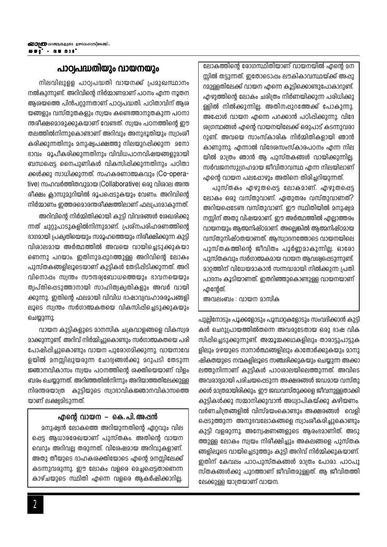ലോകത്തിന്റെ രോഗസ്ഥിതിയാണ് വായനയിൽ എന്റെ മന സിൽ തടുന്നത്. ഇതോടൊപ്പം ലൗകികാവസ്ഥയ്ക്ക് അപ്പു റമുള്ളതിലേക്ക് വായന എന്നെ കൂട്ടിക്കൊണ്ടുപോകാറുണ്ട്. എഴുത്തിന്റെ ലോകം ചരിത്രം നിർണയിക്കുന്ന പരിധിക്കു ള്ളിൽ നിൽക്കുന്നില്ല. അതിനപ്പുറത്തേക്ക് പോകുന്നു. അഷോൾ വായന എന്നെ പറക്കാൻ പഠിപ്പിക്കുന്നു. വിദേ ശ്വഗന്ഥങ്ങൾ എന്റെ വായനയിലേക്ക് ഒരുപാട് കടന്നുവരാ റുണ്ട്. അവയെ സാംസ്കാരിക നിർമ്മിതികളായി ഞാൻ കാണുന്നു. എന്നാൽ വിദേശസംസ്കാരപഠനം എന്ന നില യിൽ മാത്രം ഞാൻ ആ പുസ്തകങ്ങൾ വായിക്കുന്നില്ല. സർവജനസുഗ്രഹമായ ജീവിതാവസ്ഥ എന്ന നിലയിലാണ് എന്റെ വായന പലഷോഴും അതിനെ തിരിച്ചറിയുന്നത്.

പുസ്തകം എഴുതപ്പെട്ട ലോകമാണ്. എഴുതപ്പെട്ട ലോകം ഒരു വസ്തുവാണ്. ഏതുതരം വസ്തുവാണത്? അറിയപ്പെടേണ്ട വസ്തുവാണ്. ഈ സ്ഥിതിയിൽ മനുഷ്വമ നസ്സിന് അതു വിഷയമാണ്. ഈ അർത്ഥത്തിൽ എല്ലാത്തരം വായനയും ആത്മനിഷ്ഠമാണ്. അല്ലെങ്കിൽ ആത്മനിഷ്ഠമായ വസ്തുനിഷ്ഠതയാണത്. അസ്വാദനത്തോടെ വായനയിലെ പുസ്തകത്തിന്റെ ജീവിതം പൂർണ്ണമാകുന്നില്ല. ഓരോ പുസ്തകവും സർഗാത്മകമായ വായന ആവശ്വപ്പെടുന്നുണ്ട്. മാറ്റത്തിന് വിധേയമാകാൻ സന്നദ്ധമായി നിൽക്കുന്ന പ്രതി പാദനം കൂടിയാണത്. ഇതറിഞ്ഞുകൊണ്ടുള്ള വായനയാണ് <u>എന്റേത്.</u>

അവലംബം : വായന മാസിക

പുല്ലിനോടും പൂക്കളോടും പൂമ്പാറ്റകളോടും സംവദിക്കാൻ കുട്ടി കൾ ചെറുപ്രായത്തിൽതന്നെ അവരുടേതായ ഒരു ഭാഷ വിക സിപ്പിച്ചെടുക്കുന്നുണ്ട്. അമ്മൂമ്മക്കഥകളിലും താരാട്ടുപാട്ടുക ളിലും മഴയുടെ നാനാർത്ഥങ്ങളിലും കാതോർക്കുകയും മാനു ഷികതയുടെ നന്മകളിലൂടെ സഞ്ചരിക്കുകയും ചെയ്യുന്ന അക്കാ ലത്തുനിന്നാണ് കുട്ടികൾ പാഠശാലയിലെത്തുന്നത്. അവിടെ അവരാദ്വമായി പരിചയപ്പെടുന്ന അക്ഷരങ്ങൾ ജഡമായ വസ്തു ക്കൾ മാത്രമായിരിക്കും. ഈ ജഡവസ്തുക്കളെ ജീവനുള്ളതാക്കി കുട്ടികൾക്കു സമ്മാനിക്കുവാൻ അധ്വാപികയ്ക്കു കഴിയണം. വർണചിത്രങ്ങളിൽ വിസ്മയംകൊണ്ടും അക്ഷരങ്ങൾ വെളി പ്പെടുത്തുന്ന അനുഭവലോകങ്ങളെ സ്വാംശികരിച്ചുകൊണ്ടും കുട്ടി വളരുന്നു. അന്വേഷണങ്ങളുടെ ആരംഭമാണിത്. അടു ത്തുള്ള ലോകം സ്വയം നിരിക്ഷിച്ചും അകലങ്ങളെ പുസ്തക ങ്ങളിലൂടെ വായിച്ചെടുത്തും കുട്ടി അറിവ് നിർമ്മിക്കുകയാണ്. ഇതിന് കേവലം പാഠപുസ്തകങ്ങൾ മാത്രം പോരാ. പാഠപു സ്തകങ്ങൾക്കു പുറത്താണ് ജീവിതമുള്ളത്. ആ ജീവിതത്തി ലേക്കുള്ള യാത്രയാണ് വായന.

## പാഠപ്രദ്ധതിയും വായനയും

നിലവിലുള്ള പാഠ്വപദ്ധതി വായനക്ക് പ്രമുഖസ്ഥാനം നൽകുന്നുണ്ട്. അറിവിന്റെ നിർമ്മാണമാണ് പഠനം എന്ന നൂതന ആശയത്തെ പിൻപറ്റുന്നതാണ് പാഠ്വപദ്ധതി. പഠിതാവിന് ആശ യങ്ങളും വസ്തുതകളും സ്വയം കണ്ടെത്താനുതകുന്ന പഠനാ ന്തരീക്ഷമൊരുക്കുകയാണ് വേണ്ടത്. സ്വയം പഠനത്തിന്റെ ഈ തലത്തിൽനിന്നുകൊണ്ടാണ് അറിവും അനുഭൂതിയും സ്വാംശീ കരിക്കുന്നതിനും മനുഷ്വപക്ഷത്തു നിലയുറപ്പിക്കുന്ന മനോ ഭാവം രൂപീകരിക്കുന്നതിനും വിവിധപഠനവിഷയങ്ങളുമായി ബന്ധപ്പെട്ട നൈപുണികൾ വികസിപ്പിക്കുന്നതിനും പഠിതാ ക്കൾക്കു സാധിക്കുന്നത്. സഹകരണാത്മകവും (Co-operative) സഹവർത്തിതവുമായ (Collaborative) ഒരു വിശാല അന്ത രീക്ഷം ക്ലാസുമുറിയിൽ രൂപപ്പെടുകയും വേണം. അറിവിന്റെ നിർമ്മാണം ഇത്തരമൊരന്തരീക്ഷത്തിലാണ് ഫലപ്രദമാകുന്നത്.

അറിവിന്റെ നിർമ്മിതിക്കായി കുട്ടി വിവരങ്ങൾ ശേഖരിക്കു ന്നത് ചുറ്റുപാടുകളിൽനിന്നുമാണ്. പ്രശ്നപരിഹരണത്തിന്റെ ദാഗമായി പ്രകൃതിയെയും സമൂഹത്തെയും നിരീക്ഷിക്കുന്ന കുട്ടി വിശാലമായ അർത്ഥത്തിൽ അവയെ വായിച്ചെടുക്കുകയാ ണെന്നു പറയാം. ഇതിനുമപ്പുറത്തുള്ള അറിവിന്റെ ലോകം പുസ്തകങ്ങളിലൂടെയാണ് കുട്ടികൾ തേടിപ്പിടിക്കുന്നത്. അറി വിനൊപ്പം സ്വന്തം സൗന്ദര്വബോധത്തെയും ഭാവനയെയും തൃപ്തിപ്പെടുത്താനായി സാഹിത്വകൃതികളും അവർ വായി ക്കുന്നു. ഇതിന്റെ ഫലമായി വിവിധ ഭാഷാവ്വവഹാരരൂപങ്ങളി ലൂടെ സ്വന്തം സർഗാത്മകതയെ വികസിപ്പിച്ചെടുക്കുകയും ചെയ്യുന്നു.

വായന കുട്ടികളുടെ മാനസിക ചക്രവാളങ്ങളെ വികസ്വര മാക്കുന്നുണ്ട്. അറിവ് നിർമ്മിച്ചുകൊണ്ടും സർഗാത്മകതയെ പരി പോഷിപ്പിച്ചുകൊണ്ടും വായന പുരോഗമിക്കുന്നു. വായനാവേ ളയിൽ മനസ്സിലുയരുന്ന ചോദ്യങ്ങൾക്കു മറുപടി തേടുന്ന ജ്ഞാനവികാസം സ്വയം പഠനത്തിന്റെ ശക്തിയെയാണ് വിളം ബരം ചെയ്യുന്നത്. അറിഞ്ഞതിൽനിന്നും അറിയാത്തതിലേക്കുള്ള നിരന്തരയാത്ര കുട്ടിയുടെ സ്വാഭാവികജ്ഞാനവികാസത്തെ യാണ് ലക്ഷ്വമിടുന്നത്.

### ഹ്മന്റെ വായന – കെ.പി.അപ്പൻ

മനുഷ്വൻ ലോകത്തെ അറിയുന്നതിന്റെ ഏറ്റവും വില പ്പെട്ട ആധാരരേഖയാണ് പുസ്തകം. അതിന്റെ വായന വെറും അറിവല്ല തരുന്നത്. വിശേഷമായ അറിവുകളാണ്. അതു തീയുടെ ദാഹകശക്തിയോടെ എന്റെ മനസ്സിലേക്ക് കടന്നുവരുന്നു. ഈ ലോകം വളരെ മെച്ചപ്പെട്ടതാണെന്ന കാഴ്ചയുടെ സ്ഥിതി എന്നെ വളരെ ആകർഷിക്കാറില്ല.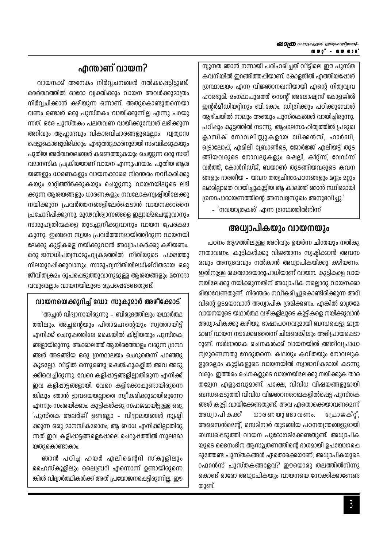ന്വൂനത ഞാൻ നന്നായി പരിഹരിച്ചത് വീട്ടിലെ ഈ പുസ്ത കവനിയിൽ ഇറങ്ങിത്തപ്പിയാണ്. കോളജിൽ എത്തിയപ്പോൾ ശ്രന്ഥാലയം എന്ന വിജ്ഞാനഖനിയായി എന്റെ നിത്വവ്വവ ഹാരഭൂമി. മംഗലാപുരത്ത് സെന്റ് അലോഷ്യസ് കോളജിൽ ഇൻർമീഡിയറിനും ബി.കോം. ഡിഗ്രിക്കും പഠിക്കുമ്പോൾ ആഴ്ചയിൽ നാലും അഞ്ചും പുസ്തകങ്ങൾ വായിച്ചിരുന്നു. പഠിപ്പും കൂട്ടത്തിൽ നടന്നു. ആംഗലസാഹിത്വത്തിൽ പ്രമുഖ ക്ലാസിക് നോവലിസ്റ്റുകളായ ഡിക്കൻസ്, ഹാർഡി, ട്രൊലോപ്പ്, എമിലി ബ്രോൺടെ, ജോർജ്ജ് എലിയട്ട് തുട ങ്ങിയവരുടെ നോവലുകളും ഷെല്ലി, കീറ്റ്സ്, വേഡ്സ് വർത്ത്, കോൾറിഡ്ജ്, ബയറൺ തുടങ്ങിയവരുടെ കവന ങ്ങളും ഭാരതീയ – യവന തത്വചിന്താപഠനങ്ങളും മറ്റും മറ്റും ലക്കില്ലാതെ വായിച്ചുകൂട്ടിയ ആ കാലത്ത് ഞാൻ സ്ഥിരമായി ശ്രന്ഥപാരായണത്തിന്റെ അനവദ്വസുഖം അനുഭവിച്ചു."

- 'നവയാത്രകൾ' എന്ന ഗ്രന്ഥത്തിൽനിന്ന്

## അധ്വാപികയും വായനയും

പഠനം ആഴത്തിലുള്ള അറിവും ഉയർന്ന ചിന്തയും നൽകു ന്നതാവണം. കുട്ടികൾക്കു വിജ്ഞാനം സ്വഷിക്കാൻ അവസ രവും അനുഭവവും നൽകാൻ അധ്വാപികയ്ക്കു കഴിയണം. ഇതിനുള്ള ശക്തമായൊരുപാധിയാണ് വായന. കുട്ടികളെ വായ നയിലേക്കു നയിക്കുന്നതിന് അധ്വാപിക നല്ലൊരു വായനക്കാ രിയാവേണ്ടതുണ്ട്. നിരന്തരം നവീകരിച്ചുകൊണ്ടിരിക്കുന്ന അറി വിന്റെ ഉടമയാവാൻ അധ്വാപിക ശ്രമിക്കണം. എങ്കിൽ മാത്രമേ വായനയുടെ യഥാർത്ഥ വഴികളിലൂടെ കുട്ടികളെ നയിക്കുവാൻ അധ്വാപികക്കു കഴിയൂ. ഭാഷാപഠനവുമായി ബന്ധപ്പെട്ടു മാത്ര മാണ് വായന നടക്കേണ്ടതെന്ന് ചിലരെങ്കിലും അഭിപ്രായപ്പെടാ റുണ്ട്. സർഗാത്മക രചനകൾക്ക് വായനയിൽ അതീവപ്രാധാ ന്വമുണ്ടെന്നതു നേരുതന്നെ. കഥയും കവിതയും നോവലുക ളുമെല്ലാം കുട്ടികളുടെ വായനയിൽ സ്വാഭാവികമായി കടന്നു വരും. ഇത്തരം രചനകളുടെ വായനയിലേക്കു നയിക്കുക താര തമ്യേന എളുപ്പവുമാണ്. പക്ഷേ, വിവിധ വിഷയങ്ങളുമായി ബന്ധപ്പെടുത്തി വിവിധ വിജ്ഞാനശാഖകളിൽപ്പെട്ട പുസ്തക ങ്ങൾ കുട്ടി വായിക്കേണ്ടതുണ്ട്. അവ ഏതൊക്കെയാവണമെന്ന്  $0.36$   $60$   $0.26$   $60$   $0.6$ പോജക്റ്. അധ്വാപികക്ക് അസൈൻമെൻ്, സെമിനാർ തുടങ്ങിയ പഠനതന്ത്രങ്ങളുമായി ബന്ധപ്പെടുത്തി വായന പുരോഗമിക്കേണ്ടതുണ്ട്. അധ്വാപിക യുടെ ദൈനംദിന ആസൂത്രണത്തിന്റെ ഭാഗമായി ഉപയോഗപ്പെ ടുത്തേണ്ട പുസ്തകങ്ങൾ ഏതൊക്കെയാണ്, അധ്വാപികയുടെ റഫറൻസ് പുസ്തകങ്ങളേവ? ഈയൊരു തലത്തിൽനിന്നു കൊണ്ട് ഓരോ അധ്വാപികയും വായനയെ നോക്കിക്കാണേണ്ട തുണ്ട്.

## ഹ്മന്താണ് വായന?

വായനക്ക് അനേകം നിർവചനങ്ങൾ നൽകപ്പെട്ടിട്ടുണ്ട്. ഒരർത്ഥത്തിൽ ഓരോ വ്വക്തിക്കും വായന അവർക്കുമാത്രം നിർവ്വചിക്കാൻ കഴിയുന്ന ഒന്നാണ്. അതുകൊണ്ടുതന്നെയാ വണം രണ്ടാൾ ഒരു പുസ്തകം വായിക്കുന്നില്ല എന്നു പറയു ന്നത്. ഒരേ പുസ്തകം പലതവണ വായിക്കുമ്പോൾ ലഭിക്കുന്ന അറിവും ആഹാദവും വികാരവിചാരങ്ങളുമെല്ലാം വ്വത്വാസ ഷെട്ടുകൊണ്ടുമിരിക്കും. എഴുത്തുകാരനുമായി സംവദിക്കുകയും പുതിയ അർത്ഥതലങ്ങൾ കണ്ടെത്തുകയും ചെയ്യുന്ന ഒരു സജീ വമാനസിക പ്രക്രിയയാണ് വായന എന്നുപറയാം. പുതിയ ആശ യങ്ങളും ധാരണകളും വായനക്കാരെ നിരന്തരം നവീകരിക്കു കയും മാറിത്തീർക്കുകയും ചെയ്യുന്നു. വായനയിലൂടെ ലഭി ക്കുന്ന ആശയങ്ങളും ധാരണകളും നവലോകസ്വഷ്ഠിയിലേക്കു നയിക്കുന്ന പ്രവർത്തനങ്ങളിലേർപ്പെടാൻ വായനക്കാരനെ പ്രചോദിപ്പിക്കുന്നു. മൂഢവിശ്വാസങ്ങളെ ഇല്ലായ്മചെയ്യുവാനും സാമൂഹ്വതിന്മകളെ തുടച്ചുനീക്കുവാനും വായന പ്രേരകമാ കുന്നു. ഇങ്ങനെ സ്വയം പ്രവർത്തനമായിത്തീരുന്ന വായനയി ലേക്കു കുട്ടികളെ നയിക്കുവാൻ അധ്വാപകർക്കു കഴിയണം. ഒരു ജനാധിപത്വസാമൂഹ്വ്യകമത്തിൽ നീതിയുടെ പക്ഷത്തു നിലയുറപ്പിക്കുവാനും സാമൂഹ്വനീതിയിലധിഷ്ഠിതമായ ഒരു ജീവിത്വകമം രൂപപ്പെടുത്തുവാനുമുള്ള ആശയങ്ങളും മനോഭാ വവുമെല്ലാം വായനയിലൂടെ രൂപപ്പെടേണ്ടതുണ്ട്.

## വായനയെക്കുറിച്ച് ഡോ: സുകുമാർ അഴിക്കോട്

'അച്ഛൻ വിദ്വാനായിരുന്നു – ബിരുദത്തിലും യഥാർത്ഥ ത്തിലും. അച്ചന്റെയും പിതാമഹന്റെയും സ്വത്തായിട് എനിക്ക് ചെറുപ്പത്തിലേ കൈയിൽ കിട്ടിയതും പുസ്തക ങ്ങളായിരുന്നു. അക്കാലത്ത് ആയിരത്തോളം വരുന്ന ഗ്രന്ഥ ങ്ങൾ അടങ്ങിയ ഒരു ഗ്രന്ഥാലയം ചെറുതെന്ന് പറഞ്ഞു കൂടല്ലോ. വീട്ടിൽ ഒന്നുരണ്ടു ഷെൽഫുകളിൽ അവ അടു ക്കിവെച്ചിരുന്നു. വേറെ കളിപ്പാട്ടങ്ങളില്ലാതിരുന്ന എനിക്ക് ഇവ കളിപ്പാട്ടങ്ങളായി. വേറെ കളിക്കോപ്പുണ്ടായിരുന്നെ ങ്കിലും ഞാൻ ഇവയെയല്ലാതെ സ്വീകരിക്കുമായിരുന്നോ എന്നും സംശയിക്കാം. കുട്ടികൾക്കു സഹജമായിട്ടുള്ള ഒരു 'പുസ്തക അലർജി' ഉണ്ടല്ലോ - വിദ്വാലയങ്ങൾ സ്വഷി ക്കുന്ന ഒരു മാനസികരോഗം; ആ ബാധ എനിക്കില്ലാതിരു ന്നത് ഇവ കളിപ്പാട്ടങ്ങളെപ്പോലെ ചെറുപ്പത്തിൽ സുലഭമാ യതാകൊണ്ടാകാം.

ഞാൻ പഠിച്ച ഹയർ എലിമെന്ററി സ്കൂളിലും ഹൈസ്കൂളിലും ലൈബ്രറി എന്നൊന്ന് ഉണ്ടായിരുന്നെ ങ്കിൽ വിദ്വാർത്ഥികൾക്ക് അത് പ്രയോജനപ്പെട്ടിരുന്നില്ല. ഈ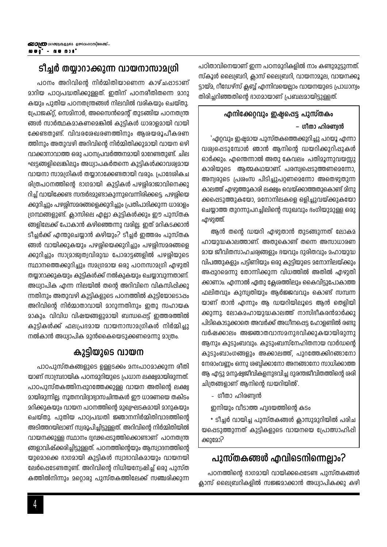പഠിതാവിനെയാണ് ഇന്ന പഠനമുറികളിൽ നാം കണ്ടുമുട്ടുന്നത്. സ്കൂൾ ലൈബ്രറി, ക്ലാസ് ലൈബ്രറി, വായനാമൂല, വായനക്കൂ ട്ടായ്മ, റീഡേഴ്സ് ക്ലബ്ബ് എന്നിവയെല്ലാം വായനയുടെ പ്രാധാന്വം തിരിച്ചറിഞ്ഞതിന്റെ ഭാഗമായാണ് പ്രബലമായിട്ടുള്ളത്.

## എനിക്കേറ്റവും ഇഷ്ടപ്പെട്ട പുസ്തകം – ഗീതാ ഹിരണ്വൻ

'ഏറ്റവും ഇഷ്യമായ പുസ്തകത്തെക്കുറിച്ചു പറയൂ എന്നാ വശ്വപ്പെടുമ്പോൾ ഞാൻ ആനിന്റെ ഡയറിക്കുറിപ്പുകൾ ഓർക്കും. എന്തെന്നാൽ അതു കേവലം പതിമൂന്നുവയസ്സു കാരിയുടെ ആത്മകഥയാണ്. പരസ്വപ്പെടുത്തണമെന്നോ, അന്വരുടെ പ്രശംസ പിടിച്ചുപറ്റണമെന്നോ അതെഴുതുന്ന കാലത്ത് എഴുത്തുകാരി ലക്ഷ്വം വെയ്ക്കാത്തതുകൊണ്ട് മിനു ക്കപ്പെടുത്തുകയോ, മനോനിലകളെ ഒളിച്ചുവയ്ക്കുകയോ ചെയ്യാത്ത തുറന്നുപറച്ചിലിന്റെ സുഖവും ഭംഗിയുമുള്ള ഒരു എഴുത്ത്.

ആൻ തന്റെ ഡയറി എഴുതാൻ തുടങ്ങുന്നത് ലോകമ ഹായുദ്ധകാലത്താണ്. അതുകൊണ്ട് തന്നെ അസാധാരണ മായ ജീവിതസാഹചര്വങ്ങളും ഭയവും ദുരിതവും മഹായുദ്ധ വിപത്തുകളും പട്ടിണിയും ഒരു കുട്ടിയുടെ മനോനിലയ്ക്കും അപ്പുറമെന്നു തോന്നിക്കുന്ന വിധത്തിൽ അതിൽ എഴുതി ക്കാണാം. എന്നാൽ ഏതു ക്ലേരത്തിലും കൈവിട്ടുപോകാത്ത ഫലിതവും കുസ്വതിയും ആർജ്ജവവും കൊണ്ട് സമ്പന്ന യാണ് താൻ എന്നും ആ ഡയറിയിലൂടെ ആൻ തെളിയി ക്കുന്നു. ലോകമഹായുദ്ധകാലത്ത് നാസിദീകരൻമാർക്കു പിടികൊടുക്കാതെ അവർക്ക് അധീനപ്പെട്ട ഹോളണ്ടിൽ രണ്ടു വർഷക്കാലം അജ്ഞാതവാസമനുഭവിക്കുകയായിരുന്നു ആനും കുടുംബവും. കുടുംബസ്നേഹിതനായ വാർഡന്റെ കുടുംബാംഗങ്ങളും അക്കാലത്ത്, പുറത്തേക്കിറങ്ങാനോ നേരാംവണ്ണം ഒന്നു ശബ്ദിക്കാനോ അനങ്ങാനോ സാധിക്കാത്ത ആ എട്ടു മനുഷ്വജീവികളനുഭവിച്ച ദുരന്തജീവിതത്തിന്റെ ശരി ചിത്രങ്ങളാണ് ആനിന്റെ ഡയറിയിൽ'.

- ഗീതാ ഹിരണ്ഡൻ
- ഇനിയും വീടാത്ത ഹൃദയത്തിന്റെ കടം

\* ടീച്ചർ വായിച്ച പുസ്തകങ്ങൾ ക്ലാസുമുറിയിൽ പരിച യപ്പെടുത്തുന്നത് കുട്ടികളുടെ വായനയെ പ്രോത്സാഹിപ്പി ക്കുമോ?

## പുസ്തകങ്ങൾ എവിടെനിന്നെല്ലാം?

പഠനത്തിന്റെ ഭാഗമായി വായിക്കപ്പെടേണ്ട പുസ്തകങ്ങൾ ക്ലാസ് ലൈബ്രറികളിൽ സജ്ജമാക്കാൻ അധ്വാപികക്കു കഴി

## ടീച്ചർ തയാറാക്കുന്ന വായനാസാമഗ്രി

പഠനം അറിവിന്റെ നിർമ്മിതിയാണെന്ന കാഴ്ചപ്പാടാണ് മാറിയ പാഠ്വപദ്ധതിക്കുള്ളത്. ഇതിന് പഠനരീതിതന്നെ മാറു കയും പുതിയ പഠനതന്ത്രങ്ങൾ നിലവിൽ വരികയും ചെയ്തു. പ്രോജക്റ്റ്, സെമിനാർ, അസൈൻമെന്റ് തുടങ്ങിയ പഠനതന്ത്ര ങ്ങൾ സാർത്ഥകമാകണമെങ്കിൽ കുട്ടികൾ ധാരാളമായി വായി ക്കേണ്ടതുണ്ട്. വിവരശേഖരണത്തിനും ആശയരൂപീകരണ ത്തിനും അതുവഴി അറിവിന്റെ നിർമ്മിതിക്കുമായി വായന ഒഴി വാക്കാനാവാത്ത ഒരു പഠനപ്രവർത്തനമായി മാറേണ്ടതുണ്ട്. ചില ഘട്ടങ്ങളിലെങ്കിലും അധ്വാപകർതന്നെ കുട്ടികൾക്കാവര്വമായ വായനാ സാമഗ്രികൾ തയ്യാറാക്കേണ്ടതായി വരും. പ്രാദേശികച രിത്രപഠനത്തിന്റെ ഭാഗമായി കുട്ടികൾ പഴശിരാജാവിനെക്കു റിച്ച് വായിക്കേണ്ട സന്ദർദമുണ്ടാകുന്നുവെന്നിരിക്കട്ടെ. പഴശ്ശിയെ ക്കുറിച്ചും പഴശ്ശിസമരങ്ങളെക്കുറിച്ചും പ്രതിപാദിക്കുന്ന ധാരാളം ശ്രന്ഥങ്ങളുണ്ട്. ക്ലാസിലെ എല്ലാ കുട്ടികൾക്കും ഈ പുസ്തക ങ്ങളിലേക്ക് പോകാൻ കഴിഞ്ഞെന്നു വരില്ല. ഇത് മറികടക്കാൻ ടിച്ചർക്ക് എന്തുചെയ്യാൻ കഴിയും? ടിച്ചർ ഇത്തരം പുസ്തക ങ്ങൾ വായിക്കുകയും പഴശ്ശിയെക്കുറിച്ചും പഴശ്ശിസമരങ്ങളെ ക്കുറിച്ചും സാമ്രാജ്വത്വവിരുദ്ധ പോരാട്ടങ്ങളിൽ പഴശ്ശിയുടെ സ്ഥാനത്തെക്കുറിച്ചും സമഗ്രമായ ഒരു പഠനസാമഗ്രി എഴുതി തയ്യാറാക്കുകയും കുട്ടികൾക്ക് നൽകുകയും ചെയ്യാവുന്നതാണ്. അധ്വാപിക എന്ന നിലയിൽ തന്റെ അറിവിനെ വികസിപ്പിക്കു ന്നതിനും അതുവഴി കുട്ടികളുടെ പഠനത്തിൽ കുട്ടിയോടൊപ്പം അറിവിന്റെ നിർമ്മാതാവായി മാറുന്നതിനും ഇതു സഹായക മാകും. വിവിധ വിഷയങ്ങളുമായി ബന്ധപ്പെട്ട് ഇത്തരത്തിൽ കുട്ടികൾക്ക് ഫലപ്രദമായ വായനാസാമഗ്രികൾ നിർമ്മിച്ചു നൽകാൻ അധ്വാപിക മുൻകൈയെടുക്കണമെന്നു മാത്രം.

## കുട്ടിയുടെ വായന

പാഠപുസ്തകങ്ങളുടെ ഉള്ളടക്കം മനഃപാഠമാക്കുന്ന രീതി യാണ് സാമ്പ്രദായിക പഠനമുറിയുടെ പ്രധാന ലക്ഷ്വമായിരുന്നത്. പാഠപുസ്തകത്തിനപ്പുറത്തേക്കുള്ള വായന അതിന്റെ ലക്ഷ്വ മായിരുന്നില്ല. നൂതനവിദ്വാഭ്വാസചിന്തകൾ ഈ ധാരണയെ തകിടം മറിക്കുകയും വായന പഠനത്തിന്റെ മുഖ്വഘടകമായി മാറുകയും ചെയ്തു. പുതിയ പാഠ്വപദ്ധതി ജ്ഞാനനിർമ്മിതിവാദത്തിന്റെ അടിത്തറയിലാണ് സ്വരൂപിച്ചിട്ടുള്ളത്. അറിവിന്റെ നിർമ്മിതിയിൽ വായനക്കുള്ള സ്ഥാനം ദ്വഢപ്പെടുത്തിക്കൊണ്ടാണ് പഠനതന്ത്ര ങ്ങളാവിഷ്ക്കരിച്ചിട്ടുള്ളത്. പഠനത്തിന്റെയും ആസ്വാദനത്തിന്റെ യുമൊക്കെ ഭാഗമായി കുട്ടികൾ സ്വാഭാവികമായും വായനയി ലേർപ്പെടേണ്ടതുണ്ട്. അറിവിന്റെ നിധിയന്വേഷിച്ച് ഒരു പുസ്ത കത്തിൽനിന്നും മറ്റൊരു പുസ്തകത്തിലേക്ക് സഞ്ചരിക്കുന്ന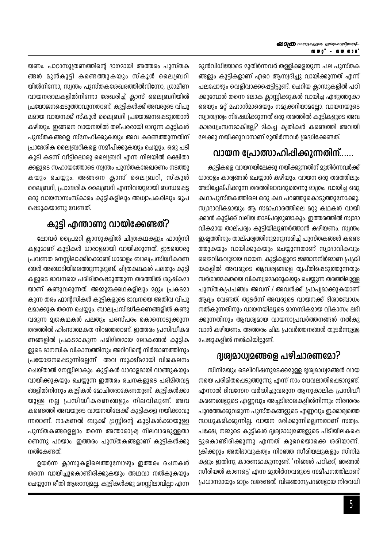മുൻവിധിയോടെ മുതിർന്നവർ തള്ളിക്കളയുന്ന പല പുസ്തക ങ്ങളും കുട്ടികളാണ് ഏറെ ആസ്വദിച്ചു വായിക്കുന്നത് എന്ന് പലപ്പോഴും വെളിവാക്കപ്പെട്ടിട്ടുണ്ട്. ചെറിയ ക്ലാസുകളിൽ പഠി ക്കുമ്പോൾ തന്നെ ലോക ക്ലാസ്സിക്കുകൾ വായിച്ച എഴുത്തുകാ രെയും മറ്റ് മഹാൻമാരെയും നമുക്കറിയാമല്ലോ. വായനയുടെ സ്വാതന്ത്ര്വം നിഷേധിക്കുന്നത് ഒരു തരത്തിൽ കുട്ടികളുടെ അവ കാശധ്വംസനമാകില്ലേ? മികച്ച ക്വതികൾ കണ്ടെത്തി അവയി ലേക്കു നയിക്കുവാനാണ് മുതിർന്നവർ ശ്രദ്ധിക്കേണ്ടത്.

## വായന പ്രോത്സാഹിപ്പിക്കുന്നതിന്......

കുട്ടികളെ വായനയിലേക്കു നയിക്കുന്നതിന് മുതിർന്നവർക്ക് ധാരാളം കാര്വങ്ങൾ ചെയ്യാൻ കഴിയും. വായന ഒരു തരത്തിലും അടിച്ചേല്പിക്കുന്ന തരത്തിലാവരുതെന്നു മാത്രം. വായിച്ച ഒരു കഥാപുസ്തകത്തിലെ ഒരു കഥ പറഞ്ഞുകൊടുത്തുനോക്കൂ. സ്വാദാവികമായും ആ സമാഹാരത്തിലെ മറ്റു കഥകൾ വായി ക്കാൻ കുട്ടിക്ക് വലിയ താല്പര്വമുണ്ടാകും. ഇത്തരത്തിൽ സ്വാഭാ വികമായ താല്പര്വം കുട്ടിയിലുണർത്താൻ കഴിയണം. സ്വന്തം ഇഷ്ടത്തിനും താല്പര്വത്തിനുമനുസരിച്ച് പുസ്തകങ്ങൾ കണ്ടെ ത്തുകയും വായിക്കുകയും ചെയ്യുന്നതാണ് സ്വാഭാവികവും ജൈവികവുമായ വായന. കുട്ടികളുടെ ജ്ഞാനനിർമ്മാണ പ്രക്രി യകളിൽ അവരുടെ ആവശ്വങ്ങളെ തൃപ്തിപ്പെടുത്തുന്നതും സർഗാത്മകതയെ വികസ്വരമാക്കുകയും ചെയ്യുന്ന തരത്തിലുള്ള പുസ്തകപ്രപഞ്ചം അവന് / അവൾക്ക് പ്രാപ്വമാക്കുകയാണ് ആദ്യം വേണ്ടത്. തുടർന്ന് അവരുടെ വായനക്ക് ദിശാബോധം നൽകുന്നതിനും വായനയിലൂടെ മാനസികമായ വികാസം ലഭി ക്കുന്നതിനും ആവശ്വമായ വായനാപ്രവർത്തനങ്ങൾ നൽകു വാൻ കഴിയണം. അത്തരം ചില പ്രവർത്തനങ്ങൾ തുടർന്നുള്ള പേജുകളിൽ നൽകിയിട്ടുണ്ട്.

## ദുശ്വമാധ്വമങ്ങളെ പഴിചാരണമോ?

സിനിമയും ടെലിവിഷനുമടക്കമുള്ള ദൃശ്വമാധ്വമങ്ങൾ വായ നയെ പരിമിതപ്പെടുത്തുന്നു എന്ന് നാം വേവലാതിപ്പെടാറുണ്ട്. എന്നാൽ ദിവസേന വർദ്ധിച്ചുവരുന്ന ആനുകാലിക പ്രസിദ്ധി കരണങ്ങളുടെ എണ്ണവും അച്ചടിശാലകളിൽനിന്നും നിരന്തരം പുറത്തേക്കുവരുന്ന പുസ്തകങ്ങളുടെ എണ്ണവും ഇക്കാര്യത്തെ സാധൂകരിക്കുന്നില്ല. വായന മരിക്കുന്നില്ലെന്നതാണ് സത്വം. പക്ഷേ, നമ്മുടെ കുട്ടികൾ ദൃശ്വമാധ്വമങ്ങളുടെ പിടിയിലകപ്പെ ട്ടുകൊണ്ടിരിക്കുന്നു എന്നത് കുറെയൊക്കെ ശരിയാണ്. ക്രിക്കറ്റും അതിഭാവുകത്വം നിറഞ്ഞ സീരിയലുകളും സിനിമ കളും ഇതിനു കാരണമാകുന്നുണ്ട്. 'നിങ്ങൾ പഠിക്ക്, ഞങ്ങൾ സീരിയൽ കാണട്ടെ' എന്ന മുതിർന്നവരുടെ സമീപനത്തിലാണ് പ്രധാനമായും മാറ്റം വരേണ്ടത്. വിജ്ഞാനപ്രദങ്ങളായ നിരവധി

യണം. പാഠാസൂത്രണത്തിന്റെ ഭാഗമായി അത്തരം പുസ്തക ങ്ങൾ മുൻകൂട്ടി കണ്ടെത്തുകയും സ്കൂൾ ലൈബ്രറി യിൽനിന്നോ, സ്വന്തം പുസ്തകശേഖരത്തിൽനിന്നോ, ഗ്രാമീണ വായനശാലകളിൽനിന്നോ ശേഖരിച്ച് ക്ലാസ് ലൈബ്രറിയിൽ പ്രയോജനഷെടുത്താവുന്നതാണ്. കുട്ടികൾക്ക് അവരുടെ വിപു ലമായ വായനക്ക് സ്കൂൾ ലൈബ്രറി പ്രയോജനപ്പെടുത്താൻ കഴിയും. ഇങ്ങനെ വായനയിൽ തല്പരരായി മാറുന്ന കുട്ടികൾ പുസ്തകങ്ങളെ സ്നേഹിക്കുകയും അവ കണ്ടെത്തുന്നതിന് പ്രാദേശിക ലൈബ്രറികളെ സമീപിക്കുകയും ചെയ്യും. ഒരു പടി കൂടി കടന്ന് വീട്ടിലൊരു ലൈബ്രറി എന്ന നിലയിൽ രക്ഷിതാ ക്കളുടെ സഹായത്തോടെ സ്വന്തം പുസ്തകശേഖരണം നടത്തു കയും ചെയ്യും. അങ്ങനെ ക്ലാസ് ലൈബ്രറി, സ്കൂൾ ലൈബ്രറി, പ്രാദേശിക ലൈബ്രറി എന്നിവയുമായി ബന്ധപ്പെട്ട ഒരു വായനാസംസ്കാരം കുട്ടികളിലും അധ്വാപകരിലും രൂപ പ്പെടുകയാണു വേണ്ടത്.

## കുട്ടി എന്താണു വായിക്കേണ്ടത്?

ലോവർ പ്രൈമറി ക്ലാസുകളിൽ ചിത്രകഥകളും ഫാന്റസി കളുമാണ് കുട്ടികൾ ധാരാളമായി വായിക്കുന്നത്. ഈയൊരു പ്രവണത മനസ്സിലാക്കിക്കൊണ്ട് ധാരാളം ബാലപ്രസിദ്ധീകരണ ങ്ങൾ അങ്ങാടിയിലെത്തുന്നുമുണ്ട്. ചിത്രകഥകൾ പലതും കുട്ടി കളുടെ ഭാവനയെ പരിമിതപ്പെടുത്തുന്ന തരത്തിൽ ശുഷ്കമാ യാണ് കണ്ടുവരുന്നത്. അമ്മൂമ്മക്കഥകളിലും മറ്റും പ്രകടമാ കുന്ന തരം ഫാന്റസികൾ കുട്ടികളുടെ ഭാവനയെ അതിവ വിപു ലമാക്കുക തന്നെ ചെയ്യും. ബാലപ്രസിദ്ധീകരണങ്ങളിൽ കണ്ടു വരുന്ന മൃഗകഥകൾ പലതും പരസ്പരം കൊന്നൊടുക്കുന്ന തരത്തിൽ ഹിംസാത്മകത നിറഞ്ഞതാണ്. ഇത്തരം പ്രസിദ്ധീകര ണങ്ങളിൽ പ്രകടമാകുന്ന പരിമിതമായ ലോകങ്ങൾ കുട്ടിക ളുടെ മാനസിക വികാസത്തിനും അറിവിന്റെ നിർമ്മാണത്തിനും പ്രയോജനഷെടുന്നില്ലെന്ന് അവ സൂക്ഷ്മമായി വിശകലനം ചെയ്താൽ മനസ്സിലാകും. കുട്ടികൾ ധാരാളമായി വാങ്ങുകയും വായിക്കുകയും ചെയ്യുന്ന ഇത്തരം രചനകളുടെ പരിമിതവട്ട ങ്ങളിൽനിന്നും കുട്ടികൾ മോചിതരാകേണ്ടതുണ്ട്. കുട്ടികൾക്കാ യുള്ള നല്ല പ്രസിദ്ധീകരണങ്ങളും നിലവിലുണ്ട്. അവ കണ്ടെത്തി അവയുടെ വായനയിലേക്ക് കുട്ടികളെ നയിക്കാവു ന്നതാണ്. നാഷണൽ ബുക്ക് ട്രസ്റ്റിന്റെ കുട്ടികൾക്കായുള്ള പുസ്തകങ്ങളെല്ലാം തന്നെ അന്താരാഷ്ട്ര നിലവാരമുള്ളതാ ണെന്നു പറയാം. ഇത്തരം പുസ്തകങ്ങളാണ് കുട്ടികൾക്കു നൽകേണ്ടത്.

ഉയർന്ന ക്ലാസുകളിലെത്തുമ്പോഴും ഇത്തരം രചനകൾ തന്നെ വായിച്ചുകൊണ്ടിരിക്കുകയും അഥവാ നൽകുകയും ചെയ്യുന്ന രീതി ആശാസ്വമല്ല. കുട്ടികൾക്കു മനസ്സിലാവില്ലാ എന്ന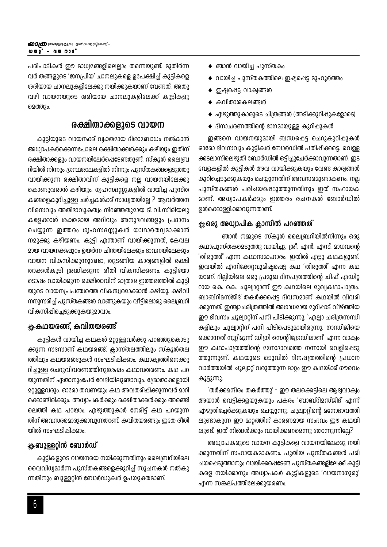പരിപാടികൾ ഈ മാധ്വമങ്ങളിലെല്ലാം തന്നെയുണ്ട്. മുതിർന്ന വർ തങ്ങളുടെ 'ജനപ്രിയ' ചാനലുകളെ ഉപേക്ഷിച്ച് കുട്ടികളെ ശരിയായ ചാനലുകളിലേക്കു നയിക്കുകയാണ് വേണ്ടത്. അതു വഴി വായനയുടെ ശരിയായ ചാനലുകളിലേക്ക് കുട്ടികളു മെത്തും.

## രക്ഷിതാക്കളുടെ വായന

കുട്ടിയുടെ വായനക്ക് വ്വക്തമായ ദിശാബോധം നൽകാൻ അധ്വാപകർക്കെന്നപോലെ രക്ഷിതാക്കൾക്കും കഴിയും ഇതിന് രക്ഷിതാക്കളും വായനയിലേർപ്പെടേണ്ടതുണ്ട്. സ്കൂൾ ലൈബ്ര റിയിൽ നിന്നും ഗ്രന്ഥശാലകളിൽ നിന്നും പുസ്തകങ്ങളെടുത്തു വായിക്കുന്ന രക്ഷിതാവിന് കുട്ടികളെ നല്ല വായനയിലേക്കു കൊണ്ടുവരാൻ കഴിയും. ഗ്വഹസദസ്സുകളിൽ വായിച്ച പുസ്ത കങ്ങളെകുറിച്ചുള്ള ചർച്ചകൾക്ക് സാധ്വതയില്ലേ ? ആവർത്തന വിരസവും അതിഭാവുകത്വം നിറഞ്ഞതുമായ ടി. വി. സീരിയലു കളേക്കാൾ ശക്തമായ അറിവും അനുഭവങ്ങളും പ്രദാനം ചെയ്യുന്ന ഇത്തരം ഗ്വഹസദസ്സുകൾ യാഥാർത്ഥ്വമാക്കാൻ നമുക്കു കഴിയണം. കുട്ടി എന്താണ് വായിക്കുന്നത്, കേവല മായ വായനക്കപ്പുറം ഉയർന്ന ചിന്തയിലേക്കും ഭാവനയിലേക്കും വായന വികസിക്കുന്നുണ്ടോ, തുടങ്ങിയ കാര്യങ്ങളിൽ രക്ഷി താക്കൾകൂടി ശ്രദ്ധിക്കുന്ന രീതി വികസിക്കണം. കുട്ടിയോ ടൊപ്പം വായിക്കുന്ന രക്ഷിതാവിന് മാത്രമേ ഇത്തരത്തിൽ കുട്ടി യുടെ വായനപ്രപഞ്ചത്തെ വികസ്വരമാക്കാൻ കഴിയൂ. കഴിവി നനുസരിച്ച് പുസ്തകങ്ങൾ വാങ്ങുകയും വീട്ടിലൊരു ലൈബ്രറി വികസിപ്പിച്ചെടുക്കുകയുമാവാം.

## ‱കഥയരങ്ങ്, കവിതയരങ്ങ്

കുട്ടികൾ വായിച്ച കഥകൾ മറ്റുള്ളവർക്കു പറഞ്ഞുകൊടു ക്കുന്ന സദസാണ് കഥയരങ്ങ്. ക്ലാസ്തലത്തിലും സ്കൂൾതല ത്തിലും കഥയരങ്ങുകൾ സംഘടിപ്പിക്കാം. കഥാകൃത്തിനെക്കു റിച്ചുള്ള ചെറുവിവരണത്തിനുശേഷം കഥാവതരണം. കഥ പറ യുന്നതിന് ഏതാനുംപേർ വേദിയിലുണ്ടാവും. ശ്രോതാക്കളായി മറ്റുള്ളവരും. ഓരോ തവണയും കഥ അവതരിഷിക്കുന്നവർ മാറി ക്കൊണ്ടിരിക്കും. അധ്വാപകർക്കും രക്ഷിതാക്കൾക്കും അരങ്ങി ലെത്തി കഥ പറയാം. എഴുത്തുകാർ നേരിട്ട് കഥ പറയുന്ന തിന് അവസരമൊരുക്കാവുന്നതാണ്. കവിതയരങ്ങും ഇതേ രീതി യിൽ സംഘടിപ്പിക്കാം.

## \*്‱ബുള്ളറിൻ ബോർഡ്

കുട്ടികളുടെ വായനയെ നയിക്കുന്നതിനും ലൈബ്രറിയിലെ വൈവിധ്വമാർന്ന പുസ്തകങ്ങളെക്കുറിച്ച് സൂചനകൾ നൽകു ന്നതിനും ബുള്ളറ്റിൻ ബോർഡുകൾ ഉപയുക്തമാണ്.

- $\blacklozenge$  ഞാൻ വായിച്ച പുസ്തകം
- $\bullet$  വായിച്ച പുസ്തകത്തിലെ ഇഷ്ടപ്പെട്ട മുഹൂർത്തം
- $\blacklozenge$  ഇഷ്ടപ്പെട്ട വാക്വങ്ങൾ
- $\bullet$  കവിതാശകലങ്ങൾ
- $\bullet$  എഴുത്തുകാരുടെ ചിത്രങ്ങൾ (അടിക്കുറിപ്പുകളോടെ)
- $\blacklozenge$  ദിനാചരണത്തിന്റെ ദാഗമായുള്ള കുറിപ്പുകൾ

ഇങ്ങനെ വായനയുമായി ബന്ധപ്പെട്ട ചെറുകുറിപ്പുകൾ ഓരോ ദിവസവും കുട്ടികൾ ബോർഡിൽ പതിപ്പിക്കട്ടെ. വെള്ള ക്കടലാസിലെഴുതി ബോർഡിൽ ഒട്ടിച്ചുചേർക്കാവുന്നതാണ്. ഇട വേളകളിൽ കുട്ടികൾ അവ വായിക്കുകയും വേണ്ട കാര്യങ്ങൾ കുറിച്ചെടുക്കുകയും ചെയ്യുന്നതിന് അവസരമുണ്ടാകണം. നല്ല പുസ്തകങ്ങൾ പരിചയപ്പെടുത്തുന്നതിനും ഇത് സഹായക മാണ്. അധ്വാപകർക്കും ഇത്തരം രചനകൾ ബോർഡിൽ ഉൾക്കൊള്ളിക്കാവുന്നതാണ്.

## \*്കരു അധ്വാപിക ക്ലാസിൽ പറഞ്ഞത്

ഞാൻ നമ്മുടെ സ്കൂൾ ലൈബ്രറിയിൽനിന്നും ഒരു കഥാപുസ്തകമെടുത്തു വായിച്ചു. ശ്രീ. എൻ. എസ്. മാധവന്റെ 'തിരുത്ത്' എന്ന കഥാസമാഹാരം. ഇതിൽ എട്ടു കഥകളുണ്ട്. ഇവയിൽ എനിക്കേറ്റവുമിഷ്ടപ്പെട്ട കഥ 'തിരുത്ത്' എന്ന കഥ യാണ്. ദില്ലിയിലെ ഒരു പ്രമുഖ ദിനപത്രത്തിന്റെ ചീഫ് എഡിറ്റ റായ കെ. കെ. ചൂല്വാറ്റാണ് ഈ കഥയിലെ മുഖ്യകഥാപാത്രം. ബാബ്റിമസ്ജിദ് തകർക്കപ്പെട്ട ദിവസമാണ് കഥയിൽ വിവരി ക്കുന്നത്. ഇന്ത്വാചരിത്രത്തിൽ അഗാധമായ മുറിപ്പാട് വീഴ്ത്തിയ ഈ ദിവസം ചൂല്വാറ്റിന് പനി പിടിക്കുന്നു. 'എല്ലാ ചരിത്രസന്ധി കളിലും ചൂല്വാറ്റിന് പനി പിടിപെടുമായിരുന്നു. ഗാന്ധിജിയെ ക്കൊന്നത് നൂറ്റിമൂന്ന് ഡിഗ്രി സെന്റിഗ്രേഡിലാണ്' എന്ന വാക്വം ഈ കഥാപാത്രത്തിന്റെ മനോദാവത്തെ നന്നായി വെളിപ്പെടു ത്തുന്നുണ്ട്. കഥയുടെ ഒടുവിൽ ദിനപ്പത്രത്തിന്റെ പ്രധാന വാർത്തയിൽ ചൂല്വാറ്റ് വരുത്തുന്ന മാറ്റം ഈ കഥയ്ക്ക് ഗൗരവം കൂട്ടുന്നു.

'തർക്കമന്ദിരം തകർത്തു' - ഈ തലക്കെട്ടിലെ ആദ്യവാക്വം അയാൾ വെട്ടിക്കളയുകയും പകരം 'ബാബ്റിമസ്ജിദ്' എന്ന് എഴുതിച്ചേർക്കുകയും ചെയ്യുന്നു. ചൂല്വാറ്റിന്റെ മനോദാവത്തി ലുണ്ടാകുന്ന ഈ മാറ്റത്തിന് കാരണമായ സംഭവം ഈ കഥയി ലുണ്ട്. ഇത് നിങ്ങൾക്കും വായിക്കണമെന്നു തോന്നുന്നില്ലേ?

അധ്വാപകരുടെ വായന കുട്ടികളെ വായനയിലേക്കു നയി ക്കുന്നതിന് സഹായകമാകണം. പുതിയ പുസ്തകങ്ങൾ പരി ചയപ്പെടുത്താനും വായിക്കപ്പെടേണ്ട പുസ്തകങ്ങളിലേക്ക് കുട്ടി കളെ നയിക്കാനും അധ്വാപകർ കുട്ടികളുടെ 'വായനാഗുരു' എന്ന സങ്കല്പത്തിലേക്കുയരണം.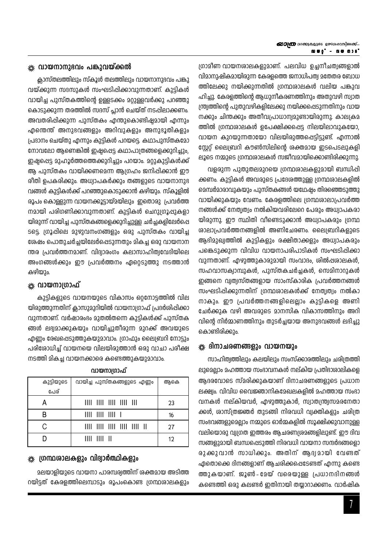ഗ്രാമീണ വായനശാലകളുമാണ്. പലവിധ ഉച്ചനീചത്വങ്ങളാൽ വിമാനുഷികമായിരുന്ന കേരളത്തെ ജനാധിപത്വ മതേതര ബോധ ത്തിലേക്കു നയിക്കുന്നതിൽ ഗ്രന്ഥശാലകൾ വലിയ പങ്കുവ ഹിച്ചു. കേരളത്തിന്റെ ആധുനീകരണത്തിനും അതുവഴി സ്വാത ന്ത്ര്വത്തിന്റെ പുതുവഴികളിലേക്കു നയിക്കപ്പെടുന്നതിനും വായ നക്കും ചിന്തക്കും അതീവപ്രാധാന്വമുണ്ടായിരുന്നു. കാലക്രമ ത്തിൽ ഗ്രന്ഥശാലകൾ ഉപേക്ഷിക്കപ്പെട്ട നിലയിലാവുകയോ, വായന കുറയുന്നതായോ വിലയിരുത്തപ്പെട്ടിട്ടുണ്ട്. എന്നാൽ സ്റ്റേറ്റ് ലൈബ്രറി കൗൺസിലിന്റെ ശക്തമായ ഇടപെടലുകളി ലൂടെ നമ്മുടെ ഗ്രന്ഥശാലകൾ സജീവമായിക്കൊണ്ടിരിക്കുന്നു.

വളരുന്ന പുതുതലമുറയെ ഗ്രന്ഥശാലകളുമായി ബന്ധിപ്പി ക്കണം. കുട്ടികൾ അവരുടെ പ്രദേശത്തുള്ള ഗ്രന്ഥശാലകളിൽ മെമ്പർമാരാവുകയും പുസ്തകങ്ങൾ യഥേഷ്യം തിരഞ്ഞെടുത്തു വായിക്കുകയും വേണം. കേരളത്തിലെ ഗ്രന്ഥശാലാപ്രവർത്ത നങ്ങൾക്ക് നേതൃത്വം നൽകിയവരിലേറെ പേരും അധ്വാപകരാ യിരുന്നു. ഈ സ്ഥിതി വീണ്ടെടുക്കാൻ അധ്വാപകരും ഗ്രന്ഥ ശാലാപ്രവർത്തനങ്ങളിൽ അണിചേരണം. ലൈബ്രറികളുടെ ആഭിമുഖ്വത്തിൽ കുട്ടികളും രക്ഷിതാക്കളും അധ്വാപകരും പങ്കെടുക്കുന്ന വിവിധ വായനാപരിപാടികൾ സംഘടിപ്പിക്കാ വുന്നതാണ്. എഴുത്തുകാരുമായി സംവാദം, ശിൽഷശാലകൾ, സഹവാസക്വാമ്പുകൾ, പുസ്തകചർച്ചകൾ, സെമിനാറുകൾ ഇങ്ങനെ വ്വത്വസ്തങ്ങളായ സാംസ്കാരിക പ്രവർത്തനങ്ങൾ സംഘടിപ്പിക്കുന്നതിന് ഗ്രന്ഥശാലകൾക്ക് നേത്വത്വം നൽകാ നാകും. ഈ പ്രവർത്തനങ്ങളിലെല്ലാം കുട്ടികളെ അണി ചേർക്കുക വഴി അവരുടെ മാനസിക വികാസത്തിനും അറി വിന്റെ നിർമ്മാണത്തിനും തുടർച്ചയായ അനുഭവങ്ങൾ ലഭിച്ചു കൊണ്ടിരിക്കും.

### ※ ദിനാചരണങ്ങളും വായനയും

സാഹിത്വത്തിലും കലയിലും സംസ്ക്കാരത്തിലും ചരിത്രത്തി ലുമെല്ലാം മഹത്തായ സംഭാവനകൾ നല്കിയ പ്രതിഭാശാലികളെ അദരവോടെ സ്മരിക്കുകയാണ് ദിനാചരണങ്ങളുടെ പ്രധാന ലക്ഷ്വം. വിവിധ വൈജ്ഞാനികമേഖലകളിൽ മഹത്തായ സംഭാ വനകൾ നല്കിയവർ, എഴുത്തുകാർ, സ്വാതന്ത്ര്വസമരനേതാ ക്കൾ, ശാസ്ത്രജ്ഞർ തുടങ്ങി നിരവധി വ്വക്തികളും ചരിത്ര സംഭവങ്ങളുമെല്ലാം നമ്മുടെ ഓർമ്മകളിൽ സൂക്ഷിക്കുവാനുള്ള വലിയൊരു വ്യഗ്രത ഇത്തരം ആചരണശ്രമങ്ങളിലുണ്ട്. ഈ ദിവ സങ്ങളുമായി ബന്ധപ്പെടുത്തി നിരവധി വായനാ സന്ദർഭങ്ങളൊ രുക്കുവാൻ സാധിക്കും. അതിന് ആദ്വമായി വേണ്ടത് ഏതൊക്കെ ദിനങ്ങളാണ് ആചരിക്കപ്പെടേണ്ടത് എന്നു കണ്ടെ ത്തുകയാണ്. ജൂൺ- മേയ് വരെയുള്ള പ്രധാനദിനങ്ങൾ കണ്ടെത്തി ഒരു കലണ്ടർ ഇതിനായി തയ്യാറാക്കണം. വാർഷിക

## ※ വായനാനുഭവം പങ്കുവയ്ക്കൽ

ക്ലാസ്തലത്തിലും സ്കൂൾ തലത്തിലും വായനാനുദവം പങ്കു വയ്ക്കുന്ന സദസുകൾ സംഘടിപ്പിക്കാവുന്നതാണ്. കുടികൾ വായിച്ച പുസ്തകത്തിന്റെ ഉള്ളടക്കം മറ്റുള്ളവർക്കു പറഞ്ഞു കൊടുക്കുന്ന തരത്തിൽ സദസ് പ്ലാൻ ചെയ്ത് നടപ്പിലാക്കണം. അവതരിഷിക്കുന്ന പുസ്തകം എന്തുകൊണ്ടിഷ്ടമായി എന്നും എന്തെന്ത് അനുഭവങ്ങളും അറിവുകളും അനുഭൂതികളും പ്രദാനം ചെയ്തു എന്നും കുട്ടികൾ പറയട്ടെ. കഥാപുസ്തകമോ നോവലോ ആണെങ്കിൽ ഇഷ്ടപ്പെട്ട കഥാപാത്രങ്ങളെക്കുറിച്ചും, ഇഷ്ടപ്പെട്ട മുഹൂർത്തത്തെക്കുറിച്ചും പറയാം. മറ്റുകുട്ടികൾക്ക് ആ പുസ്തകം വായിക്കണമെന്ന ആഗ്രഹം ജനിപ്പിക്കാൻ ഈ രീതി ഉപകരിക്കും. അധ്വാപകർക്കും തങ്ങളുടെ വായനാനുഭ വങ്ങൾ കുട്ടികൾക്ക് പറഞ്ഞുകൊടുക്കാൻ കഴിയും. സ്കൂളിൽ രൂപം കൊള്ളുന്ന വായനക്കൂട്ടായ്മയിലും ഇതൊരു പ്രവർത്ത നമായി പരിഗണിക്കാവുന്നതാണ്. കുട്ടികൾ ചെറുഗ്രൂഷുകളാ യിരുന്ന് വായിച്ച പുസ്തകങ്ങളെക്കുറിച്ചുള്ള ചർച്ചകളിലേർപ്പെ ടട്ടെ. ഗ്രൂപ്പിലെ മുഴുവനംഗങ്ങളും ഒരു പുസ്തകം വായിച്ച ശേഷം പൊതുചർച്ചയിലേർപ്പെടുന്നതും മികച്ച ഒരു വായനാന ന്തര പ്രവർത്തനമാണ്. വിദ്വാരംഗം കലാസാഹിത്വവേദിയിലെ അംഗങ്ങൾക്കും ഈ പ്രവർത്തനം ഏറ്റെടുത്തു നടത്താൻ കഴിയും.

#### ※ വായനാത്രാഫ്

കുട്ടികളുടെ വായനയുടെ വികാസം ഒറ്റനോട്ടത്തിൽ വില യിരുത്തുന്നതിന് ക്ലാസുമുറിയിൽ വായനാഗ്രാഫ് പ്രദർശിപ്പിക്കാ വുന്നതാണ്. വർഷാരംഭം മുതൽതന്നെ കുട്ടികൾക്ക് പുസ്തക ങ്ങൾ ലഭ്വമാക്കുകയും വായിച്ചുതീരുന്ന മുറക്ക് അവയുടെ എണ്ണം രേഖപ്പെടുത്തുകയുമാവാം. ഗ്രാഫും ലൈബ്രറി നോട്ടും പരിശോധിച്ച് വായനയെ വിലയിരുത്താൻ ഒരു വാചാ പരീക്ഷ നടത്തി മികച്ച വായനക്കാരെ കണ്ടെത്തുകയുമാവാം.

| കുട്ടിയുടെ | വായിച്ച പുസ്തകങ്ങളുടെ എണ്ണം                                                                                                                                                                                                                                                                                         | ആകെ |
|------------|---------------------------------------------------------------------------------------------------------------------------------------------------------------------------------------------------------------------------------------------------------------------------------------------------------------------|-----|
| പേര്       |                                                                                                                                                                                                                                                                                                                     |     |
|            | 1111 1111 1111 1111 111                                                                                                                                                                                                                                                                                             | 23  |
| R          |                                                                                                                                                                                                                                                                                                                     | 16  |
| C.         | $\frac{1}{2}$ $\frac{1}{2}$ $\frac{1}{2}$ $\frac{1}{2}$ $\frac{1}{2}$ $\frac{1}{2}$ $\frac{1}{2}$ $\frac{1}{2}$ $\frac{1}{2}$ $\frac{1}{2}$ $\frac{1}{2}$ $\frac{1}{2}$ $\frac{1}{2}$ $\frac{1}{2}$ $\frac{1}{2}$ $\frac{1}{2}$ $\frac{1}{2}$ $\frac{1}{2}$ $\frac{1}{2}$ $\frac{1}{2}$ $\frac{1}{2}$ $\frac{1}{2}$ | 27  |
|            | $III \quad III \quad II$                                                                                                                                                                                                                                                                                            | 12  |

#### വായനാഗ്രാഫ്

#### ്ക്ക് ഗ്രന്ഥശാലകളും വിദ്വാർത്ഥികളും

മലയാളിയുടെ വായനാ പാരമ്പര്വത്തിന് ശക്തമായ അടിത്ത റയിട്ടത് കേരളത്തിലെമ്പാടും രൂപംകൊണ്ട ഗ്രന്ഥശാലകളും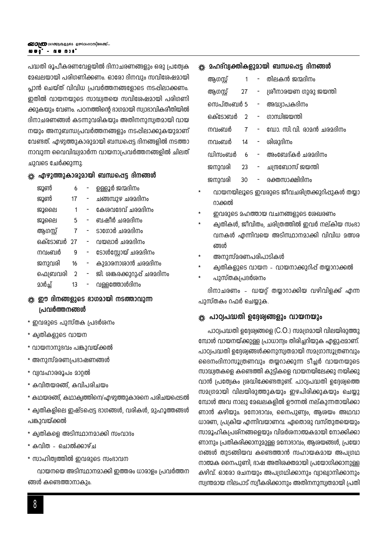പദ്ധതി രൂപീകരണവേളയിൽ ദിനാചരണങ്ങളും ഒരു പ്രത്യേക മേഖലയായി പരിഗണിക്കണം. ഓരോ ദിനവും സവിശേഷമായി പ്ലാൻ ചെയ്ത് വിവിധ പ്രവർത്തനങ്ങളോടെ നടപ്പിലാക്കണം. ഇതിൽ വായനയുടെ സാദ്ധ്വതയെ സവിശേഷമായി പരിഗണി ക്കുകയും വേണം. പഠനത്തിന്റെ ദാഗമായി സ്വാഭാവികരീതിയിൽ ദിനാചരണങ്ങൾ കടന്നുവരികയും അതിനനുസ്വതമായി വായ നയും അനുബന്ധപ്രവർത്തനങ്ങളും നടപ്പിലാക്കുകയുമാണ് വേണ്ടത്. എഴുത്തുകാരുമായി ബന്ധപ്പെട്ട ദിനങ്ങളിൽ നടത്താ നാവുന്ന വൈവിദ്ധ്വമാർന്ന വായനാപ്രവർത്തനങ്ങളിൽ ചിലത് ചുവടെ ചേർക്കുന്നു.

#### ※ എഴുത്തുകാരുമായി ബന്ധപ്പെട്ട ദിനങ്ങൾ

| ജൂൺ        | 6              | ഉള്ളൂർ ജന്മദിനം             |
|------------|----------------|-----------------------------|
| ജൂൺ        | 17             | ചങ്ങമ്പുഴ ചരമദിനം           |
| ജൂലൈ       | 1              | കേശവദേവ് ചരമദിനം            |
| ജൂലൈ       | 5              | ബഷീർ ചരമദിനം                |
| ആഗസ്റ്റ്   | 7              | ടാഗോർ ചരമദിനം               |
| ഒക്ടോബർ 27 |                | വയലാർ ചരമദിനം               |
| നവംബർ      | 9              | ടോൾസ്റ്റോയ് ചരമദിനം         |
| ജനുവരി     | 16             | കുമാരനാശാൻ ചരമദിനം          |
| ഫെബ്രവരി   | $\overline{2}$ | ജി. ശങ്കരക്കുറുപ്പ് ചരമദിനം |
| മാർച്ച്    | 13             | വള്ളത്തോൾദിനം               |

## ※ ഈ ദിനങ്ങളുടെ ഭാഗമായി നടത്താവുന്ന പ്രവർത്തനങ്ങൾ

- \* ഇവരുടെ പുസ്തക പ്രദർശനം
- \* ക്വതികളുടെ വായന
- \* വായനാനുദവം പങ്കുവയ്ക്കൽ
- \* അനുസ്മരണപ്രഭാഷണങ്ങൾ
- \* വ്യവഹാരരൂപം മാറ്റൽ
- \* കവിതയരങ്ങ്, കവിപരിചയം
- \* കഥയരങ്ങ്, കഥാകൃത്തിനെ/എഴുത്തുകാരനെ പരിചയപ്പെടൽ
- \* ക്വതികളിലെ ഇഷ്ടപ്പെട്ട ഭാഗങ്ങൾ, വരികൾ, മുഹൂത്തങ്ങൾ പങ്കുവയ്ക്കൽ
- \* ക്വതികളെ അടിസ്ഥാനമാക്കി സംവാദം
- \* കവിത ചൊൽക്കാഴ്ച
- \* സാഹിത്വത്തിൽ ഇവരുടെ സംഭാവന

വായനയെ അടിസ്ഥാനമാക്കി ഇത്തരം ധാരാളം പ്രവർത്തന ങ്ങൾ കണ്ടെത്താനാകും.

#### 

| ആഗസ്റ്റ്   | 1   |             | -   തിലകൻ ജന്മദിനം          |
|------------|-----|-------------|-----------------------------|
| ആഗസ്റ്റ്   | 27  | $\sim 1000$ | ശ്രീനാരയണ ഗുരു ജയന്തി       |
|            |     |             | സെപ്തംബർ 5 - അദ്ധ്വാപകദിനം  |
|            |     |             | ഒക്ടോബർ 2 - ഗാന്ധിജയന്തി    |
| നവംബർ      |     |             | 7 - ഡോ. സി.വി. രാമൻ ചരമദിനം |
| നവംബർ      |     |             | 14 - ശിശുദിനം               |
| വിന്നത്തിർ | - 6 |             | - അംബേദ്കർ ചരമദിനം          |
| ജനുവരി     | 23  |             | - ചന്ദ്രബോസ് ജയന്തി         |
| ജനുവരി     | 30  | н.          | രക്തസാക്ഷിദിനം              |
|            |     |             |                             |

- വായനയിലൂടെ ഇവരുടെ ജീവചരിത്രക്കുറിപ്പുകൾ തയ്യാ റാക്കൽ
- ഇവരുടെ മഹത്തായ വചനങ്ങളുടെ ശേഖരണം
- ക്വതികൾ, ജീവിതം, ചരിത്രത്തിൽ ഇവർ നല്കിയ സംഭാ വനകൾ എന്നിവയെ അടിസ്ഥാനമാക്കി വിവിധ മത്സര ങ്ങൾ
- അനുസ്മരണപരിപാടികൾ
- ക്വതികളുടെ വായന വായനാക്കുറിപ്പ് തയ്യാറാക്കൽ
- പുസ്തകപ്രദർശനം

ദിനാചരണം - ഡയറ്റ് തയ്യാറാക്കിയ വഴിവിളക്ക് എന്ന പുസ്തകം റഫർ ചെയ്യുക.

#### ※ പാഠ്വപദ്ധതി ഉദ്ദേശ്വങ്ങളും വായനയും

പാഠ്വപദ്ധതി ഉദ്ദേശ്വങ്ങളെ (C.O.) സമഗ്രമായി വിലയിരുത്തു മ്പോൾ വായനയ്ക്കുള്ള പ്രാധാന്വം തിരിച്ചറിയുക എളുഷമാണ്. പാഠ്വപദ്ധതി ഉദ്ദേശ്വങ്ങൾക്കനുസ്വതമായി സമഗ്രാസൂത്രണവും ദൈനംദിനാസൂത്രണവും തയ്യറാക്കുന്ന ടീച്ചർ വായനയുടെ സാദ്ധ്വതകളെ കണ്ടെത്തി കുട്ടികളെ വായനയിലേക്കു നയിക്കു വാൻ പ്രത്വേകം ശ്രദ്ധിക്കേണ്ടതുണ്ട്. പാഠ്വപദ്ധതി ഉദ്ദേശ്വത്തെ സമഗ്രമായി വിലയിരുത്തുകയും ഇഴപിരിക്കുകയും ചെയ്യു മ്പോൾ അവ നാലു മേഖലകളിൽ ഊന്നൽ നല്കുന്നതായിക്കാ ണാൻ കഴിയും. മനോദാവം, നൈപുണ്വം, ആശയം അഥവാ ധാരണ, പ്രക്രിയ എന്നിവയാണവ. ഏതൊരു വസ്തുതയെയും സാമൂഹികപ്രശ്നങ്ങളെയും വിമർശനാത്മകമായി നോക്കിക്കാ ണാനും പ്രതികരിക്കാനുമുള്ള മനോഭാവം, ആശയങ്ങൾ, പ്രയോ ഗങ്ങൾ തുടങ്ങിയവ കണ്ടെത്താൻ സഹായകമായ അപഗ്രഥ നാത്മക നൈപുണി, ദാഷ അതിരക്തമായി പ്രയോഗിക്കാനുള്ള കഴിവ്. ഓരോ രചനയും അപഗ്രഥിക്കാനും വ്വാഖ്വാനിക്കാനും സ്വന്തമായ നിലപാട് സ്വീകരിക്കാനും അതിനനുസ്വതമായി പ്രതി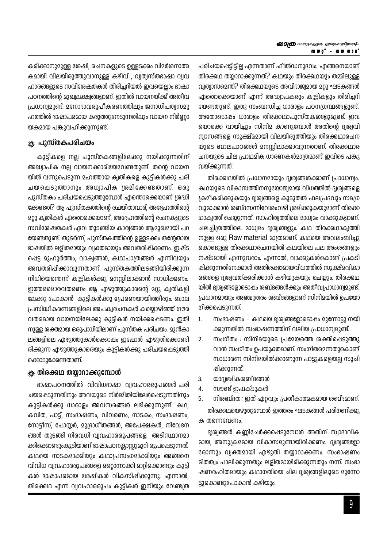കരിക്കാനുമുള്ള ശേഷി, രചനകളുടെ ഉള്ളടക്കം വിമർശനാത്മ കമായി വിലയിരുത്തുവാനുള്ള കഴിവ് , വ്വത്വസ്തദാഷാ വ്വവ ഹാരങ്ങളുടെ സവിശേഷതകൾ തിരിച്ചറിയൽ ഇവയെല്ലാം ഭാഷാ പഠനത്തിന്റെ മുഖ്വലക്ഷ്വങ്ങളാണ്. ഇതിൽ വായനയ്ക്ക് അതിവ പ്രധാന്വമുണ്ട്. മനോഭാവരൂപീകരണത്തിലും ജനാധിപത്വസമൂ ഹത്തിൽ ഭാഷാപരമായ കരുത്തുനേടുന്നതിലും വായന നിർണ്ണാ യകമായ പങ്കുവഹിക്കുന്നുണ്ട്.

#### <sub>\*</sub>‱ പുസ്തകപരിചയം

കുട്ടികളെ നല്ല പുസ്തകങ്ങളിലേക്കു നയിക്കുന്നതിന് അദ്ധ്വാപിക നല്ല വായനക്കാരിയേവേണ്ടതുണ്ട്. തന്റെ വായന യിൽ വന്നുപെടുന്ന മഹത്തായ കൃതികളെ കുട്ടികൾക്കു പരി ചയപ്പെടുത്താനും അധ്വാപിക ശ്രമിക്കേണ്ടതാണ്. ഒരു പുസ്തകം പരിചയപ്പെടുത്തുമ്പോൾ എന്തൊക്കെയാണ് ശ്രദ്ധി ക്കേണ്ടത്? ആ പുസ്തകത്തിന്റെ രചയിതാവാര്, അദ്ദേഹത്തിന്റെ 202 ക്വതികൾ ഏതൊക്കെയാണ്. അദ്ദേഹത്തിന്റെ രചനകളുടെ സവിശേഷതകൾ ഏവ തുടങ്ങിയ കാര്യങ്ങൾ ആമുഖമായി പറ യേണ്ടതുണ്ട്. തുടർന്ന്, പുസ്തകത്തിന്റെ ഉള്ളടക്കം തന്റേതായ ദാഷയിൽ ലളിതമായും വ്വക്തമായും അവതരിപ്പിക്കണം. ഇഷ്ട പ്പെട്ട മുഹൂർത്തം, വാക്വങ്ങൾ, കഥാപാത്രങ്ങൾ എന്നിവയും അവതരിപ്പിക്കാവുന്നതാണ്. പുസ്തകത്തിലടങ്ങിയിരിക്കുന്ന നിധിയെന്തെന്ന് കുട്ടികൾക്കു മനസ്സിലാക്കാൻ സാധിക്കണം. ഇത്തരമൊരവതരണം ആ എഴുത്തുകാരന്റെ മറ്റു ക്വതികളി ലേക്കു പോകാൻ കുട്ടികൾക്കു പ്രേരണയായിത്തീരും. ബാല പ്രസിദ്ധീകരണങ്ങളിലെ അപക്വരചനകൾ കയ്യൊഴിഞ്ഞ് ഗൗര വതരമായ വായനയിലേക്കു കുട്ടികൾ നയിക്കപ്പെടണം. ഇതി നുള്ള ശക്തമായ ഒരുപാധിയിലാണ് പുസ്തക പരിചയം. മുൻകാ ലങ്ങളിലെ എഴുത്തുകാർക്കൊപ്പം ഇപ്പോൾ എഴുതിക്കൊണ്ടി രിക്കുന്ന എഴുത്തുകാരെയും കുട്ടികൾക്കു പരിചയപ്പെടുത്തി ക്കൊടുക്കേണ്ടതാണ്.

#### ☀ തിരക്കഥ തയ്യാറാക്കുമ്പോൾ

ഭാഷാപഠനത്തിൽ വിവിധഭാഷാ വ്യവഹാരരൂപങ്ങൾ പരി ചയപ്പെടുന്നതിനും അവയുടെ നിർമ്മിതിയിലേർപ്പെടുന്നതിനും കുട്ടികൾക്കു ധാരാളം അവസരങ്ങൾ ലഭിക്കുന്നുണ്ട്. കഥ, കവിത, പാട്ട്, സംഭാഷണം, വിവരണം, നാടകം, സംഭാഷണം, നോട്ടീസ്, പോസ്റ്റർ, മുദ്രാഗീതങ്ങൾ, അപേക്ഷകൾ, നിവേദന ങ്ങൾ തുടങ്ങി നിരവധി വ്വവഹാരരൂപങ്ങളെ അടിസ്ഥാനമാ ക്കിക്കൊണ്ടുംകൂടിയാണ് ഭാഷാപഠനക്കാസ്സുമുറി രൂപപ്പെടുന്നത്. കഥയെ നാടകമാക്കിയും കഥാപ്രസംഗമാക്കിയും അങ്ങനെ വിവിധ വ്വവഹാരരൂപങ്ങളെ മറ്റൊന്നാക്കി മാറ്റിക്കൊണ്ടും കുട്ടി കൾ ഭാഷാപരമായ ശേഷികൾ വികസിപ്പിക്കുന്നു. എന്നാൽ, തിരക്കഥ എന്ന വ്വവഹാരരൂപം കുട്ടികൾ ഇനിയും വേണ്ടത്ര പരിചയപ്പെട്ടിട്ടില്ല എന്നതാണ് ഫീൽഡനുഭവം. എങ്ങനെയാണ് തിരക്കഥ തയാറാക്കുന്നത്? കഥയും തിരക്കഥയും തമ്മിലുള്ള വ്വത്വാസമെന്ത്? തിരക്കഥയുടെ അവിദാജ്വമായ മറ്റു ഘടകങ്ങൾ ഏതൊക്കെയാണ് എന്ന് അദ്ധ്വാപകരും കുട്ടികളും തിരിച്ചറി യേണ്ടതുണ്ട്. ഇതു സംബന്ധിച്ച ധാരാളം പഠനഗ്രന്ഥങ്ങളുണ്ട്. അതോടൊപ്പം ധാരാളം തിരക്കഥാപുസ്തകങ്ങളുമുണ്ട്. ഇവ യൊക്കെ വായിച്ചും സിനിമ കാണുമ്പോൾ അതിന്റെ ദ്വശ്വവി ന്വാസങ്ങളെ സൂക്ഷ്മമായി വിലയിരുത്തിയും തിരക്കഥാരചന യുടെ ബാലപാഠങ്ങൾ മനസ്സിലാക്കാവുന്നതാണ്. തിരക്കഥാര ചനയുടെ ചില പ്രാഥമിക ധാരണകൾമാത്രമാണ് ഇവിടെ പങ്കു വയ്ക്കുന്നത്.

തിരക്കഥയിൽ പ്രധാനമായും ദ്വര്വങ്ങൾക്കാണ് പ്രാധാന്വം. കഥയുടെ വികാസത്തിനനുയോജ്വമായ വിധത്തിൽ ദൃശ്വങ്ങളെ ക്രമീകരിക്കുകയും ദൃശ്വങ്ങളെ കൂടുതൽ ഫലപ്രദവും സമഗ്ര വുമാക്കാൻ ശബ്ദസന്നിവേശംവഴി ശ്രമിക്കുകയുമാണ് തിരക്ക ഥാക്വത്ത് ചെയ്യുന്നത്. സാഹിത്വത്തിലെ മാധ്വമം വാക്കുകളാണ്. ചലച്ചിത്രത്തിലെ മാധ്വമം ദൃശ്വങ്ങളും. കഥ തിരക്കഥാക്വത്തി നുള്ള ഒരു Raw material മാത്രമാണ്. കഥയെ അവലംബിച്ചു കൊണ്ടുള്ള തിരക്കഥാരചനയിൽ കഥയിലെ പല അംശങ്ങളും നഷ്ടമായി എന്നുവരാം. എന്നാൽ, വാക്കുകൾകൊണ്ട് പ്രകടി പ്പിക്കുന്നതിനേക്കാൾ അതിശക്തമായവിധത്തിൽ സൂക്ഷ്മവികാ രങ്ങളെ ദൃശ്വവത്ക്കരിക്കാൻ കഴിയുകയും ചെയ്യും. തിരക്കഥ യിൽ ദൃശ്വങ്ങളോടൊപ്പം ശബ്ദങ്ങൾക്കും അതീവപ്രാധാന്വമുണ്ട്. പ്രധാനമായും അഞ്ചുതരം ശബ്ദങ്ങളാണ് സിനിമയിൽ ഉപയോ ഗിക്കപ്പെടുന്നത്.

- സംഭാഷണം കഥയെ ദൃശ്വങ്ങളോടൊപ്പം മുന്നോട്ടു നയി  $\mathbf{1}$ ക്കുന്നതിൽ സംഭാഷണത്തിന് വലിയ പ്രാധാന്വമുണ്ട്.
- സംഗീതം : സിനിമയുടെ പ്രമേയത്തെ ശക്തിപ്പെടുത്തു  $\overline{2}$ . വാൻ സംഗീതം ഉപയുക്തമാണ്. സംഗീതമെന്നതുകൊണ്ട് സാധാരണ സിനിമയിൽക്കാണുന്ന പാട്ടുകളെയല്ല സൂചി പ്പിക്കുന്നത്.
- 3. യാദ്യശ്ചികശബ്ദങ്ങൾ
- സൗണ്ട് ഇഫക്ടുകൾ  $\overline{A}$ .
- 5. നിശബ്ദത : ഇത് ഏറ്റവും പ്രതീകാത്മകമായ ശബ്ദമാണ്. തിരക്കഥയെഴുതുമ്പോൾ ഇത്തരം ഘടകങ്ങൾ പരിഗണിക്കു ക തന്നെവേണം.

ദ്വശ്വങ്ങൾ കണ്ണിചേർക്കപ്പെടുമ്പോൾ അതിന് സ്വാഭാവിക മായ, അനുക്രമമായ വികാസമുണ്ടായിരിക്കണം. ദ്വശ്വങ്ങളോ രോന്നും വ്വക്തമായി എഴുതി തയാറാക്കണം. സംഭാഷണം മിതത്വം പാലിക്കുന്നതും ലളിതമായിരിക്കുന്നതും നന്ന്. സംഭാ ഷണരഹിതമായും കഥാഗതിയെ ചില ദൃശ്വങ്ങളിലൂടെ മുന്നോ ട്ടുകൊണ്ടുപോകാൻ കഴിയും.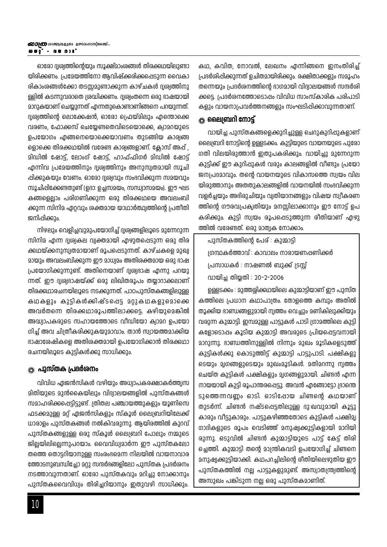ഓരോ ദൃശ്വത്തിന്റെയും സൂക്ഷ്മാംശങ്ങൾ തിരക്കഥയിലുണ്ടാ യിരിക്കണം. പ്രമേയത്തിനോ ആവിഷ്ക്കരിക്കപ്പെടുന്ന വൈകാ രികാംശങ്ങൾക്കോ തടസ്സമുണ്ടാക്കുന്ന കാഴ്ചകൾ ദൃശ്വത്തിനു ള്ളിൽ കടന്നുവരാതെ ശ്രദ്ധിക്കണം. ദൃശ്വംതന്നെ ഒരു ഭാഷയായി മാറുകയാണ് ചെയ്യുന്നത് എന്നതുകൊണ്ടാണിങ്ങനെ പറയുന്നത്. ദ്വശ്വത്തിന്റെ ലൊക്കേഷൻ, ഓരോ പ്രെയ്മിലും എന്തൊക്കെ വരണം, ഫോക്കസ് ചെയ്യേണ്ടതെവിടെയൊക്കെ, ക്വാമറയുടെ ഉപയോഗം എങ്ങനെയൊക്കെയാവണം തുടങ്ങിയ കാര്വങ്ങ ളൊക്കെ തിരക്കഥയിൽ വരേണ്ട കാര്യങ്ങളാണ്. ക്ലോസ് അപ്പ് , മിഡിൽ ഷോട്ട്, ലോംഗ് ഷോട്ട്, ഹാഫ്ഫിഗർ മിഡിൽ ഷോട്ട് എന്നിവ പ്രമേയത്തിനും ദൃശ്വത്തിനും അനുസ്വതമായി സൂചി ഷിക്കുകയും വേണം. ഓരോ ദ്വശ്വവും സംഭവിക്കുന്ന സമയവും സൂചിപ്പിക്കേണ്ടതുണ്ട് (ഉദാ: ഉച്ചസമയം, സന്ധ്വാസമയം). ഈ ഘട കങ്ങളെല്ലാം പരിഗണിക്കുന്ന ഒരു തിരക്കഥയെ അവലംബി ക്കുന്ന സിനിമ ഏറ്റവും ശക്തമായ യാഥാർത്ഥ്വത്തിന്റെ പ്രതീതി ജനിപ്പിക്കും.

നിഴലും വെളിച്ചവുമുപയോഗിച്ച് ദുശ്വങ്ങളിലൂടെ മുന്നേറുന്ന സിനിമ എന്ന ദൃശ്വകല വ്വക്തമായി എഴുതപ്പെടുന്ന ഒരു തിര ക്കഥയ്ക്കനുസൃതമായാണ് രൂപപ്പെടുന്നത്. കാഴ്ചകളെ മുഖ്വ മായും അവലംബിക്കുന്ന ഈ മാധ്വമം അതിശക്തമായ ഒരു ഭാഷ പ്രയോഗിക്കുന്നുണ്ട്. അതിനെയാണ് ദൃശ്വഭാഷ എന്നു പറയു ന്നത്. ഈ ദ്വര്വഭാഷയ്ക്ക് ഒരു ലിഖിതരൂപം തയ്യാറാക്കലാണ് തിരക്കഥാരചനയിലൂടെ നടക്കുന്നത്. പാഠപുസ്തകങ്ങളിലുള്ള കഥകളും കുട്ടികൾക്കിഷ്ടപ്പെട്ട മറ്റുകഥകളുമൊക്കെ അവർതന്നെ തിരക്കഥാരൂപത്തിലാക്കട്ടെ. കഴിയുമെങ്കിൽ അദ്ധ്വാപകരുടെ സഹായത്തോടെ വീഡിയോ ക്വാമറ ഉപയോ ഗിച്ച് അവ ചിത്രീകരിക്കുകയുമാവാം. താൻ സ്വായത്തമാക്കിയ ഭാഷാശേഷികളെ അതിശക്തമായി ഉപയോഗിക്കാൻ തിരക്കഥാ രചനയിലൂടെ കുട്ടികൾക്കു സാധിക്കും.

#### ‱ പുസ്തക പ്രദർശനം

വിവിധ ഏജൻസികൾ വഴിയും അധ്വാപകരക്ഷാകർത്ത്വസ മിതിയുടെ മുൻകൈയിലും വിദ്വാലയങ്ങളിൽ പുസ്തകങ്ങൾ സമാഹരിക്കപ്പെട്ടിട്ടുണ്ട്. ത്രിതല പഞ്ചായത്തുകളും യൂണിസെ ഫടക്കമുള്ള മറ്റ് ഏജൻസികളും സ്കൂൾ ലൈബ്രറിയിലേക്ക് ധാരാളം പുസ്തകങ്ങൾ നൽകിവരുന്നു. ആയിരത്തിൽ കുറവ് പുസ്തകങ്ങളുള്ള ഒരു സ്കൂൾ ലൈബ്രറി പോലും നമ്മുടെ ജില്ലയിലില്ലെന്നുപറയാം. വൈവിധ്വമാർന്ന ഈ പുസ്തകലോ തത്തെ തൊട്ടറിയാനുള്ള സംരംഭമെന്ന നിലയിൽ വായനാവാര ത്തോടനുബന്ധിച്ചോ മറ്റു സന്ദർഭങ്ങളിലോ പുസ്തക പ്രദർശനം നടത്താവുന്നതാണ്. ഓരോ പുസ്തകവും മറിച്ചു നോക്കാനും പുസ്തകവൈവിധ്വം തിരിച്ചറിയാനും ഇതുവഴി സാധിക്കും.

കഥ, കവിത, നോവൽ, ലേഖനം എന്നിങ്ങനെ ഇനംതിരിച്ച് പ്രദർശിപ്പിക്കുന്നത് ഉചിതമായിരിക്കും. രക്ഷിതാക്കളും സമൂഹം തന്നെയും പ്രദർശനത്തിന്റെ ഭാഗമായി വിദ്വാലയങ്ങൾ സന്ദർശി ക്കട്ടെ. പ്രദർശനത്തോടൊപ്പം വിവിധ സാംസ്കാരിക പരിപാടി കളും വായനാപ്രവർത്തനങ്ങളും സംഘടിപ്പിക്കാവുന്നതാണ്.

### $*$ െ ലൈബ്രറി നോട്ട്  $\,$

വായിച്ച പുസ്തകങ്ങളെക്കുറിച്ചുള്ള ചെറുകുറിപ്പുകളാണ് ലൈബ്രറി നോട്ടിന്റെ ഉള്ളടക്കം. കുട്ടിയുടെ വായനയുടെ പുരോ ഗതി വിലയിരുത്താൻ ഇതുപകരിക്കും. വായിച്ചു മുന്നേറുന്ന കുട്ടിക്ക് ഈ കുറിപ്പുകൾ വരും കാലങ്ങളിൽ വീണ്ടും പ്രയോ ജനപ്രദമാവും. തന്റെ വായനയുടെ വികാസത്തെ സ്വയം വില യിരുത്താനും അതതുകാലങ്ങളിൽ വായനയിൽ സംഭവിക്കുന്ന വളർച്ചയും അഭിരുചിയും വ്യതിയാനങ്ങളും വിഷയ സ്വീകരണ ത്തിന്റെ ഗൗരവപ്രകൃതിയും മനസ്സിലാക്കാനും ഈ നോട്ട് ഉപ കരിക്കും. കുട്ടി സ്വയം രൂപപ്പെടുത്തുന്ന രീതിയാണ് എഴു ത്തിൽ വരേണ്ടത്. ഒരു മാത്വക നോക്കാം.

പുസ്തകത്തിന്റെ പേര് : കുമ്മാട്ടി ത്രന്ഥകർത്താവ് : കാവാലം നാരായണപ്പണിക്കർ പ്രസാധകർ : നാഷണൽ ബുക്ക് ട്രസ്റ്റ് വായിച്ച തിയ്യതി : 20-2-2006

ഉള്ളടക്കം : മുത്തശ്ശിക്കഥയിലെ കുമ്മാട്ടിയാണ് ഈ പുസ്ത കത്തിലെ പ്രധാന കഥാപാത്രം. തോളത്തെ കമ്പും അതിൽ തൂക്കിയ ദാണ്ഡങ്ങളുമായി നൃത്തം വെച്ചും മണികിലുക്കിയും വരുന്ന കുമ്മാട്ടി. ഇമ്പമുള്ള പാട്ടുകൾ പാടി ഗ്രാമത്തിലെ കുട്ടി കളോടൊഷം കൂടിയ കുമ്മാട്ടി അവരുടെ പ്രിയപ്പെട്ടവനായി മാറുന്നു. ഭാണ്ഡത്തിനുള്ളിൽ നിന്നും മുഖം മൂടികളെടുത്ത് കുട്ടികൾക്കു കൊടുത്തിട്ട് കുമ്മാട്ടി പാട്ടുപാടി. പക്ഷികളു ടെയും മൃഗങ്ങളുടെയും മുഖംമൂടികൾ. മതിമറന്നു നൃത്തം ചെയ്ത കുട്ടികൾ പക്ഷികളും മൃഗങ്ങളുമായി. ചിണ്ടൻ എന്ന നായയായി കുട്ടി രൂപാന്തരപ്പെട്ടു. അവൻ എങ്ങോട്ടോ ദ്രാന്തെ ടുത്തെന്നവണ്ണം ഓടി. ഓടിപ്പോയ ചിണ്ടന്റെ കഥയാണ് തുടർന്ന്. ചിണ്ടൻ നഷ്ടപ്പെട്ടതിലുള്ള ദു:ഖവുമായി കൂട്ടു കാരും വീട്ടുകാരും. പാട്ടുകഴിഞ്ഞതോടെ കുട്ടികൾ പക്ഷിമ്വ ഗാദികളുടെ രൂപം വെടിഞ്ഞ് മനുഷ്വക്കുട്ടികളായി മാറിയി രുന്നു. ഒടുവിൽ ചിണ്ടൻ കുമ്മാട്ടിയുടെ പാട്ട് കേട്ട് തിരി ച്ചെത്തി. കുമ്മാട്ടി തന്റെ മാന്ത്രികവടി ഉപയോഗിച്ച് ചിണ്ടനെ മനുഷ്വക്കുട്ടിയാക്കി. കഥപറച്ചിലിന്റെ രീതിയിലെഴുതിയ ഈ പുസ്തകത്തിൽ നല്ല പാട്ടുകളുമുണ്ട്. അസ്വാതന്ത്ര്യത്തിന്റെ അസുഖം പങ്കിടുന്ന നല്ല ഒരു പുസ്തകമാണിത്.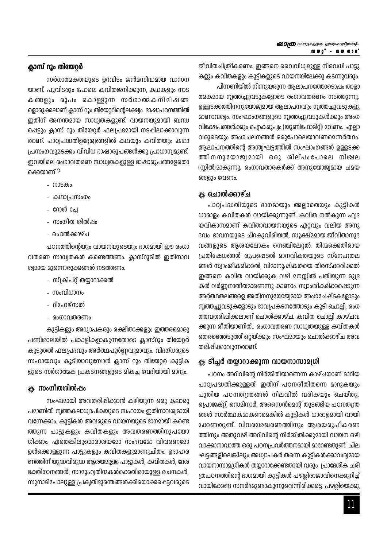### ക്ലാസ് റൂം തിയേറ്റർ

സർഗാത്മകതയുടെ ഉറവിടം ജൻമസിദ്ധമായ വാസന യാണ്. പൂവിടരും പോലെ കവിതജനിക്കുന്ന, കഥകളും നാട കങ്ങളും രൂപം കൊള്ളുന്ന സർഗാത്മകനിമിഷങ്ങ ളൊരുക്കലാണ് ക്ലാസ് റൂം തിയേറ്ററിന്റെലക്ഷ്വം. ഭാഷാപഠനത്തിൽ ഇതിന് അനന്തമായ സാധ്വതകളുണ്ട്. വായനയുമായി ബന്ധ ഷെട്ടും ക്ലാസ് റൂം തിയേറ്റർ ഫലപ്രദമായി നടപ്പിലാക്കാവുന്ന താണ്. പാഠ്വപദ്ധതിഉദ്ദേശ്വങ്ങളിൽ കഥയും കവിതയും കഥാ പ്രസംഗവുമടക്കം വിവിധ ഭാഷാരൂപങ്ങൾക്കു പ്രാധാന്വമുണ്ട്. ഇവയിലെ രംഗാവതരണ സാധ്വതകളുള്ള ഭാഷാരൂപങ്ങളേതൊ ക്കെയാണ് ?

- നാടകം
- കഥാപ്രസംഗം
- റോൾ പ്ലേ
- സംഗീത ശിൽപ്പം
- ചൊൽക്കാഴ്ച

പഠനത്തിന്റെയും വായനയുടെയും ഭാഗമായി ഈ രംഗാ വതരണ സാധ്വതകൾ കണ്ടെത്തണം. ക്ലാസ്റൂമിൽ ഇതിനാവ ശ്വമായ മുന്നൊരുക്കങ്ങൾ നടത്തണം.

- സ്ക്രിപ്റ്റ് തയ്യാറാക്കൽ
- സംവിധാനം
- റിഫേഴ്സൽ
- രംഗാവതരണം

കുട്ടികളും അധ്വാപകരും രക്ഷിതാക്കളും ഇത്തരമൊരു പണിശാലയിൽ പങ്കാളികളാകുന്നതോടെ ക്ലാസ്റൂം തിയേറ്റർ കൂടുതൽ ഫലപ്രദവും അർത്ഥപൂർണ്ണവുമാവും. വിദഗ്ധരുടെ സഹായവും കൂടിയാവുമ്പോൾ ക്ലാസ് റൂം തിയേറ്റർ കുട്ടിക ളുടെ സർഗാത്മക പ്രകടനങ്ങളുടെ മികച്ച വേദിയായി മാറും.

### <sub>\*\*</sub> സംഗീതശിൽപ്പം

സംഘമായി അവതരിപ്പിക്കാൻ കഴിയുന്ന ഒരു കലാരൂ പമാണിത്. നൃത്തകലാധ്വാപികയുടെ സഹായം ഇതിനാവര്യമായി വന്നേക്കാം. കുട്ടികൾ അവരുടെ വായനയുടെ ഭാഗമായി കണ്ടെ ത്തുന്ന പാട്ടുകളും കവിതകളും അവതരണത്തിനുപയോ ഗിക്കാം. ഏതെങ്കിലുമൊരാശയമോ സംഭവമോ വിവരണമോ ഉൾക്കൊള്ളുന്ന പാട്ടുകളും കവിതകളുമാണുചിതം. ഉദാഹര ണത്തിന് യുദ്ധവിരുദ്ധ ആരയമുള്ള പാട്ടുകൾ, കവിതകൾ, ദേശ ഭക്തിഗാനങ്ങൾ, സാമൂഹ്വതിന്മകൾക്കെതിരായുള്ള രചനകൾ, സുനാമിപോലുള്ള പ്രകൃതിദുരന്തങ്ങൾക്കിരയാക്കപ്പെട്ടവരുടെ ജീവിതചിത്രീകരണം. ഇങ്ങനെ വൈവിധ്വമുള്ള നിരവധി പാട്ടു കളും കവിതകളും കുട്ടികളുടെ വായനയിലേക്കു കടന്നുവരും.

പിന്നണിയിൽ നിന്നുയരുന്ന ആലാപനത്തോടൊഷം താളാ ത്മകമായ നൃത്തച്ചുവടുകളോടെ രംഗാവതരണം നടത്തുന്നു. ഉള്ളടക്കത്തിനനുയോജ്വമായ ആലാപനവും നൃത്തച്ചുവടുകളു മാണാവര്വം. സംഘാംഗങ്ങളുടെ നൃത്തച്ചുവടുകൾക്കും അംഗ വിക്ഷേപങ്ങൾക്കും ഐകരൂപ്വം (യൂണിഫോമിറ്റി) വേണം. എല്ലാ വരുടെയും അംഗചലനങ്ങൾ ഒരുപോലെയാവണമെന്നർത്ഥം. ആലാപനത്തിന്റെ അന്ത്വഘട്ടത്തിൽ സംഘാംഗങ്ങൾ ഉള്ളടക്ക ത്തിനനുയോജ്വമായി ഒരു ശില്പംപോലെ നിശ്ചല (സ്റ്റിൽ)മാകുന്നു. രംഗാവതാരകർക്ക് അനുയോജ്വമായ ചമയ ങ്ങളും വേണം.

### \* ഈിൽക്കാഴ്ച

പാഠ്വപദ്ധതിയുടെ ഭാഗമായും അല്ലാതെയും കുട്ടികൾ ധാരാളം കവിതകൾ വായിക്കുന്നുണ്ട്. കവിത നൽകുന്ന ഹ്യദ യവികാസമാണ് കവിതാവായനയുടെ ഏറ്റവും വലിയ അനു ഭവം. ഭാവനയുടെ ചിറകുവിരിയൽ, സൂക്ഷ്മമായ ജീവിതാനുഭ വങ്ങളുടെ ആശയലോകം നെഞ്ചിലേറ്റൽ. തിന്മക്കെതിരായ പ്രതിഷേധങ്ങൾ രൂപപ്പെടൽ മാനവികതയുടെ സ്നേഹതല ങ്ങൾ സ്വാംശീകരിക്കൽ, വിമാനുഷികതയെ തിരസ്ക്കരിക്കൽ ഇങ്ങനെ കവിത വായിക്കുക വഴി മനസ്സിൽ പതിയുന്ന മുദ്ര കൾ വർണ്ണനാതിതമാണെന്നു കാണാം. സ്വാംശികരിക്കപ്പെടുന്ന അർത്ഥതലങ്ങളെ അതിനനുയോജ്വമായ അംഗചേഷ്ടകളോടും നൃത്തച്ചുവടുകളോടും ഭാവപ്രകടനത്തോടും കൂടി ചൊല്ലി, രംഗ ത്തവതരിപ്പിക്കലാണ് ചൊൽക്കാഴ്ച. കവിത ചൊല്ലി കാഴ്ചവ ക്കുന്ന രീതിയാണിത്.. രംഗാവതരണ സാധ്വതയുള്ള കവിതകൾ തെരഞ്ഞെടുത്ത് ഒറ്റയ്ക്കും സംഘമായും ചൊൽക്കാഴ്ച അവ തരിപ്പിക്കാവുന്നതാണ്.

## ☀ ടീച്ചർ തയ്യാറാക്കുന്ന വായനാസാമഗ്രി

പഠനം അറിവിന്റെ നിർമ്മിതിയാണെന്ന കാഴ്ചയാണ് മാറിയ പാഠ്വപദ്ധതിക്കുള്ളത്. ഇതിന് പഠനരീതിതന്നെ മാറുകയും പുതിയ പഠനതന്ത്രങ്ങൾ നിലവിൽ വരികയും ചെയ്തു. പ്രൊജക്റ്റ്, സെമിനാർ, അസൈൻമെന്റ് തുടങ്ങിയ പഠനതന്ത്ര ങ്ങൾ സാർത്ഥകമാകണമെങ്കിൽ കുട്ടികൾ ധാരാളമായി വായി ക്കേണ്ടതുണ്ട്. വിവരശേഖരണത്തിനും ആശയരൂപീകരണ ത്തിനും അതുവഴി അറിവിന്റെ നിർമ്മിതിക്കുമായി വായന ഒഴി വാക്കാനാവാത്ത ഒരു പഠനപ്രവർത്തനമായി മാറേണ്ടതുണ്ട്. ചില ഘട്ടങ്ങളിലെങ്കിലും അധ്വാപകർ തന്നെ കുട്ടികൾക്കാവര്യമായ വായനാസാമ്യഗികൾ തയ്യാറാക്കേണ്ടതായി വരും. പ്രാദേശിക ചരി ത്രപഠനത്തിന്റെ ഭാഗമായി കുട്ടികൾ പഴശ്ശിരാജാവിനെക്കുറിച്ച് വായിക്കേണ്ട സന്ദർഭമുണ്ടാകുന്നുവെന്നിരിക്കട്ടെ. പഴശ്ശിയെക്കു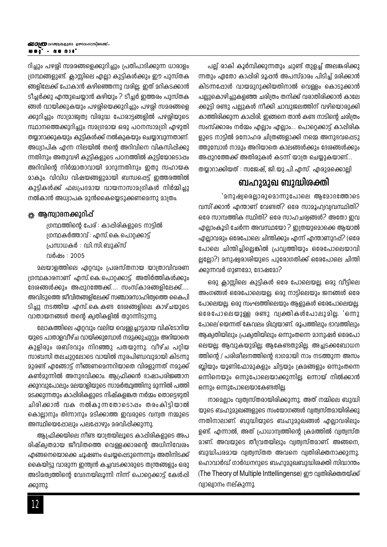റിച്ചും പഴശ്ശി സമരങ്ങളെക്കുറിച്ചും പ്രതിപാദിക്കുന്ന ധാരാളം ശ്രന്ഥങ്ങളുണ്ട്. ക്ലാസ്സിലെ എല്ലാ കുട്ടികൾക്കും ഈ പുസ്തക ങ്ങളിലേക്ക് പോകാൻ കഴിഞ്ഞെന്നു വരില്ല. ഇത് മറികടക്കാൻ ടീചർക്കു എന്തുചെയ്യാൻ കഴിയും ? ടീച്ചർ ഇത്തരം പുസ്തക ങ്ങൾ വായിക്കുകയും പഴശ്ശിയെക്കുറിച്ചും പഴശ്ശി സമരങ്ങളെ ക്കുറിച്ചും സാമ്രാജ്വത്വ വിരുദ്ധ പോരാട്ടങ്ങളിൽ പഴശ്ശിയുടെ സ്ഥാനത്തെക്കുറിച്ചും സമഗ്രമായ ഒരു പഠനസാമഗ്രി എഴുതി തയ്യാറാക്കുകയും കുട്ടികൾക്ക് നൽകുകയും ചെയ്യാവുന്നതാണ്. അധ്വാപിക എന്ന നിലയിൽ തന്റെ അറിവിനെ വികസിപ്പിക്കു ന്നതിനും അതുവഴി കുട്ടികളുടെ പഠനത്തിൽ കുട്ടിയോടൊപ്പം അറിവിന്റെ നിർമ്മാതാവായി മാറുന്നതിനും ഇതു സഹായക മാകും. വിവിധ വിഷയങ്ങളുമായി ബന്ധപ്പെട്ട് ഇത്തരത്തിൽ കുട്ടികൾക്ക് ഫലപ്രദമായ വായനാസാമഗ്രികൾ നിർമ്മിച്ചു നൽകാൻ അധ്വാപക മുൻകൈയ്യെടുക്കണമെന്നു മാത്രം.

#### <u> ※ ആസ്വാദനക്കുറിപ്പ്</u>

ഗ്രന്ഥത്തിന്റെ പേര് : കാപ്പിരികളുടെ നാട്ടിൽ ഗ്രന്ഥകർത്താവ് : എസ്. കെ. പൊറ്റക്കാട്ട് പ്രസാധകർ : ഡി.സി.ബുക്സ് വർഷം : 2005

മലയാളത്തിലെ ഏറ്റവും പ്രശസ്തനായ യാത്രാവിവരണ ഗ്രന്ഥകാരനാണ് എസ്.കെ.പൊറ്റക്കാട്ട്. അതിർത്തികൾക്കും ദേശങ്ങൾക്കും അപ്പുറത്തേക്ക്.... സംസ്കാരങ്ങളിലേക്ക്.... അവിടുത്തെ ജീവിതങ്ങളിലേക്ക് സഞ്ചാരസാഹിത്വത്തെ കൈപി ടിച്ചു നടത്തിയ എസ്.കെ.കണ്ട ദേരങ്ങളിലെ കാഴ്ചയുടെ വാതായനങ്ങൾ തന്റെ ക്വതികളിൽ തുറന്നിടുന്നു.

ലോകത്തിലെ ഏറ്റവും വലിയ വെള്ളച്ചാട്ടമായ വിക്ടോറിയ യുടെ പാതാളവീഴ്ച വായിക്കുമ്പോൾ നമുക്കുചുറ്റും അറിയാതെ കുളിരും രബ്ദവും നിറഞ്ഞു പതയുന്നു. വീഴ്ച പറ്റിയ സാബസി തലചുറ്റലോടെ വായിൽ നുരപിണ്ഡവുമായി കിടന്നു 2ുരണ്ട് എങ്ങോട്ട് നീങ്ങണമെന്നറിയാതെ വിരളുന്നത് ന<u>മു</u>ക്ക് കൺമുന്നിൽ അനുഭവിക്കാം. ആഫ്രിക്കൻ ഭാഷാപരിജ്ഞാന ക്കുറവുപോലും മലയാളിയുടെ സാമർത്ഥ്വത്തിനു മുന്നിൽ പത്തി മടക്കുന്നതും കാപ്പിരികളുടെ നിഷ്കളങ്കത നർമ്മം തൊട്ടെഴുതി ചിരിക്കാൻ വക നൽകുന്നതോടൊപ്പം തരംകിട്ടിയാൽ കൊല്ലാനും തിന്നാനും മടിക്കാത്ത ഇവരുടെ വന്വത നമ്മുടെ അസ്ഥിയെഷോലും പലഷോഴും മരവിഷിക്കുന്നു.

ആപ്രിക്കയിലെ നീണ്ട യാത്രയിലൂടെ കാപ്പിരികളുടെ അപ രിഷ്ക്വതമായ ജീവിതത്തെ വെള്ളക്കാരന്റെ അധിനിവേശം എങ്ങനെയൊക്കെ ചൂഷണം ചെയ്യപ്പെടുന്നെന്നും അതിനിടക്ക് കൈയിട്ടു വാരുന്ന ഇന്ത്യൻ കച്ചവടക്കാരുടെ തന്ത്രങ്ങളും ഒരു അടിമത്വത്തിന്റെ വേദനയിലൂന്നി നിന്ന് പൊറ്റെക്കാട്ട് കേൾപ്പി ക്കുന്നു.

പല്ല് രാകി കൂർമ്പിക്കുന്നതും ചുണ്ട് തുളച്ച് അലങ്കരിക്കു ന്നതും ഏതോ കാപ്പിരി മൂപ്പൻ അപസ്മാരം പിടിച്ച് മരിക്കാൻ കിടന്നപ്പോൾ വായമുറുക്കിയതിനാൽ വെള്ളം കൊടുക്കാൻ പല്ലുകൊഴിച്ചുകളഞ്ഞ ചരിത്രം തനിക്ക് വരാതിരിക്കാൻ കാലേ ക്കൂട്ടി രണ്ടു പല്ലുകൾ നീക്കി ചാവുജലത്തിന് വഴിയൊരുക്കി കാത്തിരിക്കുന്ന കാപ്പിരി. ഇങ്ങനെ താൻ കണ്ട നാടിന്റെ ചരിത്രം സംസ്ക്കാരം നർമ്മം എല്ലാം എല്ലാം... പൊറ്റെക്കാട്ട് കാപ്പിരിക ളുടെ നാട്ടിൽ മനോഹര ചിത്രങ്ങളാക്കി നമ്മെ അനുഭവപ്പെടു ത്തുമ്പോൾ നാമും അറിയാതെ കാലങ്ങൾക്കും ദേശങ്ങൾക്കും അപ്പുറത്തേക്ക് അതിരുകൾ കടന്ന് യാത്ര ചെയ്യുകയാണ്...

തയാറാക്കിയത് : സജേഷ്, ജി.യു.പി.എസ്. എരുമക്കൊലി

## ബഹുമുഖ ബുദ്ധിരക്തി

'മനുഷ്വരെല്ലാരുമൊന്നുപോലെ ആമോദത്തോടെ വസി ക്കാൻ എന്താണ് വേണ്ടത്? ഒരേ സാമൂഹ്വവ്വവസ്ഥിതി? ഒരേ സാമ്പത്തിക സ്ഥിതി? ഒരേ സാഹചര്വങ്ങൾ? അതോ ഇവ എല്ലാംകൂടി ചേർന്ന അവസ്ഥയോ ? ഇത്രയുമൊക്കെ ആയാൽ എല്ലാവരും ഒരേപോലെ ചിന്തിക്കും എന്ന് എന്താണുറപ്പ്? (ഒരേ പോലെ ചിന്തിച്ചില്ലെങ്കിൽ പ്രവൃത്തിയും ഒരേപോലെയാവി ല്ലല്ലോ?) മനുഷ്വരാശിയുടെ പുരോഗതിക്ക് ഒരേപോലെ ചിന്തി ക്കുന്നവർ ഗുണമോ. ദോഷമോ?

ഒരു ക്ലാസ്സിലെ കുട്ടികൾ ഒരേ പോലെയല്ല. ഒരു വീട്ടിലെ അംഗങ്ങൾ ഒരേപോലെയല്ല. ഒരു നാട്ടിലെയും ജനങ്ങൾ ഒരേ പോലെയല്ല. ഒരു സംഘത്തിലെയും ആളുകൾ ഒരേപോലെയല്ല. ഒരേപോലെയുള്ള രണ്ടു വ്യക്തികൾപോലുമില്ല. 'ഒന്നു പോലെ'യെന്നത് കേവലം മിഥ്വയാണ്. രൂപത്തിലും ദാവത്തിലും ആക്വതിയിലും പ്രക്വതിയിലും ഒന്നുംതന്നെ മാനുഷർ ഒരേപോ ലെയല്ല; ആവുകയുമില്ല; ആകേണ്ടതുമില്ല. അച്ചടക്കബോധന ത്തിന്റെ / പരിശീലനത്തിന്റെ ഭാഗമായി നാം നടത്തുന്ന അസം ബ്ലിയും യൂണിഫോമുകളും ചിട്ടയും ക്രമങ്ങളും ഒന്നുംതന്നെ ഒന്നിനെയും ഒന്നുപോലെയാക്കുന്നില്ല. ഒന്നായ് നിൽക്കാൻ ഒന്നും ഒന്നുപോലെയാകേണ്ടതില്ല.

നാമെല്ലാം വ്യത്വസ്തരായിരിക്കുന്നു. അത് നമ്മിലെ ബുദ്ധി യുടെ ബഹുമുഖങ്ങളുടെ സംയോഗങ്ങൾ വ്വത്വസ്തമായിരിക്കു ന്നതിനാലാണ്. ബുദ്ധിയുടെ ബഹുമുഖങ്ങൾ എല്ലാവരിലും ഉണ്ട്. എന്നാൽ, അത് പ്രാധാന്വത്തിന്റെ ക്രമത്തിൽ വ്വത്വസ്ത മാണ്. അവയുടെ തീവ്രതയിലും വ്വത്വസ്തമാണ്. അങ്ങനെ, ബുദ്ധിപരമായ വ്വത്വസ്തത അവനെ വ്വതിരിക്തനാക്കുന്നു. ഹൊവാർഡ് ഗാർഡനറുടെ ബഹുമുഖബുദ്ധിശക്തി സിദ്ധാന്തം (The Theory of Multiple Inttellingense) ഈ വ്വതിരിക്തതയ്ക്ക് വ്വാഖ്വാനം നല്കുന്നു.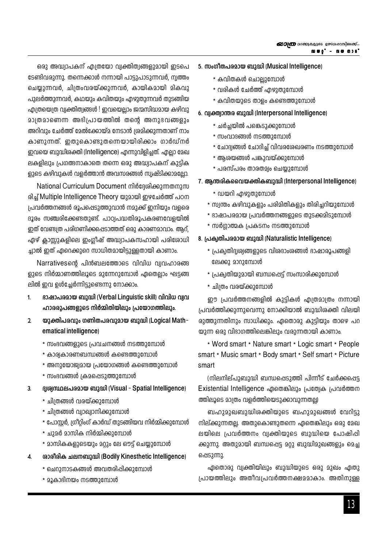ഒരു അദ്ധ്വാപകന് എത്രയോ വ്വക്തിത്വങ്ങളുമായി ഇടപെ ടേണ്ടിവരുന്നു. തന്നെക്കാൾ നന്നായി പാട്ടുപാടുന്നവർ, ന്വത്തം ചെയ്യുന്നവർ, ചിത്രംവരയ്ക്കുന്നവർ, കായികമായി മികവു പുലർത്തുന്നവർ, കഥയും കവിതയും എഴുതുന്നവർ തുടങ്ങിയ എത്രയെത്ര വ്വക്തിത്വങ്ങൾ ! ഇവയെല്ലാം ജന്മസിദ്ധമായ കഴിവു മാത്രമാണെന്ന അഭിപ്രായത്തിൽ തന്റെ അനുഭവങ്ങളും അറിവും ചേർത്ത് മേൽക്കോയ്മ നേടാൻ ശ്രമിക്കുന്നതാണ് നാം കാണുന്നത്. ഇതുകൊണ്ടുതന്നെയായിരിക്കാം ഗാർഡ്നർ ഇവയെ ബുദ്ധിശക്തി (Intelligence) എന്നുവിളിച്ചത്. എല്ലാ മേഖ ലകളിലും പ്രഗത്ഭനാകാതെ തന്നെ ഒരു അദ്ധ്വാപകന് കുട്ടിക ളുടെ കഴിവുകൾ വളർത്താൻ അവസരങ്ങൾ സ്വഷ്ടിക്കാമല്ലോ.

National Curriculum Document നിർദ്ദേശിക്കുന്നതനുസ രിച് Multiple Intelligence Theory യുമായി ഇഴചേർത്ത് പഠന പ്രവർത്തനങ്ങൾ രൂപപ്പെടുത്തുവാൻ നമുക്ക് ഇനിയും വളരെ ദൂരം സഞ്ചരിക്കേണ്ടതുണ്ട്. പാഠ്വപദ്ധതിരൂപകരണവേളയിൽ ഇത് വേണ്ടത്ര പരിഗണിക്കപ്പെടാത്തത് ഒരു കാരണമാവാം. ആറ്, ഏഴ് ക്ലാസ്റ്റുകളിലെ ഇംഗ്ലീഷ് അദ്ധ്വാപകസഹായി പരിരോധി ച്ചാൽ ഇത് ഏറെക്കുറെ സാധിതമായിട്ടുള്ളതായി കാണാം.

Narrativesന്റെ പിൻബലത്തോടെ വിവിധ വ്വവഹാരങ്ങ ളുടെ നിർമ്മാണത്തിലൂടെ മുന്നേറുമ്പോൾ ഏതെല്ലാം ഘട്ടങ്ങ ലിൽ ഇവ ഉൾച്ചേർന്നിട്ടുണ്ടെന്നു നോക്കാം.

- ഭാഷാപരമായ ബുദ്ധി (Verbal Linguistic skill) വിവിധ വ്വവ  $\mathbf{1}$ ഹാരരൂപങ്ങളുടെ നിർമ്മിതിയിലും പ്രയോഗത്തിലും.
- $\overline{2}$ യുക്തിപരവും ഗണിതപരവുമായ ബുദ്ധി (Logical Math– ematical intelligence)
	- \* സംഭവങ്ങളുടെ പ്രവചനങ്ങൾ നടത്തുമ്പോൾ
	- \* കാര്വകാരണബന്ധങ്ങൾ കണ്ടെത്തുമ്പോൾ
	- \* അനുയോജ്വമായ പ്രയോഗങ്ങൾ കണ്ടെത്തുമ്പോൾ
	- \* സംഭവങ്ങൾ ക്രമപ്പെടുത്തുമ്പോൾ
- $\overline{3}$ ദ്വശ്വസ്ഥലപരമായ ബുദ്ധി (Visual - Spatial Intelligence)
	- \* ചിത്രങ്ങൾ വരയ്ക്കുമ്പോൾ
	- \* ചിത്രങ്ങൾ വ്വാഖ്വാനിക്കുമ്പോൾ
	- \* പോസ്റ്റർ, ഗ്രിറ്റിംഗ് കാർഡ് തുടങ്ങിയവ നിർമ്മിക്കുമ്പോൾ
	- \* ചുമർ മാസിക നിർമ്മിക്കുമ്പോൾ
	- \* മാസികകളുടെയും മറ്റും ലേ ഔട്ട് ചെയ്യുമ്പോൾ
- രാരീരിക ചലനബുദ്ധി (Bodily Kinesthetic Intelligence)  $\overline{4}$ .
	- \* ചെറുനാടകങ്ങൾ അവതരിപ്പിക്കുമ്പോൾ
	- \* മൂകാദിനയം നടത്തുമ്പോൾ
- 5. സംഗീതപരമായ ബുദ്ധി (Musical Intelligence)
	- \* കവിതകൾ ചൊല്ലുമ്പോൾ
	- \* വരികൾ ചേർത്ത് എഴുതുമ്പോൾ
	- \* കവിതയുടെ താളം കണ്ടെത്തുമ്പോൾ
- 6. വ്യക്ത്വാന്തര ബുദ്ധി (Interpersonal Intelligence)
	- \* ചർച്ചയിൽ പങ്കെടുക്കുമ്പോൾ
	- \* സംവാദങ്ങൾ നടത്തുമ്പോൾ
	- \* ചോദ്വങ്ങൾ ചോദിച്ച് വിവരശേഖരണം നടത്തുമ്പോൾ
	- \* ആശയങ്ങൾ പങ്കുവയ്ക്കുമ്പോൾ
	- \* പരസ്പരം താരതമ്വം ചെയ്യുമ്പോൾ
- 7. ആന്തരികവൈയക്തികബുദ്ധി (Interpersonal Intelligence)
	- \* ഡയറി എഴുതുമ്പോൾ
	- \* സ്വന്തം കഴിവുകളും പരിമിതികളും തിരിച്ചറിയുമ്പോൾ
	- \* ഭാഷാപരമായ പ്രവർത്തനങ്ങളുടെ തുടക്കമിടുമ്പോൾ
	- \* സർഗ്ഗാത്മക പ്രകടനം നടത്തുമ്പോൾ

#### 8. പ്രക്വതിപരമായ ബുദ്ധി (Naturalistic Intelligence)

- \* പ്രക്വതിദ്വശ്വങ്ങളുടെ വിശദാംശങ്ങൾ ഭാഷാരൂപങ്ങളി ലേക്കു മാറുമ്പോൾ
- \* പ്രക്വതിയുമായി ബന്ധപ്പെട്ട് സംസാരിക്കുമ്പോൾ
- \* ചിത്രം വരയ്ക്കുമ്പോൾ

ഈ പ്രവർത്തനങ്ങളിൽ കുട്ടികൾ എത്രമാത്രം നന്നായി പ്രവർത്തിക്കുന്നുവെന്നു നോക്കിയാൽ ബുദ്ധിശക്തി വിലയി രുത്തുന്നതിനും സാധിക്കും. ഏതൊരു കുട്ടിയും താഴെ പറ യുന്ന ഒരു വിഭാഗത്തിലെങ്കിലും വരുന്നതായി കാണാം.

\* Word smart \* Nature smart \* Logic smart \* People smart \* Music smart \* Body smart \* Self smart \* Picture smart

(നിലനില്പുബുദ്ധി ബന്ധപ്പെടുത്തി പിന്നീട് ചേർക്കപ്പെട്ട Existential Intelligence ഏതെങ്കിലും പ്രത്യേക പ്രവർത്തന ത്തിലൂടെ മാത്രം വളർത്തിയെടുക്കാവുന്നതല്ല)

ബഹുമുഖബുദ്ധിശക്തിയുടെ ബഹുമുഖങ്ങൾ വേറിട്ടു നില്ക്കുന്നതല്ല. അതുകൊണ്ടുതന്നെ ഏതെങ്കിലും ഒരു മേഖ ലയിലെ പ്രവർത്തനം വ്യക്തിയുടെ ബുദ്ധിയെ പോഷിപ്പി ക്കുന്നു. അതുമായി ബന്ധപ്പെട്ട മറു ബുദ്ധിമുഖങ്ങളും മെച്ച ഷെടുന്നു.

ഏതൊരു വ്വക്തിയിലും ബുദ്ധിയുടെ ഒരു മുഖം ഏതു പ്രായത്തിലും അതീവപ്രവർത്തനക്ഷമമാകാം. അതിനുള്ള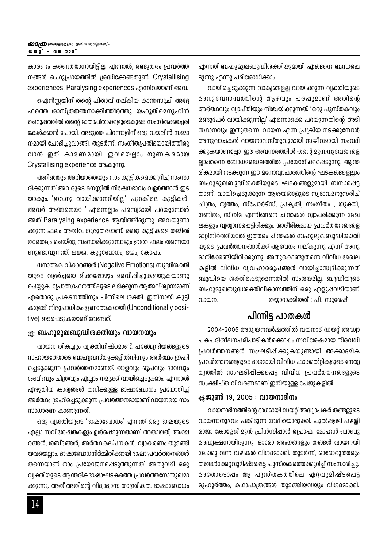കാരണം കണ്ടെത്താനായിട്ടില്ല. എന്നാൽ, രണ്ടുതരം പ്രവർത്ത നങ്ങൾ ചെറുപ്രായത്തിൽ ശ്രദ്ധിക്കേണ്ടതുണ്ട്. Crystallising experiences, Paralysing experiences എന്നിവയാണ് അവ.

ഐൻസ്റ്റയിന് തന്റെ പിതാവ് നല്കിയ കാന്തസൂചി അദ്ദേ ഹത്തെ ശാസ്ത്രജ്ഞനാക്കിത്തീർത്തു. യഹൂതിമെനുഹിൻ ചെറുപ്പത്തിൽ തന്റെ മാതാപിതാക്കളുടെകൂടെ സംഗീതക്കച്ചേരി കേൾക്കാൻ പോയി. അടുത്ത പിറന്നാളിന് ഒരു വയലിൻ സമ്മാ നമായി ചോദിച്ചുവാങ്ങി. തുടർന്ന്, സംഗീതപ്രതിഭയായിത്തീരു വാൻ ഇത് കാരണമായി. ഇവയെല്ലാം ഗുണകരമായ Crystallising experience ആകുന്നു.

അറിഞ്ഞും അറിയാതെയും നാം കുട്ടികളെക്കുറിച്ച് സംസാ രിക്കുന്നത് അവരുടെ മനസ്സിൽ നിഷേധദാവം വളർത്താൻ ഇട യാകും. 'ഇവനു വായിക്കാനറിയില്ല' 'പുറകിലെ കുട്ടികൾ, അവർ അങ്ങനെയാ ' എന്നെല്ലാം പരസ്വമായി പറയുമ്പോൾ അത് Paralysing experience ആയിത്തീരുന്നു. അവയുണ്ടാ ക്കുന്ന ഫലം അതീവ ഗുരുതരമാണ്. രണ്ടു കുട്ടികളെ തമ്മിൽ താരതമ്യം ചെയ്തു സംസാരിക്കുമ്പോഴും ഇതേ ഫലം തന്നെയാ ണുണ്ടാവുന്നത്. ലജ്ജ, കുറ്റബോധം, ഭയം, കോപം...

ധനാത്മക വികാരങ്ങൾ (Negative Emotions) ബുദ്ധിരക്തി യുടെ വളർച്ചയെ മിക്കപ്പോഴും മരവിപ്പിച്ചുകളയുകയാണു ചെയ്യുക. പ്രോത്സാഹനത്തിലൂടെ ലഭിക്കുന്ന ആത്മവിര്വാസമാണ് ഏതൊരു പ്രകടനത്തിനും പിന്നിലെ ശക്തി. ഇതിനായി കുട്ടി കളോട് നിരുപാധികം ഋണാത്മകമായി (Unconditionally positive) ഇടപെടുകയാണ് വേണ്ടത്.

#### ※ ബഹുമുഖബുദ്ധിരക്തിയും വായനയും

വായന തികച്ചും വ്യക്തിനിഷ്ഠമാണ്. പഞ്ചേന്ദ്രിയങ്ങളുടെ സഹായത്തോടെ ബാഹ്യവസ്തുക്കളിൽനിന്നും അർത്ഥം ഗ്രഹി ചെടുക്കുന്ന പ്രവർത്തനമാണത്. താളവും രൂപവും ദാവവും ശബ്ദവും ചിത്രവും എല്ലാം നമുക്ക് വായിച്ചെടുക്കാം. എന്നാൽ എഴുതിയ കാര്വങ്ങൾ തനിക്കുള്ള ഭാഷാബോധം പ്രയോഗിച്ച് അർത്ഥം ഗ്രഹിച്ചെടുക്കുന്ന പ്രവർത്തനമായാണ് വായനയെ നാം സാധാരണ കാണുന്നത്.

ഒരു വ്യക്തിയുടെ 'ഭാഷാബോധം' എന്നത് ഒരു ഭാഷയുടെ എല്ലാ സവിശേഷതകളും ഉൾപ്പെടുന്നതാണ്. അതായത്, അക്ഷ രങ്ങൾ, ശബ്ദങ്ങൾ, അർത്ഥകല്പനകൾ, വ്വാകരണം തുടങ്ങി യവയെല്ലാം. ഭാഷാബോധനിർമ്മിതിക്കായി ഭാഷാപ്രവർത്തനങ്ങൾ തന്നെയാണ് നാം പ്രയോജനപ്പെടുത്തുന്നത്. അതുവഴി ഒരു വ്വക്തിയുടെ ആന്തരികഭാഷാഘടകത്തെ പ്രവർത്തനോന്മുഖമാ ക്കുന്നു. അത് അതിന്റെ വിദ്വാഭ്വാസ താന്ത്രികത. ഭാഷാബോധം എന്നത് ബഹുമുഖബുദ്ധിരക്തിയുമായി എങ്ങനെ ബന്ധപ്പെ ടുന്നു എന്നു പരിശോധിക്കാം.

വായിച്ചെടുക്കുന്ന വാക്വങ്ങളല്ല വായിക്കുന്ന വ്വക്തിയുടെ അനുദവസമ്പത്തിന്റെ ആഴവും പരപ്പുമാണ് അതിന്റെ അർത്ഥവും വ്വാപ്തിയും നിശ്ചയിക്കുന്നത്. 'ഒരു പുസ്തകവും രണ്ടുപേർ വായിക്കുന്നില്ല' എന്നൊക്കെ പറയുന്നതിന്റെ അടി സ്ഥാനവും ഇതുതന്നെ. വായന എന്ന പ്രക്രിയ നടക്കുമ്പോൾ അനുവാചകൻ വായനാവസ്തുവുമായി സജീവമായി സംവദി ക്കുകയാണല്ലോ. ഈ അവസരത്തിൽ തന്റെ മുന്നനുഭവങ്ങളെ ല്ലാംതന്നെ ബോധമണ്ഡലത്തിൽ പ്രയോഗിക്കപ്പെടുന്നു. ആന്ത രികമായി നടക്കുന്ന ഈ മനോവ്വാപാരത്തിന്റെ ഘടകങ്ങളെല്ലാം ബഹുമുഖബുദ്ധിരക്തിയുടെ ഘടകങ്ങളുമായി ബന്ധപ്പെട്ട താണ്. വായിച്ചെടുക്കുന്ന ആശയങ്ങളുടെ സ്വഭാവമനുസരിച്ച് ചിത്രം, ന്വത്തം, സ്പോർട്സ്, പ്രക്വതി, സംഗീതം , യുക്തി, <u>ഗണിതം, സിനിമ എന്നിങ്ങനെ ചിന്തകൾ വ്വാപരിക്കുന്ന മേഖ</u> ലകളും വ്വത്വാസപ്പെട്ടിരിക്കും. ശാരീരികമായ പ്രവർത്തനങ്ങളെ മാറ്റിനിർത്തിയാൽ ഇത്തരം ചിന്തകൾ ബഹുമുഖബുദ്ധിശക്തി യുടെ പ്രവർത്തനങ്ങൾക്ക് ആവേഗം നല്കുന്നു എന്ന് അനു മാനിക്കേണ്ടിയിരിക്കുന്നു. അതുകൊണ്ടുതന്നെ വിവിധ മേഖല കളിൽ വിവിധ വ്വവഹാരരൂപങ്ങൾ വായിച്ചാസ്വദിക്കുന്നത് ബുദ്ധിയെ ശക്തിപ്പെടുമെന്നതിൽ സംശയമില്ല. ബുദ്ധിയുടെ ബഹുമുഖബുദ്ധശക്തിവികാസത്തിന് ഒരു എളുപ്പവഴിയാണ് തയ്യാറാക്കിയത് : പി. സുരേഷ് വായന.

## പിന്നിട്ട പാതകൾ

2004-2005 അധ്വയനവർഷത്തിൽ വയനാട് ഡയറ്റ് അദ്ധ്വാ പകപരിശീലനപരിപാടികൾക്കൊപ്പം സവിശേഷമായ നിരവധി പ്രവർത്തനങ്ങൾ സംഘടിപ്പിക്കുകയുണ്ടായി. അക്കാദമിക പ്രവർത്തനങ്ങളുടെ ഭാഗമായി വിവിധ ഫാക്കൽറ്റികളുടെ നേത്വ ത്വത്തിൽ സംഘടിപ്പിക്കപ്പെട്ട വിവിധ പ്രവർത്തനങ്ങളുടെ സംക്ഷിപ്ത വിവരണമാണ് ഇനിയുള്ള പേജുകളിൽ.

#### 

വായനാദിനത്തിന്റെ ഭാഗമായി ഡയറ് അദ്ധ്വാപകർ തങ്ങളുടെ വായനാനുഭവം പങ്കിടുന്ന വേദിയൊരുക്കി. പുൽപ്പള്ളി പഴശ്ശി രാജാ കോളേജ് മുൻ പ്രിൻസിപ്പാൾ പ്രൊഫ. മോഹൻ ബാബു അദ്ധ്വക്ഷനായിരുന്നു. ഓരോ അംഗങ്ങളും തങ്ങൾ വായനയി ലേക്കു വന്ന വഴികൾ വിശദമാക്കി. തുടർന്ന്, ഓരോരുത്തരും തങ്ങൾക്കേറ്റവുമിഷ്ടപ്പെട്ട പുസ്തകത്തെക്കുറിച്ച് സംസാരിച്ചു. അതോടൊപ്പം ആ പുസ്തകത്തിലെ ഏറ്റവുമിഷ്ടപ്പെട്ട മുഹൂർത്തം, കഥാപാത്രങ്ങൾ തുടങ്ങിയവയും വിരദമാക്കി.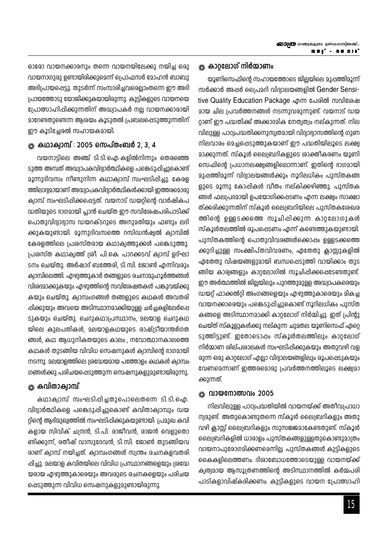ഓരോ വായനക്കാരനും തന്നെ വായനയിലേക്കു നയിച്ച ഒരു വായനാഗുരു ഉണ്ടായിരിക്കുമെന്ന് പ്രൊഫസർ മോഹൻ ബാബു അഭിപ്രായപ്പെട്ടു. തുടർന്ന് സംസാരിച്ചവരെല്ലാംതന്നെ ഈ അഭി പ്രായത്തോടു യോജിക്കുകയായിരുന്നു. കുട്ടികളുടെ വായനയെ പ്രോത്സാഹിപ്പിക്കുന്നതിന് അദ്ധ്വാപകർ നല്ല വായനക്കാരായി മാറേണ്ടതുണ്ടെന്ന അശയം കൂടുതൽ പ്രബലപ്പെടുത്തുന്നതിന് ഈ കൂടിച്ചേരൽ സഹായകമായി.

### $\frac{1}{26}$  കഥാക്വാമ്പ് $\cdot$  2005 സെപ്തംബർ 2, 3, 4

വയനാട്ടിലെ അഞ്ച് ടി.ടി.ഐ.കളിൽനിന്നും തെരഞ്ഞെ ടുത്ത അമ്പത് അദ്ധ്വാപകവിദ്വാർത്ഥികളെ പങ്കെടുപ്പിച്ചുകൊണ്ട് മൂന്നുദിവസം നീണ്ടുനിന്ന കഥാക്വാമ്പ് സംഘടിപ്പിച്ചു. കേരള ത്തിലാദ്യമായാണ് അദ്ധ്വാപകവിദ്വാർത്ഥികൾക്കായി ഇത്തരമൊരു ക്വാമ്പ് സംഘടിപ്പിക്കപ്പെട്ടത്. വയനാട് ഡയറ്റിന്റെ വാർഷികപ ദ്ധതിയുടെ ഭാഗമായി പ്ലാൻ ചെയ്ത ഈ സവിശേഷപരിപാടിക്ക് പൊതുവിദ്വാഭ്വാസ ഡയറക്ടറുടെ അനുമതിയും ഫണ്ടും ലഭി ക്കുകയുണ്ടായി. മൂന്നുദിവസത്തെ റസിഡൻഷ്വൽ ക്വാമ്പിൽ കേരളത്തിലെ പ്രശസ്തരായ കഥാക്വത്തുക്കൾ പങ്കെടുത്തു. പ്രശസ്ത കഥാക്വത്ത് ശ്രീ. പി.കെ. പാറക്കടവ് ക്വാമ്പ് ഉദ്ഘാ ടനം ചെയ്തു. അർഷാദ് ബത്തേരി, ടി സി. ജോൺ എന്നിവരും ക്വാമ്പിലെത്തി. എഴുത്തുകാർ തങ്ങളുടെ രചനാമുഹൂർത്തങ്ങൾ വിശദമാക്കുകയും എഴുത്തിന്റെ സവിശേഷതകൾ പങ്കുവയ്ക്കു കയും ചെയ്തു. ക്വാമ്പംഗങ്ങൾ തങ്ങളുടെ കഥകൾ അവതരി പ്പിക്കുയും അവയെ അടിസ്ഥാനമാക്കിയുള്ള ചർച്ചകളിലേർപ്പെ ടുകയും ചെയ്തു. ചെറുകഥാപ്രസ്ഥാനം, മലയാള ചെറുകഥ യിലെ കുലപതികൾ, മലയാളകഥയുടെ രാഷ്ട്രിയാന്തർഗത ങ്ങൾ, കഥ: ആധുനികതയുടെ കാലം , നവോത്ഥാനകാലത്തെ കഥകൾ തുടങ്ങിയ വിവിധ സെഷനുകൾ ക്വാമ്പിന്റെ ഭാഗമായി നടന്നു. മലയാളത്തിലെ ശ്രദ്ധേയമായ പത്തോളം കഥകൾ ക്വാമ്പം ഗങ്ങൾക്കു പരിചയപ്പെടുത്തുന്ന സെഷനുകളുമുണ്ടായിരുന്നു.

## \* കവിതാക്വാമ്പ്

കഥാക്വാമ്പ് സംഘടിപ്പിച്ചതുപൊലെതന്നെ ടി.ടി.ഐ. വിദ്വാർത്ഥികളെ പങ്കെടുപ്പിച്ചുകൊണ്ട് കവിതാക്വാമ്പും ഡയ റ്റിന്റെ ആദിമുഖ്വത്തിൽ സംഘടിപ്പിക്കുകയുണ്ടായി. പ്രമുഖ കവി കളായ സിവിക് ചന്ദ്രൻ, ടി.പി. രാജീവൻ, രാജൻ വെളുതൊ ണ്ടിക്കുന്ന്, രതീഷ് വാസുദേവൻ, ടി.സി. ജോൺ തുടങ്ങിയവ രാണ് ക്വാമ്പ് നയിച്ചത്. ക്വാമ്പംഗങ്ങൾ സ്വന്തം രചനകളവതരി പ്പിച്ചു. മലയാള കവിതയിലെ വിവിധ പ്രസ്ഥാനങ്ങളെയും ശ്രദ്ധേ യരായ എഴുത്തുകാരെയും അവരുടെ രചനകളെയും പരിചയ പ്പെടുത്തുന്ന വിവിധ സെഷനുകളുമുണ്ടായിരുന്നു.

### \* കാറ്റലോഗ് നിർമാണം

യൂണിസെഫിന്റെ സഹായത്തോടെ ജില്ലയിലെ മുഷത്തിമൂന്ന് സർക്കാർ അപ്പർ പ്രൈമറി വിദ്വാലയങ്ങളിൽ Gender Sensitive Quality Education Package എന്ന പേരിൽ സവിശേഷ മായ ചില പ്രവർത്തനങ്ങൾ നടന്നുവരുന്നുണ്ട്. വയനാട് ഡയ റ്റാണ് ഈ പദ്ധതിക്ക് അക്കാദമിക നേത്വത്വം നല്കുന്നത്. നില വിലുള്ള പാഠ്വപദ്ധതിക്കനുസ്വതമായി വിദ്വാഭ്വാസത്തിന്റെ ഗുണ നിലവാരം മെച്ചപ്പെടുത്തുകയാണ് ഈ പദ്ധതിയിലൂടെ ലക്ഷ്വ മാക്കുന്നത്. സ്കൂൾ ലൈബ്രറികളുടെ രാക്തീകരണം യൂണി സെഫിന്റെ പ്രധാനലക്ഷ്വങ്ങളിലൊന്നാണ്. ഇതിന്റെ ദാഗമായി മുപ്പത്തിമൂന്ന് വിദ്വാലയങ്ങൾക്കും നൂറിലധികം പുസ്തകങ്ങ ളുടെ മൂന്നു കോപ്പികൾ വീതം നല്കിക്കഴിഞ്ഞു. പുസ്തക ങ്ങൾ ഫല്വപദമായി ഉപയോഗിക്കപ്പടണം എന്ന ലക്ഷ്വം സാക്ഷാ ത്ക്കരിക്കുന്നതിന് സ്കൂൾ ലൈബ്രറിയിലെ പുസ്തകശേഖര ത്തിന്റെ ഉള്ളടക്കത്തെ സൂചിപ്പിക്കുന്ന കാറലോഗുകൾ സ്കൂൾതലത്തിൽ രൂപപ്പെടണം എന്ന് കണ്ടെത്തുകയുണ്ടായി. പുസ്തകത്തിന്റെ പൊതുവിവരങ്ങൾക്കൊപ്പം ഉള്ളടക്കത്തെ ക്കുറിച്ചുള്ള സംക്ഷിപ്തവിവരണം, ഏതേതു ക്ലാസ്സുകളിൽ ഏതേതു വിഷയങ്ങളുമായി ബന്ധപ്പെടുത്തി വായിക്കാം തുട ങ്ങിയ കാര്യങ്ങളും കാറ്റലോഗിൽ സൂചിപ്പിക്കപ്പെടേണ്ടതുണ്ട്. ഈ അർത്ഥത്തിൽ ജില്ലയിലും പുറത്തുമുള്ള അദ്ധ്വാപകരെയും ഡയറ്റ് ഫാക്കൽറ്റി അംഗങ്ങളെയും എഴുത്തുകാരെയും മികച്ച വായനക്കാരെയും പങ്കെടുപ്പിച്ചുകൊണ്ട് നൂറിലധികം പുസ്ത കങ്ങളെ അടിസ്ഥാനമാക്കി കാറ്റലോഗ് നിർമ്മിച്ചു. ഇത് പ്രിന്റു ചെയ്ത് സ്കൂളുകൾക്കു നല്കുന്ന ചുമതല യൂണിസെഫ് ഏറ്റെ ടുത്തിട്ടുണ്ട്. ഇതോടൊപ്പം സ്കൂൾതലത്തിലും കാറ്റലോഗ് നിർമ്മാണ ശില്പശാലകൾ സംഘടിപ്പിക്കുകയും അതുവഴി വള രുന്ന ഒരു കാറ്റലോഗ് എല്ലാ വിദ്യാലയങ്ങളിലും രൂപപ്പെടുകയും വേണമെന്നാണ് ഇത്തരമൊരു പ്രവർത്തനത്തിലൂടെ ലക്ഷ്വമാ ക്കുന്നത്.

#### $\frac{1}{200}$  വായനോത്സവം 2005

നിലവിലുള്ള പാഠ്വപദ്ധതിയിൽ വായനയ്ക്ക് അതീവപ്രാധാ ന്വമുണ്ട്. അതുകൊണ്ടുതന്നെ സ്കൂൾ ലൈബ്രറികളും അതു വഴി ക്ലാസ്സ് ലൈബ്രറികളും സുസജ്ജമാകേണ്ടതുണ്ട്. സ്കൂൾ ലൈബ്രറികളിൽ ധാരാളം പുസ്തകങ്ങളുള്ളതുകൊണ്ടുമാത്രം വായനാപുരോഗമിക്കണമെന്നില്ല. പുസ്തകങ്ങൾ കുട്ടികളുടെ കൈകളിലെത്തണം. ദിശാബോധത്തോടെയുള്ള വായനയ്ക്ക് ക്വത്വമായ ആസൂത്രണത്തിന്റെ അടിസ്ഥാനത്തിൽ കർമ്മപരി പാടികളാവിഷ്കരിക്കണം. കുട്ടികളുടെ വായന പ്രോത്സാഹി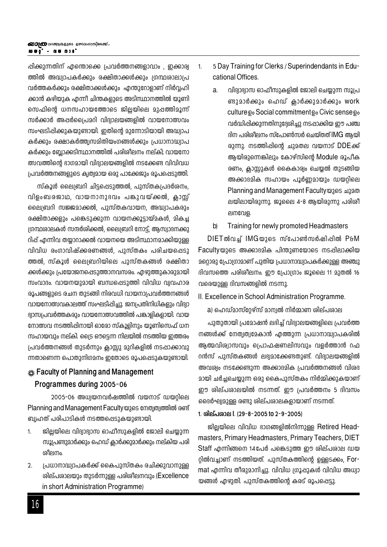പ്പിക്കുന്നതിന് എന്തൊക്കെ പ്രവർത്തനങ്ങളാവാം , ഇക്കാര്വ ത്തിൽ അദ്ധ്വാപകർക്കും രക്ഷിതാക്കൾക്കും ശ്രന്ഥശാലാപ്ര വർത്തകർക്കും രക്ഷിതാക്കൾക്കും എന്തുറോളാണ് നിർവ്വഹി ക്കാൻ കഴിയുക എന്നീ ചിന്തകളുടെ അടിസ്ഥാനത്തിൽ യൂണി സെഫിന്റെ ധനസഹായത്തോടെ ജില്ലയിലെ മുപ്പത്തിമൂന്ന് സർക്കാർ അപ്പർപ്രൈമറി വിദ്വാലയങ്ങളിൽ വായനോത്സവം സംഘടിപ്പിക്കുകയുണ്ടായി. ഇതിന്റെ മുന്നോടിയായി അദ്ധ്വാപ കർക്കും രക്ഷാകർത്ത്വസമിതിയംഗങ്ങൾക്കും പ്രധാനാദ്ധ്വാപ കർക്കും ബ്ലോക്കടിസ്ഥാനത്തിൽ പരിശീലനം നല്കി; വായനോ ത്സവത്തിന്റെ ഭാഗമായി വിദ്വാലയങ്ങളിൽ നടക്കേണ്ട വിവിവധ പ്രവർത്തനങ്ങളുടെ കൃത്വമായ ഒരു പാക്കേജും രൂപപ്പെടുത്തി.

സ്കൂൾ ലൈബ്രറി ചിട്ടപ്പെടുത്തൽ, പുസ്തകപ്രദർശനം, വിളംബരജാഥ, വായനാനാഭവം പങ്കാവയ്ക്കൽ, കാസ് ലൈബ്രറി സജ്ജമാക്കൽ, പുസ്തകവായന, അദ്ധ്വാപകരും രക്ഷിതാക്കളും പങ്കെടുക്കുന്ന വായനക്കൂടായ്മകൾ, മികച ഗ്രന്ഥശാലകൾ സന്ദർശിക്കൽ, ലൈബ്രറി നോട്ട്, ആസ്വാദനക്കു റിപ്പ് എന്നിവ തയാറാക്കൽ വായനയെ അടിസ്ഥാനമാക്കിയുള്ള വിവിധ രംഗാവിഷ്ക്കരണങ്ങൾ, പുസ്തകം പരിചയപ്പെടു ത്തൽ, സ്കൂൾ ലൈബറിയിലെ പുസ്തകങ്ങൾ രക്ഷിതാ ക്കൾക്കും പ്രയോജനപ്പെടുത്താനവസരം. എഴുത്തുകാരുമായി സംവാദം. വായനയുമായി ബന്ധപ്പെടുത്തി വിവിധ വ്വവഹാര രൂപങ്ങളുടെ രചന തുടങ്ങി നിരവധി വായനാപ്രവർത്തനങ്ങൾ വായനോത്സവകാലത്ത് സംഘടിപ്പിച്ചു. ജന്വപതിനിധികളും വിദ്വാ ദ്വാസപ്രവർത്തകരും വായനോത്സവത്തിൽ പങ്കാളികളായി. വായ നോത്സവ നടത്തിപ്പിനായി ഓരോ സ്കൂളിനും യൂണിസെഫ് ധന സഹായവും നല്കി. ട്രൈ ഔട്ടെന്ന നിലയിൽ നടത്തിയ ഇത്തരം പ്രവർത്തനങ്ങൾ തുടർന്നും ക്ലാസ്റ്റു മുറികളിൽ നടപ്പാക്കാവു ന്നതാണെന്ന പൊതുനിഗമനം ഇതോടെ രൂപപ്പെടുകയുണ്ടായി.

### k‰ Faculty of Planning and Management

#### Programmes during 2005-06

2005-06 അധ്വയനവർഷത്തിൽ വയനാട് ഡയറിലെ Planning and Management Faculty യുടെ നേതൃത്വത്തിൽ രണ്ട് ബ്വഹത് പരിപാടികൾ നടത്തപ്പെടുകയുണ്ടായി.

- $\mathbf{1}$ ജിലയിലെ വിദ്വാഭ്വാസ ഓഫീസുകളിൽ ജോലി ചെയുന്ന സൂപ്രണ്ടുമാർക്കും ഹെഡ് ക്ലാർക്കുമാർക്കും നല്കിയ പരി ദ്രീലനം
- $\overline{2}$ . പ്രധാനാദ്ധ്വാപകർക്ക് കൈപുസ്തകം രചിക്കുവാനുള്ള ശില്പശാലയും തുടർന്നുള്ള പരിശീലനവും (Excellence in short Administration Programme)
- 5 Day Training for Clerks / Superindendants in Edu- $1<sub>1</sub>$ cational Offices
	- a. വിദ്വാദ്വാസ ഓഫീസുകളിൽ ജോലി ചെയ്യുന്ന സൂപ്ര ണ്ടുമാർക്കും ഹെഡ് ക്ലാർക്കുമാർക്കും work culture <sub>Do</sub> Social commitment Do Civic sense Do വർദ്ധിപ്പിക്കുന്നതിനുദ്ദേശിച്ചു നടപ്പാക്കിയ ഈ പഞ്ച ദിന പരിശീലനം സ്പോൺസർ ചെയ്തത് IMG ആയി രുന്നു. നടത്തിപ്പിന്റെ ചുമതല വയനാട് DDEക്ക് ആയിരുന്നെങ്കിലും കോഴ്സിന്റെ Module രൂപീക രണം, ക്ലാസ്സുകൾ കൈകാര്വം ചെയ്യൽ തുടങ്ങിയ അക്കാദമിക സഹായം പൂർണ്ണമായും ഡയറിലെ Planning and Management Faculty @265 2126 ലയിലായിരുന്നു. ജൂലൈ 4-8 ആയിരുന്നു പരിശീ ലനവേള.
	- Training for newly promoted Headmasters b)

DIETൽവച്ച് IMGയുടെ സ്പോൺസർഷിപ്പിൽ P&M Facultyയുടെ അക്കാദമിക പിന്തുണയോടെ നടപ്പിലാക്കിയ 2റ്റൊരു പ്രോഗ്രാമാണ് പുതിയ പ്രധാനാദ്ധ്വാപകർക്കുള്ള അഞ്ചു ദിവസത്തെ പരിശീലനം. ഈ പ്രോഗ്രാം ജൂലൈ 11 മുതൽ 16 വരെയുള്ള ദിവസങ്ങളിൽ നടന്നു.

II. Excellence in School Administration Programme.

a) ഹെഡ്മാസ്റേഴ്സ് മാന്വൽ നിർമ്മാണ ശില്പശാല

പുതുതായി പ്രമോഷൻ ലഭിച്ച് വിദ്വാലയങ്ങളിലെ പ്രവർത്ത നങ്ങൾക്ക് നേത്വത്വമേകാൻ എത്തുന്ന പ്രധാനാദ്ധ്വാപകരിൽ ആത്മവിശ്വാസവും പ്രൊഫഷണലിസവും വളർത്താൻ റഫ റൻസ് പുസ്തകങ്ങൾ ലഭ്വമാക്കേണ്ടതുണ്ട്. വിദ്വാലയങ്ങളിൽ അവശ്വം നടക്കേണ്ടുന്ന അക്കാദമിക പ്രവർത്തനങ്ങൾ വിശദ മായി ചർച്ചചെയ്യുന്ന ഒരു കൈപുസ്തകം നിർമ്മിക്കുകയാണ് ഈ ശില്പശാലയിൽ നടന്നത്. ഈ പ്രവർത്തനം 5 ദിവസം ദൈർഘ്വമുള്ള രണ്ടു ശില്പശാലകളായാണ് നടന്നത്.

#### 1. ശില്പശാല I. (29-8-2005 to 2-9-2005)

ജില്ലയിലെ വിവിധ ഭാഗങ്ങളിൽനിന്നുള്ള Retired Headmasters, Primary Headmasters, Primary Teachers, DIET Staff എന്നിങ്ങനെ 14പേർ പങ്കെടുത്ത ഈ ശില്പശാല ഡയ റിൽവച്ചാണ് നടത്തിയത്. പുസ്തകത്തിന്റെ ഉള്ളടക്കം, Format എന്നിവ തീരുമാനിച്ചു. വിവിധ ഗ്രൂപ്പുകൾ വിവിധ അധ്വാ യങ്ങൾ എഴുതി. പുസ്തകത്തിന്റെ കരട് രൂപപ്പെട്ടു.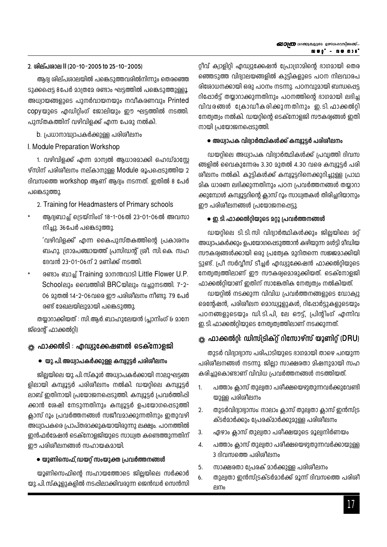#### **2. inev]-ime II (20-10-2005 to 25-10-2005)**

ആദ്വ ശില്പശാലയിൽ പങ്കെടുത്തവരിൽനിന്നും തെരഞ്ഞെ ടുക്കപ്പെട്ട 8പേർ മാത്രമേ രണ്ടാം ഘട്ടത്തിൽ പങ്കെടുത്തുള്ളൂ. അധ്വായങ്ങളുടെ പുനർവായനയും നവീകരണവും Printed  $\mathsf{copy}$ യുടെ എഡിറിംഗ് ജോലിയും ഈ ഘട്ടത്തിൽ നടത്തി. പുസ്തകത്തിന് വഴിവിളക്ക് എന്ന പേരു നൽകി.

 $\,$ b. പ്രധാനാദ്ധ്വാപകർക്കുള്ള പരിശീലനം

#### I. Module Preparation Workshop

1. വഴിവിളക്ക് എന്ന മാന്വൽ ആധാരമാക്കി ഹെഡ്മാസ്റ്റേ ഴ്സിന് പരിശീലനം നല്കാനുള്ള Module രൂപപ്പെടുത്തിയ 2 ദിവസത്തെ workshop ആണ് ആദ്യം നടന്നത്. ഇതിൽ 8 പേർ പങ്കെടുത്തു.

- 2. Training for Headmasters of Primary schools
- ആദ്വബാച്ച് ട്രെയ്നിംഗ് 18-1-06ൽ 23-01-06ൽ അവസാ നിചു. 36പേർ പങ്കെടുത്തു.

 $^{\prime}$ വഴിവിളക്ക്' എന്ന കൈപുസ്തകത്തിന്റെ പ്രകാശനം ബഹു. ഗ്രാമപഞ്ചായത്ത് പ്രസിഡന്റ് ശ്രീ. സി.കെ. സഹ ദേവൻ 23-01-06ന് 2 മണിക്ക് നടത്തി

രണ്ടാം ബാച്ച് Training മാനന്തവാടി Little Flower U.P.  $School$ ലും വൈത്തിരി BRC യിലും വച്ചുനടത്തി. 7-2- $06$  മുതൽ 14-2-06വരെ ഈ പരിശീലനം നീണ്ടു. 79 പേർ രണ്ട് മേഖലയിലുമായി പങ്കെടുത്തു.

തയ്യാറാക്കിയത് : സി.ആർ.ബാഹുലേയൻ (പ്ലാനിംഗ് & മാനേ ജ്മെന്റ് ഫാക്കൽറ്റി)

### ്ശ്ല. ഫാക്കൽടി : എഡ്വുക്കേഷണൽ ടെക്നോളജി

#### ● യു. പി. അധ്വാപകർക്കുള്ള കമ്പ്വൂട്ടർ പരിശീലനം

ജില്ലയിലെ യു. പി സ്കൂൾ അധ്വാപകർക്കായി നാലുഘട്ടങ്ങ ളിലായി കമ്പ്യൂട്ടർ പരിശീലനം നൽകി. ഡയറ്റിലെ കമ്പ്യൂട്ടർ ലാബ് ഇതിനായി <sub>(</sub>പയോജനപ്പെടുത്തി. കമ്പ്വൂട്ടർ <sub>(</sub>പവർത്തിഷി ക്കാൻ ശേഷി നേടുന്നതിനും കമ്പ്വൂട്ടർ ഉപയോഗപ്പെടുത്തി ക്ലാസ് റൂം പ്രവർത്തനങ്ങൾ സജീവമാക്കുന്നതിനും ഇതുവഴി അധ്വാപകരെ പ്രാപ്തരാക്കുകയായിരുന്നു ലക്ഷ്വം. പഠനത്തിൽ ഇൻഫർമേഷൻ ടെക്നോളജിയുടെ സാധ്വത കണ്ടെത്തുന്നതിന് ഈ പരിശീലനങ്ങൾ സഹായകമായി.

#### $\bullet$  യൂണിസെഫ്,ഡയറ് സംയുക്ത പ്രവർത്തനങ്ങൾ

യൂണിസെഫിന്റെ സഹായത്തോടെ ജില്ലയിലെ സർക്കാർ യു. പി. സ്കൂളുകളിൽ നടപ്പിലാക്കിവരുന്ന ജെൻഡർ സെൻസി റ്റീവ് ക്വാളിറ്റി എഡ്വുക്കേഷൻ പ്രോഗ്രാമിന്റെ ഭാഗമായി തെര ഞ്ഞെടുത്ത വിദ്വാലയങ്ങളിൽ കുട്ടികളുടെ പഠന നിലവാരപ രിശോധനക്കായി ഒരു പഠനം നടന്നു. പഠനവുമായി ബന്ധപ്പെട്ട  $0$ ഷോർട്ട് തയാറാക്കുന്നതിനും പഠനത്തിന്റെ ഭാഗമായി ലഭിച്ച വിവരങ്ങൾ ക്രോഡീകരിക്കുന്നതിനും ഇ.ടി. ഫാക്കൽറ്റി നേത്വത്വം നൽകി. ഡയറ്റിന്റെ ടെക്നോളജി സൗകര്വങ്ങൾ ഇതി  $\mathfrak{m}$ ായി  $\mathfrak{l}$ പയോജനപ്പെടുത്തി.

#### ● അധ്വാപക വിദ്വാർത്ഥികൾക്ക് കമ്പ്<del>വൂ</del>ട്ടർ പരിശീലനം

 $\omega$ യറിലെ അധ്വാപക വിദ്വാർത്ഥികൾക്ക് പ്രവ്വത്തി ദിവസ ങ്ങളിൽ വൈകുന്നേരം 3.30 മുതൽ 4.30 വരെ കമ്പ്വൂട്ടർ പരി ശീലനം നൽകി. കുട്ടികൾക്ക് കമ്പ്വൂട്ടറിനെക്കുറിച്ചുള്ള പ്രാഥ  $a$ ിക ധാരണ ലഭിക്കുന്നതിനും പഠന പ്രവർത്തനങ്ങൾ തയ്യാറാ ക്കുമ്പോൾ കമ്പ്വൂട്ടറിന്റെ ക്ലാസ് റൂം സാധ്വതകൾ തിരിച്ചറിയാനും ഈ പരിശീലനങ്ങൾ  $l$ പയോജനപ്പെട്ടു.

### $\bullet$  ഇ.ടി. ഫാക്കൽറിയുടെ മറു പ്രവർത്തനങ്ങൾ

 $w$ യറിലെ ടി.ടി.സി വിദ്വാർത്ഥികൾക്കും ജിലയിലെ മറ് അധ്വാപകർക്കും ഉപയോഗപ്പെടുത്താൻ കഴിയുന്ന മൾട്ടി മീഡിയ സൗകര്വങ്ങൾക്കായി ഒരു പ്രത്വേക മുറിതന്നെ സജ്ജമാക്കിയി ട്ടുണ്ട്. പ്രീ സർവ്വീസ് ടീച്ചർ എഡ്വുക്കേഷൻ ഫാക്കൽറ്റിയുടെ നേത്വത്വത്തിലാണ് ഈ സൗകര്വമൊരുക്കിയത്. ടെക്നോളജി  $\Delta$ ാക്കൽറിയാണ് ഇതിന് സാങ്കേതിക നേത്വത്വം നൽകിയത്.

 $\omega$ യറ്റിൽ നടക്കുന്ന വിവിധ പ്രവർത്തനങ്ങളുടെ ഡോക്വു മെന്റേഷൻ, പരിശിലന മൊഡ്വൂളുകൾ, റിപ്പോർട്ടുകളുടെയും പഠനങ്ങളുടെയും ഡി.ടി.പി, ലേ ഔട്ട്, പ്രിന്റിംഗ് എന്നിവ ഇ. ടി. ഫാക്കൽറിയുടെ നേത്വത്വത്തിലാണ് നടക്കുന്നത്.

## **^m°¬‰n: Unkv{SnIv‰v dntkmgvkv bqWn‰v (DRU)**

തുടർ വിദ്വാഭ്വാസ പരിപാടിയുടെ ഭാഗമായി താഴെ പറയുന്ന പരിശീലനങ്ങൾ നടന്നു. ജില്ലാ സാക്ഷരതാ മിഷനുമായി സഹ കരിച്ചുകൊണ്ടാണ് വിവിധ പ്രവർത്തനങ്ങൾ നടത്തിയത്.

- 1. പത്താം ക്ലാസ് തുല്വതാ പരിക്ഷയെഴുതുന്നവർക്കുവേണ്ടി യുള്ള പരിശീലനം
- 2. തുടർവിദ്വാഭ്വാസം: നാലാം ക്ലാസ് തുല്വതാ ക്ലാസ് ഇൻസ്ട്ര ക്ടർമാർക്കും പ്രേരക്മാർക്കുമുള്ള പരിശീലനം
- 3. ഏഴാം ക്ലാസ് തുല്വതാ പരീക്ഷയുടെ മൂല്വനിർണയം
- 4. പത്താം ക്ലാസ് തുല്വതാ പരീക്ഷയെഴുതുന്നവർക്കായുള്ള 3 ദിവസത്തെ പരിശീലനം
- 5. സാക്ഷരതാ പ്രേരക് മാർക്കുള്ള പരിശീലനം
- 6. തുല്വതാ ഇൻസ്ട്രക്ടർമാർക്ക് മൂന്ന് ദിവസത്തെ പരിശി  $\mathsf{P}^{\mathsf{I}}\mathsf{I}^{\mathsf{I}}\mathsf{I}^{\mathsf{I}}$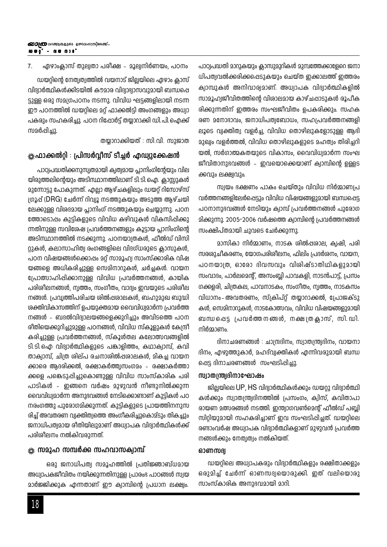ഏഴാംക്ലാസ് തുല്വതാ പരീക്ഷ - മൂല്വനിർണയം, പഠനം 7.

ഡയറ്റിന്റെ നേത്വത്വത്തിൽ വയനാട് ജില്ലയിലെ ഏഴാം ക്ലാസ് വിദ്വാർത്ഥികൾക്കിടയിൽ കൗമാര വിദ്വാഭ്വാസവുമായി ബന്ധപ്പെ ട്ടുള്ള ഒരു സമഗ്രപഠനം നടന്നു. വിവിധ ഘട്ടങ്ങളിലായി നടന്ന ഈ പഠനത്തിൽ ഡയറ്റിലെ മറ്റ് ഫാക്കൽട്ടി അംഗങ്ങളും അധ്വാ പകരും സഹകരിച്ചു. പഠന റിഷോർട്ട് തയ്യാറാക്കി ഡി. പി. ഐക്ക് സമർപ്പിച്ചു.

തയ്യാറാക്കിയത് : സി.വി. സുജാത

#### \*്‱ഫാക്കൽറ്റി : പ്രിസർവ്വീസ് ടീച്ചർ എഡ്വുക്കേഷൻ

പാഠ്വപദ്ധതിക്കനുസ്വതമായി ക്വത്വമായ പ്ലാനിംഗിന്റേയും വില യിരുത്തലിന്റെയും അടിസ്ഥാനത്തിലാണ് ടി. ടി. ഐ. ക്ലാസ്സുകൾ മുന്നോട്ടു പോകുന്നത്. എല്ലാ ആഴ്ചകളിലും ഡയറ്റ് റിസോഴ്സ് ഗ്രൂപ്പ് (DRG) ചേർന്ന് റിവ്വൂ നടത്തുകയും അടുത്ത ആഴ്ചയി ലേക്കുള്ള വിശദമായ പ്ലാനിംഗ് നടത്തുകയും ചെയ്യുന്നു. പഠന ത്തോടൊപ്പം കുട്ടികളുടെ വിവിധ കഴിവുകൾ വികസിപ്പിക്കു ന്നതിനുള്ള സവിശേഷ പ്രവർത്തനങ്ങളും കൂട്ടായ പ്ലാനിംഗിന്റെ അടിസ്ഥാനത്തിൽ നടക്കുന്നു. പഠനയാത്രകൾ, ഫീൽഡ് വിസി റ്റുകൾ, കലാസാഹിത്വ രംഗങ്ങളിലെ വിദഗ്ധരുടെ ക്ലാസുകൾ, പഠന വിഷയങ്ങൾക്കൊപ്പം മറ്റ് സാമൂഹ്വ സാംസ്ക്കാരിക വിഷ യങ്ങളെ അധികരിച്ചുള്ള സെമിനാറുകൾ, ചർച്ചകൾ. വായന പ്രോത്സാഹിപ്പിക്കാനുള്ള വിവിധ പ്രവർത്തനങ്ങൾ, കായിക പരിശീലനങ്ങൾ, നൃത്തം, സംഗീതം, വാദ്യം ഇവയുടെ പരിശീല നങ്ങൾ. പ്രവ്വത്തിപരിചയ ശിൽഷശാലകൾ, ബഹുമുഖ ബുദ്ധി ശക്തിവികാസത്തിന് ഉപയുക്തമായ വൈവിധ്വമാർന്ന പ്രവർത്ത നങ്ങൾ - ബദൽവിദ്വാലയങ്ങളെക്കുറിച്ചും അവിടത്തെ പഠന രീതിയെക്കുറിച്ചുമുള്ള പഠനങ്ങൾ, വിവിധ സ്കൂളുകൾ കേന്ദ്രീ കരിച്ചുള്ള പ്രവർത്തനങ്ങൾ, സ്കൂൾതല കലോത്സവങ്ങളിൽ ടി.ടി.ഐ വിദ്യാർത്ഥികളുടെ പങ്കാളിത്തം, കഥാക്വാമ്പ്, കവി താക്വാമ്പ്, ചിത്ര ശില്പ രചനാശിൽപ്പരാലകൾ, മികച്ച വായന ക്കാരെ ആദരിക്കൽ, രക്ഷാകർത്ത്വസംഗമം - രക്ഷാകർത്താ ക്കളെ പങ്കെടുപ്പിച്ചുകൊണ്ടുള്ള വിവിധ സാംസ്കാരിക പരി പാടികൾ - ഇങ്ങനെ വർഷം മുഴുവൻ നീണ്ടുനിൽക്കുന്ന വൈവിധ്വമാർന്ന അനുഭവങ്ങൾ നേടിക്കൊണ്ടാണ് കുട്ടികൾ പഠ നരംഗത്തു പുരോഗമിക്കുന്നത്. കുട്ടികളുടെ പ്രായത്തിനനുസ രിച്ച് അവതരണ വ്വക്തിത്വത്തെ അംഗീകരിച്ചുകൊമ്ടും തികച്ചും ജനാധിപത്വമായ രീതിയിലുമാണ് അധ്വാപക വിദ്വാർത്ഥികൾക്ക് പരിശീലനം നൽകിവരുന്നത്.

#### ※ സമൂഹ സമ്പർക്ക സഹവാസക്വാമ്പ്

ഒരു ജനാധിപത്വ സമൂഹത്തിൽ പ്രതിജ്ഞാബ്ധമായ അധ്വാപകജീവിതം നയിക്കുന്നതിനുള്ള പ്രാരംഭ പാഠങ്ങൾ സ്വയ മാർജ്ജിക്കുക എന്നതാണ് ഈ ക്വാമ്പിന്റെ പ്രധാന ലക്ഷ്വം.

പാഠ്വപദ്ധതി മാറുകയും ക്ലാസുമുറികൾ മുമ്പത്തേക്കാളേറെ ജനാ ധിപത്വവൽക്കരിക്കപ്പെടുകയും ചെയ്ത ഇക്കാലത്ത് ഇത്തരം ക്വാമ്പുകൾ അനിവാര്വമാണ്. അധ്വാപക വിദ്വാർത്ഥികളിൽ സാമൂഹ്വജീവിതത്തിന്റെ വിശാലമായ കാഴ്ചപ്പാടുകൾ രൂപീക രിക്കുന്നതിന് ഇത്തരം സംഘജീവിതം ഉപകരിക്കും. സഹക രണ മനോദാവം, ജനാധിപത്വബോധം, സഹപ്രവർത്തനങ്ങളി ലൂടെ വ്യക്തിത്വ വളർച്ച, വിവിധ തൊഴിലുകളോടുള്ള ആഭി മുഖ്വം വളർത്തൽ, വിവിധ തൊഴിലുകളുടെ മഹത്വം തിരിച്ചറി യൽ, സർഗാത്മകതയുടെ വികാസം, വൈവിധ്വമാർന്ന സംഘ ജീവിതാനുഭവങ്ങൾ - ഇവയൊക്കെയാണ് ക്വാമ്പിന്റെ ഉള്ളട ക്കവും ലക്ഷ്വവും.

സ്വയം ഭക്ഷണം പാകം ചെയ്തും വിവിധ നിർമ്മാണപ്ര വർത്തനങ്ങളിലേർപ്പെട്ടും വിവിധ വിഷയങ്ങളുമായി ബന്ധപ്പെട്ട പഠനാനുഭവങ്ങൾ നേടിയും ക്വാമ്പ് പ്രവർത്തനങ്ങൾ പുരോഗ മിക്കുന്നു. 2005-2006 വർഷത്തെ ക്വാമ്പിന്റെ പ്രവർത്തനങ്ങൾ സംക്ഷിപ്തമായി ചുവടെ ചേർക്കുന്നു.

മാസികാ നിർമ്മാണം, നാടക ശിൽപ്പരാല, ക്വഷി, പരി സരശുചീകരണം, യോഗപരിശീലനം, ഫിലിം പ്രദർശനം, വായന, പഠനയാത്ര, ഓരോ ദിവസവും വിശിഷ്ടാതിഥികളുമായി സംവാദം, പാർലമെന്റ്, അസംബ്ലി പാവകളി, നാടൻപാട്ട്, പ്രസം ഗക്കളരി, ചിത്രകല, പാവനാടകം, സംഗീതം, ന്വത്തം, നാടകസം വിധാനം- അവതരണം, സ്ക്രിപ്റ്റ് തയ്യാറാക്കൽ, പ്രോജക്ടു കൾ, സെമിനാറുകൾ, നാടകോത്സവം, വിവിധ വിഷയങ്ങളുമായി ബന്ധപ്പെട്ട പ്രവർത്തനങ്ങൾ, നക്ഷത്രകാസ്, സി.ഡി. നിർമ്മാണം.

ദിനാചരണങ്ങൾ : ചാന്ദ്രദിനം, സ്വാതന്ത്ര്വദിനം, വായനാ ദിനം, എഴുത്തുകാർ, മഹദ്വ്വക്തികൾ എന്നിവരുമായി ബന്ധ ഷെട്ട ദിനാചരണങ്ങൾ സംഘടിപ്പിച്ചു.

#### <u>സ്വാതന്ത്ര്വദിനാഘോഷം</u>

ജിലയിലെ UP, HS വിദ്വാർത്ഥികൾക്കും ഡയറു വിദ്വാർത്ഥി കൾക്കും സ്വാതന്ത്ര്വദിനത്തിൽ പ്രസംഗം, ക്വിസ്, കവിതാപാ രായണ മത്സരങ്ങൾ നടത്തി. ഇന്ത്വാഗവൺമെന്റ് ഫീൽഡ് പബ്ലി സിറ്റിയുമായി സഹകരിച്ചാണ് ഇവ സംഘടിപ്പിച്ചത്. ഡയറ്റിലെ രണ്ടാംവർഷ അധ്വാപക വിദ്വാർത്ഥികളാണ് മുഴുവൻ പ്രവർത്ത നങ്ങൾക്കും നേത്വത്വം നൽകിയത്.

#### ഓണസദ്വ

ഡയറ്റിലെ അധ്വാപകരും വിദ്വാർത്ഥികളും രക്ഷിതാക്കളും ഒരുമിച്ച് ചേർന്ന് ഓണസദ്വയൊരുക്കി. ഇത് വലിയൊരു സാംസ്കാരിക അനുഭവമായി മാറി.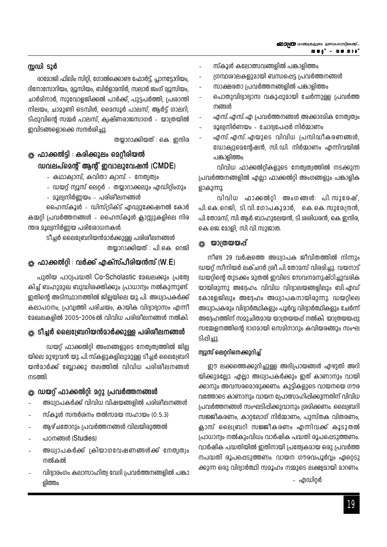#### സ്റ്റഡി ടൂർ

രാമോജി ഫിലിം സിറ്റി, ഗോൽക്കൊണ്ട ഫോർട്ട്, പ്ലാനട്ടോറിയം, ദിനോസോറിയം, മ്യൂസിയം, ബിർളാമന്ദിർ, സലാർ ജംഗ് മ്യൂസിയം, ചാർമിനാർ, സുവോളജിക്കൽ പാർക്ക്, പുട്ടപർത്തി, പ്രശാന്തി നിലയം, ചാമുണ്ടി ടെമ്പിൾ, മൈസൂർ പാലസ്, ആർട്ട് ഗാലറി, ടിപ്പുവിന്റെ സമ്മർ പാലസ്, ക്വഷ്ണരാജസാഗർ - യാത്രയിൽ ഇവിടങ്ങളൊക്കെ സന്ദർശിച്ചു.

തയ്യാറാക്കിയത് : കെ. ഇന്ദിര

## \*്‱ ഫാക്കൽട്ടി ∶ കരിക്കുലം മെറ്റീരിയൽ ഡവലപ്മെന്റ് ആന്റ് ഇവാലുവേഷൻ (CMDE)

- കഥാക്വാമ്പ്, കവിതാ ക്വാമ്പ് നേത്വത്വം
- ഡയറ്റ് ന്യൂസ് ലെറ്റർ തയ്യാറാക്കലും എഡിറ്റിംഗും
- മൂല്വനിർണ്ണയം പരിശീലനങ്ങൾ

ഹൈസ്കൂൾ - ഡിസ്ട്രിക്ട് എഡ്വുക്കേഷനൽ കോർ കമ്മറ്റി പ്രവർത്തനങ്ങൾ - ഹൈസ്കൂൾ ക്ലാസ്സുകളിലെ നിര ന്തര മൂല്വനിർണയ പരിശോധനകൾ.

> ടീച്ചർ ലൈബ്രേറിയൻമാർക്കുള്ള പരിശീലനങ്ങൾ തയാറാക്കിയത് : പി.കെ. റെജി

## ※ ഫാക്കൽറ്റി : വർക്ക് എക്സ്പീരിയൻസ് (W.E)

പുതിയ പാഠ്വപദ്ധതി Co-Scholastic മേഖലക്കും പ്രത്വേ കിച്ച് ബഹുമുഖ ബുദ്ധിശക്തിക്കും പ്രാധാന്വം നൽകുന്നുണ്ട്. ഇതിന്റെ അടിസ്ഥാനത്തിൽ ജില്ലയിലെ യു. പി. അധ്വാപകർക്ക് കലാപഠനം, പ്രവ്വത്തി പരിചയം, കായിക വിദ്യാഭ്യാസം എന്നീ മേഖലകളിൽ 2005-2006ൽ വിവിധ പരിശീലനങ്ങൾ നൽകി.

## \* ടീച്ചർ ലൈബ്രേറിയൻമാർക്കുള്ള പരിശീലനങ്ങൾ

ഡയറ്റ് ഫാക്കൽറ്റി അംഗങ്ങളുടെ നേത്വത്വത്തിൽ ജില്ല യിലെ മുഴുവൻ യു. പി സ്കളുകളിലുമുള്ള ടീച്ചർ ലൈബ്രേറി യൻമാർക്ക് ബ്ലോക്കു തലത്തിൽ വിവിധ പരിശീലനങ്ങൾ നടത്തി.

## \*\* ഡയറ്റ് ഫാക്കൽറ്റി: മറ്റു പ്രവർത്തനങ്ങൾ

- അധ്വാപകർക്ക് വിവിധ വിഷയങ്ങളിൽ പരിശീലനങ്ങൾ
- സ്കൂൾ സന്ദർശനം തൽസമയ സഹായം (0.5.3)
- ആഴ്ചതോറും പ്രവർത്തനങ്ങൾ വിലയിരുത്തൽ
- പഠനങ്ങൾ (Studies)
- അധ്വാപകർക്ക് ക്രിയാഗവേഷണങ്ങൾക്ക് നേത്വത്വം നൽകൽ
- വിദ്വാരംഗം കലാസാഹിത്വ വേദി പ്രവർത്തനങ്ങളിൽ പങ്കാ ളിത്തം
- സ്കൂൾ കലോത്സവങ്ങളിൽ പങ്കാളിത്തം
- ശന്ഥശാലകളുമായി ബന്ധപ്പെട്ട പ്രവർത്തനങ്ങൾ
- സാക്ഷരതാ പ്രവർത്തനങ്ങളിൽ പങ്കാളിത്തം
- പൊതുവിദ്വാഭ്വാസ വകുപ്പുമായി ചേർന്നുള്ള പ്രവർത്ത നങ്ങൾ
- എസ്. എസ്. എ പ്രവർത്തനങ്ങൾ അക്കാദമിക നേതൃത്വം
- മൂല്വനിർണയം ചോദ്യപേഷർ നിർമ്മാണം
- എസ്. എസ്. എയുടെ വിവിധ പ്രസിദ്ധീകരണങ്ങൾ, ഡോക്വുമെന്റേഷൻ, സി.ഡി. നിർമ്മാണം എന്നിവയിൽ പങ്കാളിത്തം

വിവിധ ഫാക്കൽറ്റികളുടെ നേത്വത്വത്തിൽ നടക്കുന്ന പ്രവർത്തനങ്ങളിൽ എല്ലാ ഫാക്കൽറ്റി അംഗങ്ങളും പങ്കാളിക ളാകുന്നു.

വിവിധ ഫാക്കൽറ്റി അംഗങ്ങൾ: പി.സുരേഷ്, പി. കെ. റെജി, ടി. വി. ഗോപകുമാർ, കെ. കെ. സുരേന്ദ്രൻ, പി തോമസ്, സി ആർ ബാഹുലേയൻ, ടി ശശിധരൻ, കെ ഇന്ദിര, കെ. ജെ. മോളി, സി. വി. സുജാത.

### \* യാത്രയയപ്

നീണ്ട 29 വർഷത്തെ അധ്വാപക ജീവിതത്തിൽ നിന്നും ഡയറ്റ് സീനിയർ ലക്ചറർ ശ്രീ. പി. തോമസ് വിരമിച്ചു. വയനാട് ഡയറ്റിന്റെ തുടക്കം മുതൽ ഇവിടെ സേവനമനുഷ്ഠിച്ചുവരിക യായിരുന്നു അദ്ദേഹം. വിവിധ വിദ്വാലയങ്ങളിലും ബി.എഡ് കോളേജിലും അദ്ദേഹം അധ്വാപകനായിരുന്നു. ഡയറ്റിലെ അധ്വാപകരും വിദ്വാർത്ഥികളും പൂർവ്വ വിദ്വാർത്ഥികളും ചേർന്ന് അദ്ദേഹത്തിന് സമുചിതമായ യാത്രയയപ്പ് നൽകി. യാത്രയയപ്പു സമ്മേളനത്തിന്റെ ഭാഗമായി സെമിനാറും കവിയരങ്ങും സംഘ ടിപ്പിച്ചു.

### ന്വൂസ് ലെറ്ററിനെക്കുറിച്ച്

ഈ ലക്കത്തെക്കുറിച്ചുള്ള അഭിപ്രായങ്ങൾ എഴുതി അറി യിക്കുമല്ലോ. എല്ലാ അധ്വാപകർക്കും ഇത് കാണാനും വായി ക്കാനും അവസരമൊരുക്കണം. കുട്ടികളുടെ വായനയെ ഗൗര വത്തോടെ കാണാനും വായന പ്രോത്സാഹിപ്പിക്കുന്നതിന് വിവിധ പ്രവർത്തനങ്ങൾ സംഘടിപ്പിക്കുവാനും ശ്രമിക്കണം. ലൈബ്രറി സജ്ജീകരണം, കാറ്റലോഗ് നിർമ്മാണം, പുസ്തക വിതരണം, ക്ലാസ് ലൈബ്രറി സജ്ജീകരണം എന്നിവക്ക് കൂടുതൽ പ്രാധാന്വം നൽകുംവിധം വാർഷിക പദ്ധതി രൂപപ്പെടുത്തണം. വാർഷിക പദ്ധതിയിൽ ഇതിനായി പ്രത്യേകമായ ഒരു പ്രവർത്ത നപദ്ധതി രൂപപ്പെടുത്തണം. വായന ഗൗരവപൂർവ്വം ഏറ്റെടു ക്കുന്ന ഒരു വിദ്വാർത്ഥി സമൂഹം നമ്മുടെ ലക്ഷ്വമായി മാറണം.

- എഡിറ്റർ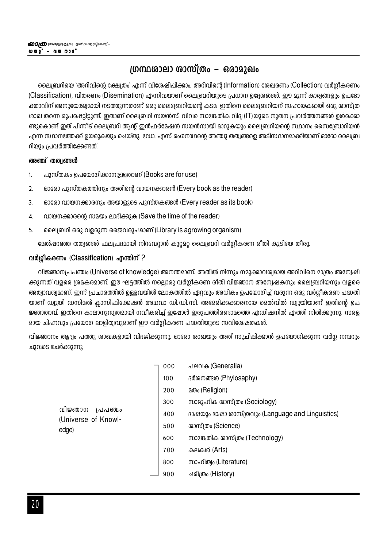## ഗ്രന്ഥശാലാ ശാസ്ത്രം – ഒരാമുഖം

ലൈബ്രറിയെ 'അറിവിന്റെ ക്ഷേത്രം' എന്ന് വിശേഷിപ്പിക്കാം. അറിവിന്റെ (Information) ശേഖരണം (Collection) വർഗ്ഗീകരണം (Classification), വിതരണം (Disemination) എന്നിവയാണ് ലൈബ്രറിയുടെ പ്രധാന ഉദ്ദേരങ്ങൾ. ഈ മൂന്ന് കാര്യങ്ങളും ഉപഭോ ക്താവിന് അനുയോജ്വമായി നടത്തുന്നതാണ് ഒരു ലൈബ്രേറിയന്റെ കടമ. ഇതിനെ ലൈബ്രേറിയന് സഹായകമായി ഒരു ശാസ്ത്ര ശാഖ തന്നെ രൂപപ്പെട്ടിട്ടുണ്ട്. ഇതാണ് ലൈബ്രറി സയൻസ്. വിവര സാങ്കേതിക വിദ്വ (IT)യുടെ നൂതന പ്രവർത്തനങ്ങൾ ഉൾക്കൊ ണ്ടുകൊണ്ട് ഇത് പിന്നീട് ലൈബ്രറി ആന്റ് ഇൻഫർമേഷൻ സയൻസായി മാറുകയും ലൈബ്രറിയന്റെ സ്ഥാനം സൈബ്രോറിയൻ എന്ന സ്ഥാനത്തേക്ക് ഉയരുകയും ചെയ്തു. ഡോ. എസ്. രംഗനാഥന്റെ അഞ്ചു തത്വങ്ങളെ അടിസ്ഥാനമാക്കിയാണ് ഓരോ ലൈബ്ര റിയും പ്രവർത്തിക്കേണ്ടത്.

#### അഞ്ച് തത്വങ്ങൾ

- പുസ്തകം ഉപയോഗിക്കാനുള്ളതാണ് (Books are for use)  $\mathbf{1}$
- $\overline{2}$ . ഓരോ പുസ്തകത്തിനും അതിന്റെ വായനക്കാരൻ (Every book as the reader)
- $\overline{3}$ . ഓരോ വായനക്കാരനും അയാളുടെ പുസ്തകങ്ങൾ (Every reader as its book)
- വായനക്കാരന്റെ സമയം ലാഭിക്കുക (Save the time of the reader) 4.
- 5. ലൈബ്രറി ഒരു വളരുന്ന ജൈവരൂപമാണ് (Library is agrowing organism)

മേൽപ്പറഞ്ഞ തത്വങ്ങൾ ഫലപ്രദമായി നിറവേറാൻ കുറ്റമറ്റ ലൈബ്രറി വർഗ്ഗീകരണ രീതി കൂടിയേ തീരൂ.

#### വർഗ്ഗീകരണം (Classification) എന്തിന് ?

വിജ്ഞാനപ്രപഞ്ചം (Universe of knowledge) അനന്തമാണ്. അതിൽ നിന്നും നമുക്കാവശ്യമായ അറിവിനെ മാത്രം അന്വേഷി ക്കുന്നത് വളരെ ശ്രമകരമാണ്. ഈ ഘട്ടത്തിൽ നല്ലൊരു വർഗ്ഗീകരണ രീതി വിജ്ഞാന അന്വേഷകനും ലൈബ്രറിയനും വളരെ അത്വാവശ്വമാണ്. ഇന്ന് പ്രചാരത്തിൽ ഉള്ളവയിൽ ലോകത്തിൽ ഏറ്റവും അധികം ഉപയോഗിച്ച് വരുന്ന ഒരു വർഗ്ഗീകരണ പദ്ധതി യാണ് ഡ്വൂയി ഡസിമൽ കാസിഫിക്കേഷൻ അഥവാ ഡി.ഡി.സി. അമേരിക്കക്കാരനായ മെൽവിൽ ഡ്വൂയിയാണ് ഇതിന്റെ ഉപ ജ്ഞാതാവ്. ഇതിനെ കാലാനുസ്വതമായി നവീകരിച്ച് ഇഷോൾ ഇരുപത്തിരണ്ടാമത്തെ എഡിഷനിൽ എത്തി നിൽക്കുന്നു. സരള മായ ചിഹ്നവും പ്രയോഗ ലാളിത്വവുമാണ് ഈ വർഗ്ഗീകരണ പദ്ധതിയുടെ സവിശേഷതകൾ.

വിജ്ഞാനം ആദ്വം പത്തു ശാഖകളായി വിഭജിക്കുന്നു. ഓരോ ശാഖയും അത് സൂചിപ്പിക്കാൻ ഉപയോഗിക്കുന്ന വർഗ്ഗ നമ്പറും ചുവടെ ചേർക്കുന്നു.

|                                           | 000 | പലവക (Generalia)                                  |
|-------------------------------------------|-----|---------------------------------------------------|
|                                           | 100 | <sub>B</sub> ർശനങ്ങൾ (Phylosaphy)                 |
|                                           | 200 | 200 (Religion)                                    |
|                                           | 300 | സാമൂഹിക രാസ്ത്രം (Sociology)                      |
| വിജ്ഞാന<br>/പപഞ്ചം<br>(Universe of Knowl- | 400 | ഭാഷയും ഭാഷാ രാസ്ത്രവും (Language and Linguistics) |
| edge)                                     | 500 | രാസ്ത്രം (Science)                                |
|                                           | 600 | സാങ്കേതിക ശാസ്ത്രം (Technology)                   |
|                                           | 700 | കലകൾ (Arts)                                       |
|                                           | 800 | സാഹിത്വം (Literature)                             |
|                                           | 900 | ചരിത്രം (History)                                 |
|                                           |     |                                                   |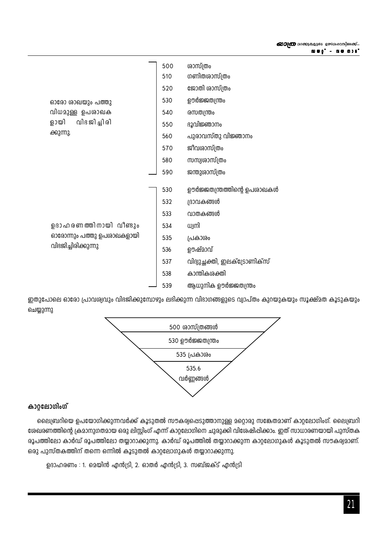|                           | 500 | ശാസ്ത്രം                      |
|---------------------------|-----|-------------------------------|
|                           | 510 | ഗണിതശാസ്ത്രം                  |
|                           | 520 | ജോതി ശാസ്ത്രം                 |
| ഓരോ ശാഖയും പത്തു          | 530 | ഊർജ്ജതന്ത്രം                  |
| വിധമുള്ള ഉപരാഖക           | 540 | രസതന്ത്രം                     |
| വിദ ജി ച്ചി രി<br>ളായി    | 550 | ദൂവിജ്ഞാനം                    |
| ക്കുന്നു.                 | 560 | പുരാവസ്തു വിജ്ഞാനം            |
|                           | 570 | ജീവശാസ്ത്രം                   |
|                           | 580 | സസ്വശാസ്ത്രം                  |
|                           | 590 | ജന്തുശാസ്ത്രം                 |
|                           | 530 | ഊർജ്ജതന്ത്രത്തിന്റെ ഉപശാഖകൾ   |
|                           | 532 | ദ്രാവകങ്ങൾ                    |
|                           | 533 | വാതകങ്ങൾ                      |
| ഉദാഹരണത്തിനായി വീണ്ടും    | 534 | ധ്വനി                         |
| ഓരോന്നും പത്തു ഉപശാഖകളായി | 535 | പ്രകാശം                       |
| വിദജിച്ചിരിക്കുന്നു       | 536 | ഊഷ്മാവ്                       |
|                           | 537 | വിദ്യുച്ഛക്തി, ഇലക്ട്രോണിക്സ് |
|                           | 538 | കാന്തികശക്തി                  |
|                           | 539 | ആധുനിക ഊർജ്ജതന്ത്രം           |

ഇതുപോലെ ഓരോ പ്രാവശ്വവും വിഭജിക്കുമ്പോഴും ലഭിക്കുന്ന വിഭാഗങ്ങളുടെ വ്യാപ്തം കുറയുകയും സൂക്ഷ്മത കൂടുകയും ചെയ്യുന്നു



## കാറ്റലോഗിംഗ്

ലൈബ്രറിയെ ഉപയോഗിക്കുന്നവർക്ക് കൂടുതൽ സൗകര്വപ്പെടുത്താനുള്ള മറ്റൊരു സങ്കേതമാണ് കാറ്റലോഗിംഗ്. ലൈബ്രറി രേഖരണത്തിന്റെ ക്രമാനുഗതമായ ഒരു ലിസ്റ്റിംഗ് എന്ന് കാറ്റലോഗിനെ ചുരുക്കി വിശേഷിപ്പിക്കാം. ഇത് സാധാരണയായി പുസ്തക രൂപത്തിലോ കാർഡ് രൂപത്തിലോ തയ്യാറാക്കുന്നു. കാർഡ് രൂപത്തിൽ തയ്യാറാക്കുന്ന കാറ്റലോഗുകൾ കൂടുതൽ സൗകര്വമാണ്. ഒരു പുസ്തകത്തിന് തന്നെ ഒന്നിൽ കൂടുതൽ കാറ്റലോഗുകൾ തയ്യാറാക്കുന്നു.

ഉദാഹരണം : 1. മെയിൻ എൻട്രി, 2. ഓതർ എൻട്രി, 3. സബ്ജക്ട് എൻട്രി

*യാത്ര വാ*ക്കുകളുടെ ഉത്സവപ്പറമ്പിലേക്ക്...

**ຜຍ0, - ຫຄືພາຂຸ**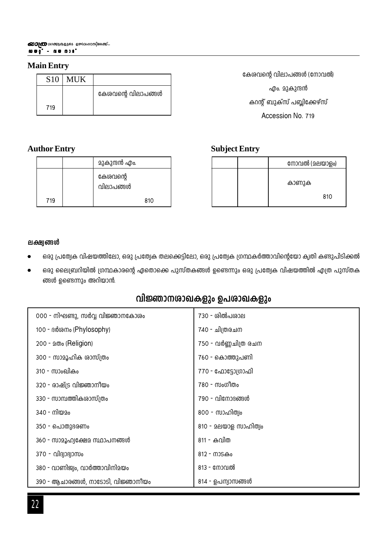### **Main Entry**

| S <sub>10</sub> | <b>MUK</b> |                    |
|-----------------|------------|--------------------|
|                 |            | കേശവന്റെ വിലാപങ്ങൾ |
| 719             |            |                    |

## **Author Entry**

|     | മുകുന്ദൻ എം.          |
|-----|-----------------------|
|     | കേശവന്റെ<br>വിലാപങ്ങൾ |
| 719 | 810                   |

കേശവന്റെ വിലാപങ്ങൾ (നോവൽ) എം. മുകുന്ദൻ കറന്റ് ബുക്സ് പബ്ലിക്കേഴ്സ് Accession No. 719

## **Subject Entry**

| നോവൽ (മലയാളം) |
|---------------|
| കാണുക         |
| 810           |

#### **ലക്ഷ്വങ്ങ**ൾ

- ഒരു പ്രത്വേക വിഷയത്തിലോ, ഒരു പ്രത്യേക തലക്കെട്ടിലോ, ഒരു പ്രത്യേക ഗ്രന്ഥകർത്താവിന്റെയോ കൃതി കണ്ടുപിടിക്കൽ
- ഒരു ലൈബ്രറിയിൽ ഗ്രന്ഥകാരന്റെ ഏതൊക്കെ പുസ്തകങ്ങൾ ഉണ്ടെന്നും ഒരു പ്രത്യേക വിഷയത്തിൽ എത്ര പുസ്തക ങ്ങൾ ഉണ്ടെന്നും അറിയാൻ.

## **വിജ്ഞാന**ശാഖകളും ഉപശാഖകളും

| 000 - നിഘണ്ടു, സർവ്വ വിജ്ഞാനകോശം   | 730 - ശിൽപശ <u>ാ</u> ല |
|------------------------------------|------------------------|
| 100 - ദർശനം (Phylosophy)           | 740 - ചിത്രരചന         |
| 200 - 200 (Religion)               | 750 - വർണ്ണചിത്ര രചന   |
| 300 - സാമൂഹിക ശാസ്ത്രം             | 760 - കൊത്തുപണി        |
| 310 - സാംഖികം                      | 770 - ഫോട്ടോഗ്രാഫി     |
| 320 - രാഷ്ട്ര വിജ്ഞാനീയം           | 780 - സംഗീതം           |
| 330 - സാമ്പത്തികശാസ്ത്രം           | 790 - വിനോദങ്ങൾ        |
| 340 - നിയമം                        | 800 - സാഹിത്വം         |
| 350 - പൊതുഭരണം                     | 810 - മലയാള സാഹിത്വം   |
| 360 - സാമൂഹ്വക്ഷേമ സ്ഥാപനങ്ങൾ      | 811 - കവിത             |
| 370 - വിദ്യാഭ്യാസം                 | 812 - നാടകം            |
| 380 - വാണിജ്വം, വാർത്താവിനിമയം     | 813 - നോവൽ             |
| 390 - ആചാരങ്ങൾ, നാടോടി, വിജ്ഞാനീയം | 814 - ഉപന്വാസങ്ങൾ      |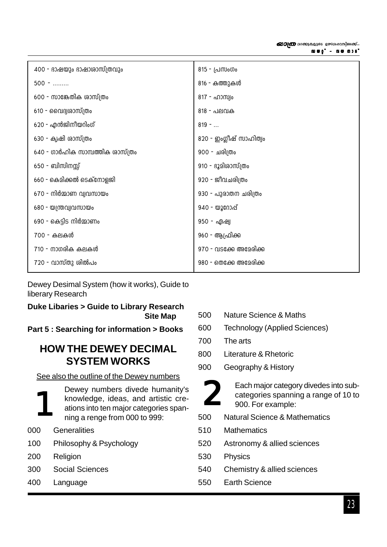| 400 - ഭാഷയും ഭാഷാശാസ്ത്രവും      | 815 - പ്രസംഗം           |
|----------------------------------|-------------------------|
| $500 -$                          | 816 - കത്തുകൾ           |
| 600 - സാങ്കേതിക ശാസ്ത്രം         | 817 - ഹാസ്വം            |
| 610 - വൈദ്വശാസ്ത്രം              | $818 - \Delta P$        |
| 620 - എൻജിനീയറിംഗ്               | $819 - $                |
| 630 - ക്വഷി ശാസ്ത്രം             | 820 - ഇംഗ്ലീഷ് സാഹിത്വം |
| 640 - ഗാർഹിക സാമ്പത്തിക ശാസ്ത്രം | 900 - ചരിത്രം           |
| 650 - ബിസിനസ്സ്                  | 910 - ഭൂമിശാസ്ത്രം      |
| 660 - കെമിക്കൽ ടെക്നോളജി         | 920 - ജീവചരിത്രം        |
| $670$ - നിർമ്മാണ വ്യവസായം        | 930 - പുരാതന ചരിത്രം    |
| 680 - യന്ത്രവ്യവസായം             | 940 - യൂറോഷ്            |
| 690 - കെട്ടിട നിർമ്മാണം          | 950 - ഏഷ്യ              |
| 700 - കലകൾ                       | 960 - ആഫ്രിക് <u>ക</u>  |
| 710 - നാഗരിക കലകൾ                | 970 - വടക്കേ അമേരിക്ക   |
| 720 - വാസ്തു ശിൽപം               | 980 - തെക്കേ അമേരിക്ക   |

Dewey Desimal System (how it works), Guide to liberary Research

## Duke Libaries > Guide to Library Research **Site Map**

Part 5 : Searching for information > Books

## **HOW THE DEWEY DECIMAL SYSTEM WORKS**

See also the outline of the Dewey numbers



- Generalities  $000$
- 100 Philosophy & Psychology
- 200 Religion
- Social Sciences 300
- 400 Language
- **Nature Science & Maths** 500
- 600 **Technology (Applied Sciences)**
- 700 The arts
- 800 Literature & Rhetoric
- 900 Geography & History



Each major category divedes into subcategories spanning a range of 10 to 900. For example:

- 500 Natural Science & Mathematics
- 510 **Mathematics**
- 520 Astronomy & allied sciences
- 530 Physics
- 540 Chemistry & allied sciences
- 550 **Earth Science**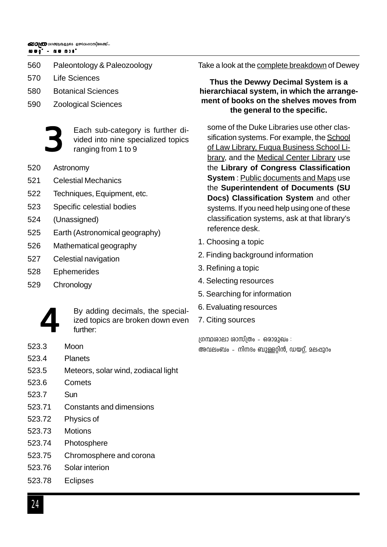#### **Ub‰v ˛ hb-\mSv Ub‰v @DI@** വാക്കുകളുടെ ഉത്സവഹന്ത്രിലേക്ക്...

- 560 Paleontology & Paleozoology
- 570 Life Sciences
- 580 Botanical Sciences
- 590 Zoological Sciences



Each sub-category is further divided into nine specialized topics ranging from 1 to 9

- 520 Astronomy
- 521 Celestial Mechanics
- 522 Techniques, Equipment, etc.
- 523 Specific celestial bodies
- 524 (Unassigned)
- 525 Earth (Astronomical geography)
- 526 Mathematical geography
- 527 Celestial navigation
- 528 Ephemerides
- 529 Chronology



By adding decimals, the specialized topics are broken down even further:

- 523.3 Moon
- 523.4 Planets
- 523.5 Meteors, solar wind, zodiacal light
- 523.6 Comets
- 523.7 Sun
- 523.71 Constants and dimensions
- 523.72 Physics of
- 523.73 Motions
- 523.74 Photosphere
- 523.75 Chromosphere and corona
- 523.76 Solar interion
- 523.78 Eclipses

Take a look at the complete breakdown of Dewey

### **Thus the Dewwy Decimal System is a hierarchiacal system, in which the arrangement of books on the shelves moves from the general to the specific.**

some of the Duke Libraries use other classification systems. For example, the School of Law Library, Fuqua Business School Library, and the Medical Center Library use the **Library of Congress Classification System** : Public documents and Maps use the **Superintendent of Documents (SU Docs) Classification System** and other systems. If you need help using one of these classification systems, ask at that library's reference desk.

- 1. Choosing a topic
- 2. Finding background information
- 3. Refining a topic
- 4. Selecting resources
- 5. Searching for information
- 6. Evaluating resources
- 7. Citing sources

 $[0.00]$ ഗ്രന്ഥശാലാ ശാസ് $[0.00]$ ം - ഒരാമുഖം : അവലംബം – നിനദം ബുള്ളറ്റിൻ, ഡയറ്റ്, മലപ്പുറം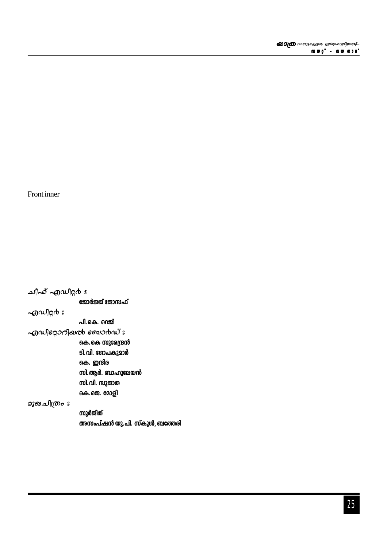സുർജിത് അസംപ്ഷൻ യു.പി. സ്കൂൾ, ബത്തേരി

പി.കെ. റെജി  $\sim$ றுഡിറ്റോറിഖൽ ബോർഡ് ഃ കെ.കെ സുരേന്ദ്രൻ ടി.വി. ഗോപകുമാർ കെ. ഇന്ദിര സി.ആർ. ബാഹുലേയൻ സി.വി. സുജാത കെ.ജെ. മോളി മുഖചിത്രം ഃ

 $\sim 0$   $\omega$   $\approx$ 

ചീഹ് എഡിറ്റർ ഃ

ജോർജ്ജ് ജോസഫ്

Front inner